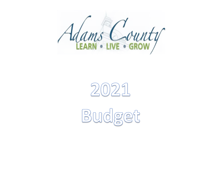



Budget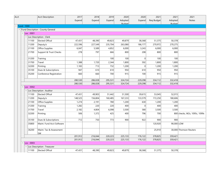| Acct              |                                     | Acct Description                    | 2017    | 2018    | 2019    | 2020    | 2020      | 2021       | 2021       | 2021                          |
|-------------------|-------------------------------------|-------------------------------------|---------|---------|---------|---------|-----------|------------|------------|-------------------------------|
|                   |                                     |                                     | Expend  | Expend  | Expend  | Adopted | Expend    | Req Budget | Adopted    | Notes                         |
|                   |                                     |                                     |         |         |         | Rudnet  |           |            | Rudget     |                               |
| <b>Fund: 1000</b> |                                     |                                     |         |         |         |         |           |            |            |                               |
|                   |                                     | - Fund Description : County General |         |         |         |         |           |            |            |                               |
|                   | Loc: 0001                           |                                     |         |         |         |         |           |            |            |                               |
|                   |                                     | Loc Description : Clerk             |         |         |         |         |           |            |            |                               |
|                   | 11100                               | <b>Elected Offical</b>              | 47,431  | 48,390  | 49,823  | 49,879  | 38,368    | 51,375     | 50,378     |                               |
|                   | 11200                               | Deputy/s                            | 222,596 | 227,549 | 235,704 | 263,080 | 186,177   | 270,972    | 270,275    |                               |
|                   | 21100                               | Office Supplies                     | 6,047   | 5,589   | 4,852   | 6,000   | 3,243     | 6,000      | 6,000      |                               |
|                   | 21700                               | Support & Trust Checks              | 278     | 797     | 666     | 800     | 208       | 800        | 800        |                               |
|                   | 31200                               | Training                            |         |         | 100     | 100     | $\Omega$  | 100        | 100        |                               |
|                   | 31700                               | Travel                              | 1,388   | 1,720   | 2,344   | 1,800   | 592       | 1,800      | 1,800      |                               |
|                   | 32200                               | Printing                            | 1,183   | 713     | 732     | 1,200   | $\vert$ 0 | 1,200      | 1,200      |                               |
|                   | 35100                               | Dues & Subscriptions                | 947     | 610     | 610     | 950     | 610       | 950        | 950        |                               |
|                   | 35200                               | Conference Registration             | 660     | 660     | 700     | 915     | 100       | 915        | 915        |                               |
|                   |                                     |                                     | 280,530 | 286,028 | 295,531 | 324,724 | 229,298   | 334,112    | 332,418    |                               |
|                   |                                     |                                     | 280,530 | 286,028 | 295,531 | 324,724 | 229,298   | 334,112    | 332,418    |                               |
|                   | $\overline{\phantom{a}}$ Loc : 0002 |                                     |         |         |         |         |           |            |            |                               |
|                   |                                     | Loc Description : Auditor           |         |         |         |         |           |            |            |                               |
|                   | 11100                               | Elected Offical                     | 47,431  | 49,903  | 51,442  | 51,500  | 39,615    | 53,045     | 52,015     |                               |
|                   | 11200                               | Deputy/s                            | 148,525 | 156,804 | 160,485 | 167,233 | 133,579   | 172,250    | 180,606    |                               |
|                   | 21100                               | Office Supplies                     | 1,274   | 2,191   | 780     | 1,200   | 630       | 1,200      | 1,200      |                               |
|                   | 31200                               | Training                            | 1,282   | 220     | 220     | 400     | 0         | 400        | 400        |                               |
|                   | 31700                               | Travel                              | 2,182   | 4,804   | 6,098   | 3,500   | 580       | 3,500      | 3,500      |                               |
|                   | 32200                               | Printing                            | 506     | 1,372   | 425     | 400     | 796       | 700        |            | 800 checks, W2s, 1095c, 1099s |
|                   | 35100                               | Dues & Subscriptions                | 712     | 750     | 773     | 900     | 922       | 900        | 900        |                               |
|                   | 35800                               | Maint. Fund Acct Software           |         |         |         |         |           | 120,920    | 90,000 LOW |                               |
|                   | 36200                               | Maint. Tax & Assessment<br> SW      |         |         |         |         |           | 25,910     |            | 30,000 Thomson Reuters        |
|                   |                                     |                                     | 201,912 | 216,044 | 220,223 | 225,133 | 176,122   | 378,825    | 359,421    |                               |
|                   |                                     |                                     | 201,912 | 216,044 | 220,223 | 225,133 | 176,122   | 378,825    | 359,421    |                               |
|                   | Loc: 0003                           |                                     |         |         |         |         |           |            |            |                               |
|                   |                                     | Loc Description : Treasurer         |         |         |         |         |           |            |            |                               |
|                   | 11100                               | Elected Offical                     | 47,431  | 48,390  | 49,823  | 49,879  | 38,368    | 51,375     | 50,378     |                               |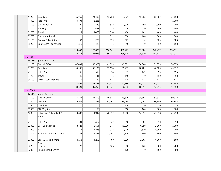| 11200     | Deputy/s                          | 65,955  | 74,409  | 95,768  | 83,871  | 55,262 | 86,387  | 71,858  |  |
|-----------|-----------------------------------|---------|---------|---------|---------|--------|---------|---------|--|
| 11300     | Part Time                         | 3,194   | 2,265   |         |         |        |         | 12,000  |  |
| 21100     | Office Supplies                   | 390     | 420     | 576     | 1,000   | 299    | 1,000   | 1,000   |  |
| 31200     | Training                          | 500     | 437     | 625     | 600     | 0      | 600     | 600     |  |
| 31700     | Travel                            | 1,311   | 1,460   | 2,014   | 1,400   | 1,163  | 1,400   | 1,400   |  |
| 33700     | Equipment Repair                  |         |         | 511     | 500     | 188    | 500     | 500     |  |
| 35100     | Dues & Subscriptions              | 262     | 279     | 279     | 325     | 0      | 325     | 325     |  |
| 35200     | Conference Registration           | 810     | 425     | 545     | 850     | 40     | 850     | 850     |  |
|           |                                   | 119,853 | 128,085 | 150,141 | 138,425 | 95,320 | 142,437 | 138,911 |  |
|           |                                   | 119,853 | 128,085 | 150,141 | 138,425 | 95,320 | 142,437 | 138,911 |  |
| Loc: 0004 |                                   |         |         |         |         |        |         |         |  |
|           | - Loc Description : Recorder      |         |         |         |         |        |         |         |  |
| 11100     | Elected Offical                   | 47,431  | 48,390  | 49,823  | 49,879  | 38,368 | 51,375  | 50,378  |  |
| 11200     | Deputy/s                          | 35,396  | 36,105  | 37,174  | 39,437  | 28,725 | 40,620  | 40,352  |  |
| 21100     | Office Supplies                   | 245     | 593     | 314     | 595     | 449    | 595     | 595     |  |
| 31700     | Travel                            | 146     | 141     | 145     | 150     | 0      | 150     | 150     |  |
| 35100     | Dues & Subscriptions              | 475     | 29      | 475     | 475     | 475    | 475     | 475     |  |
|           |                                   | 83,693  | 85,258  | 87,931  | 90,536  | 68,017 | 93,215  | 91,950  |  |
|           |                                   | 83,693  | 85,258  | 87,931  | 90,536  | 68,017 | 93,215  | 91,950  |  |
| Loc: 0006 |                                   |         |         |         |         |        |         |         |  |
|           | - Loc Description : Surveyor      |         |         |         |         |        |         |         |  |
| 11100     | <b>Elected Offical</b>            | 47,431  | 48,390  | 49,823  | 49,879  | 38,368 | 51,375  | 50,378  |  |
| 11200     | Deputy/s                          | 29,927  | 30,526  | 32,761  | 35,485  | 27,068 | 36,550  | 36,338  |  |
| 11500     | Overtime                          |         |         |         | 100     | 0      | 0       | 0       |  |
| 12500     | CDL/Physical                      |         | 150     |         | 300     | 160    | 300     | 300     |  |
| 12800     | Labor Rod&Chain/Full-Part<br>Time | 13,897  | 14,947  | 20,317  | 20,600  | 14,852 | 21,218  | 21,218  |  |
| 21100     | Office Supplies                   | 384     | 467     | 547     | 350     | 82     | 350     | 350     |  |
| 22000     | Gas, Oil and Lube                 | 8,723   | 8,651   | 7,544   | 10,000  | 6,699  | 12,000  | 12,000  |  |
| 22200     | <b>Tires</b>                      | 454     | 1,246   | 3,042   | 2,200   | 1,640  | 5,000   | 5,000   |  |
| 22301     | Stakes, Flags & Small Tools       | 1,288   | 1,487   | 2,292   | 1,500   | 500    | 500     | 500     |  |
| 23302     | Labor, Garage & Motor<br>Suppl    | 4,253   | 1,298   | 1,100   | 4,230   | 3,363  | 6,500   | 6,500   |  |
| 32200     | Printing                          | 122     |         | 126     | 200     | 120    | 200     | 200     |  |
| 32300     | Rebind Book/Records               |         |         |         | 100     | 0      | 100     | 100     |  |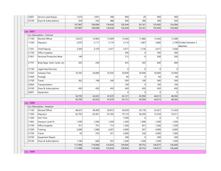| 33601     | Service Laser/Equip          | 1,074   | 1,691   | 396     | 900     | 29     | 900     | 900     |                         |
|-----------|------------------------------|---------|---------|---------|---------|--------|---------|---------|-------------------------|
| 35100     | Dues & Subscriptions         | 434     | 243     | 488     | 500     | 280    | 500     | 500     |                         |
|           |                              | 107,987 | 109,096 | 118,436 | 126,344 | 93,161 | 135,493 | 134,284 |                         |
|           |                              | 107,987 | 109,096 | 118,436 | 126,344 | 93,161 | 135,493 | 134,284 |                         |
| Loc: 0007 |                              |         |         |         |         |        |         |         |                         |
|           | - Loc Description : Coroner  |         |         |         |         |        |         |         |                         |
| 11100     | <b>Elected Offical</b>       | 14,672  | 14,965  | 15,409  | 15,426  | 11,866 | 15,426  | 15,580  |                         |
| 11200     | Deputy/s                     | 2,070   | 2,111   | 2,174   | 2,174   | 1,087  | 2,806   |         | 2,196 Divided between 3 |
|           |                              |         |         |         |         |        |         |         | deputies                |
| 11201     | <b>Chief Deputy</b>          | 3,304   | 3,370   | 3,471   | 3,471   | 1,736  | 3,471   | 3,506   |                         |
| 21100     | Office Supplies              |         |         |         | 300     | 0      | 300     | 300     |                         |
| 21601     | Personal Protective Wear     | 140     |         |         | 215     | 0      | 300     | 300     |                         |
| 21701     | Body Bags, Stain Cards, etc. | 205     | 240     |         | 425     | 305    | 600     | 600     |                         |
| 31100     | Legal Fees/Services          |         |         |         | 0       | 0      | 0       | 0       |                         |
| 31203     | <b>Autopsy Fees</b>          | 35,592  | 20,689  | 25,926  | 20,000  | 30,406 | 20,000  | 25,000  |                         |
| 31600     | Postage                      |         |         |         | 60      | 0      | 60      | 60      |                         |
| 31700     | Travel                       | 362     | 198     | 240     | 500     | 100    | 500     | 500     |                         |
| 32004     | Transportation               |         |         |         | 100     | 0      | 100     | 100     |                         |
| 35100     | Dues & Subscriptions         | 450     | 450     | 450     | 450     | 450    | 450     | 450     |                         |
| 42601     | Equipment                    |         |         |         | 0       | 0      | 0       | 0       |                         |
|           |                              | 56,795  | 42,023  | 47,670  | 43,121  | 45,950 | 44,013  | 48,592  |                         |
|           |                              | 56,795  | 42,023  | 47,670  | 43,121  | 45,950 | 44,013  | 48,592  |                         |
| Loc: 0008 |                              |         |         |         |         |        |         |         |                         |
|           | Loc Description : Assessor   |         |         |         |         |        |         |         |                         |
| 11100     | Elected Offical              | 48,431  | 49,409  | 50,872  | 50,929  | 39,176 | 52,457  | 51,429  |                         |
| 11200     | Deputy/s                     | 62,765  | 65,461  | 67,292  | 70,116  | 56,456 | 72,220  | 75,611  |                         |
| 11300     | Part Time                    |         |         |         | 7,500   | 0      | 0       | 0       |                         |
| 11402     | Assessor Level III           | 1,500   | 1,500   | 1,500   | 1,500   | 1,096  | 1,500   | 1,500   |                         |
| 21100     | Office Supplies              | 351     | 791     | 713     | 1,200   | 831    | 1,200   | 1,200   |                         |
| 31200     | Training                     | 3,690   | 1,968   | 4,267   | 4,000   | 567    | 4,000   | 4,000   |                         |
| 31700     | Travel                       | 93      | 220     | 251     | 3,000   | 336    | 3,000   | 1,000   |                         |
| 33700     | Equipment Repair             |         |         |         | 200     | 0      | 200     | 200     |                         |
| 35100     | Dues & Subscriptions         | 1,160   | 600     | 975     | 1,500   | 1,290  | 1,500   | 1,500   |                         |
|           |                              | 117,990 | 119,949 | 125,870 | 139,945 | 99,752 | 136,077 | 136,440 |                         |
|           |                              | 117,990 | 119,949 | 125,870 | 139,945 | 99,752 | 136,077 | 136,440 |                         |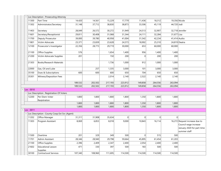|                | Loc Description : Prosecuting Attorney        |         |         |         |                |                |         |              |                                                                                                       |
|----------------|-----------------------------------------------|---------|---------|---------|----------------|----------------|---------|--------------|-------------------------------------------------------------------------------------------------------|
| 11300          | Part Time                                     | 14,420  | 14,561  | 15,229  | 17,779         | 11,436         | 18,312  |              | 19,356 Nicole                                                                                         |
| 11302          | Administrator/Secretary                       | 31,148  | 37,712  | 38,830  | 38,873         | 33,506         | 45,119  | 44,720 Jodi  |                                                                                                       |
| 11403          | Secretary                                     | 28,049  | 26,572  | 30,272  | 31,949         | 24,513         | 32,907  |              | 32,718 Jennifer                                                                                       |
| 11601          | Secretary/Receptionist                        | 29,811  | 30,408  | 31,068  | 31,344         | 24,111         | 32,284  | 31,677 Lisa  |                                                                                                       |
| 11700          | Deputy Prosecutor                             | 39,000  | 39,780  | 40,958  | 41,004         | 31,542         | 42,234  | 41,414 Audra |                                                                                                       |
| 11801          | Victim Advocate                               | 23,371  | 23,839  | 23,628  | 24,573         | 18,902         | 25,310  |              | 24,819 Deatra                                                                                         |
| 12100          | Prosecutor's Investigator                     | 22,356  | 28,773  | 29,719  | 30,000         | 653            | 60,000  | 60,000       |                                                                                                       |
| 21100          | Office Supplies                               | 576     |         | 1,654   | 1,400          | 956            | 1,400   | 1,400        |                                                                                                       |
| 21200          | Victim Advocate Supplies                      | 201     |         | 150     | 200            | $\overline{0}$ | 200     | 200          |                                                                                                       |
| 21303          | <b>Books/Research Materials</b>               |         |         | 1,736   | 1,000          | 912            | 1,000   | 1,000        |                                                                                                       |
| 22000          | Gas, Oil and Lube                             |         | 257     | 1,335   | 3,000          | 101            | 3,000   | 3,000        |                                                                                                       |
| 35100          | Dues & Subscriptions                          | 600     | 600     | 600     | 650            | 704            | 650     | 650          |                                                                                                       |
| 35301          | Witness/Deposition Fees                       |         |         | 2,014   | 2,140          | 2,522          | 2,140   | 2,140        |                                                                                                       |
|                |                                               | 189,532 | 202,502 | 217,193 | 223,912        | 149,858        | 264,556 | 263,094      |                                                                                                       |
|                |                                               | 189,532 | 202,502 | 217,193 | 223,912        | 149,858        | 264,556 | 263,094      |                                                                                                       |
| $-$ Loc: 0010  |                                               |         |         |         |                |                |         |              |                                                                                                       |
|                | Loc Description : Registration Of Voters      |         |         |         |                |                |         |              |                                                                                                       |
| 12200          | Per Diem-Voter<br>Registration                | 1,800   | 1,800   | 1,800   | 1,800          | 1,350          | 1,800   | 1,800        |                                                                                                       |
|                |                                               | 1,800   | 1,800   | 1,800   | 1,800          | 1,350          | 1,800   | 1,800        |                                                                                                       |
|                |                                               | 1,800   | 1,800   | 1,800   | 1,800          | 1,350          | 1,800   | 1,800        |                                                                                                       |
| $-$ Loc : 0011 |                                               |         |         |         |                |                |         |              |                                                                                                       |
|                | Loc Description : County Coop Ext Svc (Agent) |         |         |         |                |                |         |              |                                                                                                       |
| 11202          | Office Manager                                | 31,311  | 31,908  | 35,634  | $\overline{0}$ | 0              | 0       | $\Omega$     |                                                                                                       |
| 11303          | Program Assistant                             | 8,069   | 6,853   | 8,018   | 9,000          | 10,843         | 16,114  |              | 16,272 Request increase due to<br>Council wage increase<br>January 2020 for part-time<br>summer staff |
| 11500          | Overtime                                      | 201     | 329     | 349     | 500            | $\overline{0}$ | 515     | 500          |                                                                                                       |
| 11701          | Admin Assistant                               | 28,346  | 28,940  | 29,798  | 59,664         | 45,895         | 61,454  | 61,203       |                                                                                                       |
| 21100          | Office Supplies                               | 2,396   | 2,409   | 2,347   | 2,400          | 2,054          | 2,400   | 2,400        |                                                                                                       |
| 21602          | <b>Educational Lesson</b><br><b>Supplies</b>  | 471     | 330     | 397     | 500            | 183            | 500     | 500          |                                                                                                       |
| 30100          | <b>Contractural Services</b>                  | 107,340 | 108,960 | 111,695 | 114,500        | 114,500        | 114,500 | 114,500      |                                                                                                       |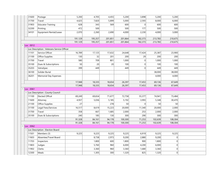| 31600                               | Postage                                      | 5,200   | 4,705   | 4,455   | 5,200           | 3,898   | 5,200   | 5,200    |  |
|-------------------------------------|----------------------------------------------|---------|---------|---------|-----------------|---------|---------|----------|--|
| 31700                               | Travel                                       | 4,625   | 7,820   | 5,899   | 5,000           | 2,593   | 8,000   | 6,000    |  |
| 31903                               | Educator Training                            | 628     | 343     | 569     | 600             | 0       | 600     | 600      |  |
| 32200                               | Printing                                     | 472     | 500     |         | 500             | 177     | 500     | 500      |  |
| 34101                               | Equipment Rental/Lease                       | 2,070   | 2,260   | 2,690   | 4,000           | 2,230   | 4,000   | 3,000    |  |
|                                     |                                              | 191,129 | 195,357 | 201,851 | 201,864         | 182,373 | 213,783 | 210,675  |  |
|                                     |                                              | 191,129 | 195,357 | 201,851 | 201,864         | 182,373 | 213,783 | 210,675  |  |
| $\overline{\phantom{a}}$ Loc : 0012 |                                              |         |         |         |                 |         |         |          |  |
|                                     | - Loc Description : Veterans Service Officer |         |         |         |                 |         |         |          |  |
| 11101                               | Service Officer                              | 16,789  | 17,125  | 17,632  | 24,648          | 17,424  | 25,387  | 23,900   |  |
| 21100                               | Office Supplies                              | 130     | 32      | 201     | 200             | 29      | 200     | 200      |  |
| 31700                               | Travel                                       | 580     | 709     | 801     | 1,000           | 0       | 1,000   | 1,000    |  |
| 35100                               | Dues & Subscriptions                         | 50      | 20      | 20      | 100             | 0       | 100     | 100      |  |
| 35203                               | VetraSpec                                    | 399     | 449     |         | 449             | 0       | 449     | 449      |  |
| 36100                               | Solider Burial                               |         |         |         |                 |         | 38,000  | 38,000   |  |
| 36201                               | Memorial Day Expenses                        |         |         |         |                 |         | 4,000   | 4,000    |  |
|                                     |                                              | 17,948  | 18,335  | 18,654  | 26,397          | 17,453  | 69,136  | 67,649   |  |
|                                     |                                              | 17,948  | 18,335  | 18,654  | 26,397          | 17,453  | 69,136  | 67,649   |  |
| $-$ Loc : 0061                      |                                              |         |         |         |                 |         |         |          |  |
|                                     | - Loc Description : County Council           |         |         |         |                 |         |         |          |  |
| 11100                               | Elected Offical                              | 69,249  | 69,654  | 71,677  | 72,758          | 55,377  | 74,941  | 73,484   |  |
| 11600                               | Attorney                                     | 4,937   | 5,036   | 5,185   | 5,192           | 3,993   | 5,348   | 30,470   |  |
| 21100                               | Office Supplies                              | 27      |         | 278     | 50 <sup>2</sup> | 0       | 50      | 50       |  |
| 31100                               | Legal Fees/Services                          | 16,517  | 8,619   | 15,223  | 20,000          | 11,340  | 20,000  | 2,000    |  |
| 31700                               | Travel                                       | 358     | 667     | 1,685   | 2,000           | 253     | 2,000   | 2,000    |  |
| 35100                               | Dues & Subscriptions                         | 240     | 185     | 130     | 300             | 290     | 300     | 300      |  |
|                                     |                                              | 91,328  | 84,161  | 94,178  | 100,300         | 71,253  | 102,639 | 108,304  |  |
|                                     |                                              | 91,328  | 84,161  | 94,178  | 100,300         | 71,253  | 102,639 | 108,304  |  |
| $-$ Loc : 0062                      |                                              |         |         |         |                 |         |         |          |  |
|                                     | - Loc Description : Election Board           |         |         |         |                 |         |         |          |  |
| 11501                               | Members (3)                                  | 9,225   | 9,225   | 9,225   | 9,225           | 6,919   | 9,225   | 9,225    |  |
| 11603                               | Absentee/Travel Board                        |         | 8,738   | 2,973   | 9,200           | 2,880   | 9,200   | 0        |  |
| 11703                               | Inspectors                                   |         | 1,800   | 600     | 1,800           | 900     | 1,800   | $\Omega$ |  |
| 11803                               | Judges                                       |         | 5,760   | 960     | 6,000           | 4,200   | 6,000   | 0        |  |
| 11902                               | Clerks                                       |         | 3,360   | 960     | 3,360           | 1,680   | 3,360   | 0        |  |
| 12300                               | Meals                                        |         | 1,305   | 300     | 1,320           | 825     | 1,320   | 0        |  |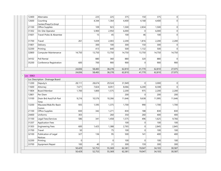| 12400                     | Alternates                             |        | 225    | 225            | 375    | 150    | 375    | 0        |  |
|---------------------------|----------------------------------------|--------|--------|----------------|--------|--------|--------|----------|--|
| 12600                     | Counting                               |        | 4,344  | 1,364          | 4,400  | 4,168  | 4,400  | $\Omega$ |  |
|                           | Center/Prep/Co.Empl                    |        |        |                |        |        |        |          |  |
| 21100                     | Office Supplies                        |        | 109    | 923            | 1,500  | 2,834  | 1,500  | 0        |  |
| 31302                     | On-Site Operator                       |        | 5,900  | 2,950          | 6,000  | 0      | 6,000  | $\Omega$ |  |
| 31601                     | Travel-Poles & Absentee                |        | 15     | 45             | 100    | 46     | 100    | $\Omega$ |  |
| 31700                     | Travel                                 | 261    | 1,659  | 2,003          | 2,200  | 1,816  | 2,200  | 2,200    |  |
| 31801                     | Delivery                               |        | 300    | 100            | 300    | 150    | 300    | 0        |  |
| 32200                     | Printing                               |        | 413    | 640            | 500    | 1,132  | 500    | $\Omega$ |  |
| 32800                     | Computer Maintenance                   | 14,750 | 13,750 | 13,750         | 14,750 | 13,750 | 14,750 | 14,750   |  |
| 34102                     | Poll Rental                            |        | 880    | 360            | 880    | 320    | 880    | $\Omega$ |  |
| 35200                     | Conference Registration                | 600    | 700    | 900            | 900    | 0      | 900    | 900      |  |
|                           |                                        | 24,836 | 58,483 | 38,278         | 62,810 | 41,770 | 62,810 | 27,075   |  |
|                           |                                        | 24,836 | 58,483 | 38,278         | 62,810 | 41,770 | 62,810 | 27,075   |  |
| $\blacksquare$ Loc : 0063 |                                        |        |        |                |        |        |        |          |  |
|                           | - Loc Description : Drainage Board     |        |        |                |        |        |        |          |  |
| 11200                     | Deputy/s                               | 28,111 | 28,674 | 29,524         | 31,949 | 0      | 3,000  | 0        |  |
| 11600                     | Attorney                               | 7,671  | 7,824  | 8,051          | 8,066  | 6,200  | 8,308  | $\Omega$ |  |
| 11804                     | Board Member                           | 1,700  | 1,800  | 1,575          | 2,200  | 975    | 2,200  | 2,200    |  |
| 12801                     | Per Diem                               |        |        |                | 200    | 0      | 200    | 200      |  |
| 13100                     | Drain Brd Asst/Full-Part<br>Time       | 9,216  | 10,576 | 10,266         | 11,646 | 9,638  | 11,995 | 11,646   |  |
| 13200                     | Mauwee/Wab.Riv Basin<br>Comm           | 935    | 1,595  | 1,375          | 1,700  | 990    | 1,700  | 1,700    |  |
| 21100                     | Office Supplies                        | 830    | 342    | 1,271          | 830    | 188    | 830    | 830      |  |
| 24400                     | Uniforms                               | 303    |        | 260            | 350    | 260    | 400    | 400      |  |
| 31100                     | Legal Fees/Services                    | 586    | 341    | 1,458          | 1,575  | 496    | 1,625  | 9,766    |  |
| 31207                     | Application Fees                       |        |        |                | 100    | 0      | 100    | 100      |  |
| 31303                     | Engineering Fees                       | 600    | 1,425  | 1,388          | 2,765  | 0      | 2,845  | 2,845    |  |
| 31700                     | Travel                                 | 50     |        | 75             | 100    | 0      | 100    | 100      |  |
| 32100                     | Publication of Legal<br><b>Notices</b> | 327    | 136    | 95             | 500    | 141    | 400    | 400      |  |
| 32200                     | Printing                               | 0      |        | $\overline{0}$ | 100    | 0      | 100    | 100      |  |
| 33700                     | Equipment Repair                       | 100    | 40     | 31             | 300    | 159    | 300    | 300      |  |
|                           |                                        | 50,429 | 52,753 | 55,369         | 62,381 | 19,047 | 34,103 | 30,587   |  |
|                           |                                        | 50,429 | 52,753 | 55,369         | 62,381 | 19,047 | 34,103 | 30,587   |  |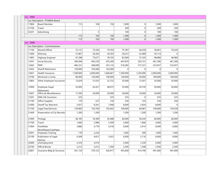| $-$ Loc : 0066                 |                                           |           |                |           |              |                |           |             |  |  |
|--------------------------------|-------------------------------------------|-----------|----------------|-----------|--------------|----------------|-----------|-------------|--|--|
| Loc Description : PTABOA Board |                                           |           |                |           |              |                |           |             |  |  |
| 11804                          | <b>Board Member</b>                       | 113       | 100            | 150       | 1,000        | 0              | 1,000     | 1,000       |  |  |
| 31700                          | Travel                                    |           |                |           | 200          | 0              | 200       | 200         |  |  |
| 32201                          | Advertising                               |           | 5 <sup>2</sup> |           | 100          | 0              | 100       | 100         |  |  |
|                                |                                           | 113       | 105            | 150       | 1,300        | 0              | 1,300     | 1,300       |  |  |
|                                |                                           | 113       | 105            | 150       | 1,300        | 0              | 1,300     | 1,300       |  |  |
| $-$ Loc : 0068                 |                                           |           |                |           |              |                |           |             |  |  |
|                                | Loc Description : Commissioners           |           |                |           |              |                |           |             |  |  |
| 11100                          | <b>Elected Offical</b>                    | 72,131    | 72,592         | 74,703    | 75,787       | 58,259         | 78,061    | 76,545      |  |  |
| 11600                          | Attorney                                  | 27,807    | 28,363         | 29,203    | 29,237       | 22,489         | 30,114    | $\Omega$    |  |  |
| 11805                          | Highway Engineer                          | 67,398    | 75,671         | 78,192    | 82,000       | 73,165         | 98,880    | 96,960      |  |  |
| 12301                          | Social Security                           | 369,584   | 403,230        | 433,260   | 447,870      | 263,731        | 461,306   | 461,306     |  |  |
| 12402                          | <b>PERF</b>                               | 485,231   | 508,099        | 553,132   | 518,385      | 377,331        | 533,937   | 533,937     |  |  |
| 12502                          | <b>Sheriff Retirement</b>                 | 120,000   | 163,000        | 163,000   | $\mathbf{0}$ | 0              | 0         | 0           |  |  |
| 12601                          | Health Insurance                          | 1,300,000 | 2,000,000      | 1,666,667 | 1,500,000    | 1,250,000      | 2,000,000 | 2,000,000   |  |  |
| 12700                          | Workman's Comp                            | 80,000    | 150,000        | 100,000   | 150,000      | 50,000         | 100,000   | 100,000     |  |  |
| 12803                          | Other Employee Insurances                 | 13,629    | 31,033         | 22,722    | 35,000       | 13,501         | 35,000    | 35,000      |  |  |
| 12900                          | Employee Suppl<br>Retirement              | 32,085    | 45,427         | 48,075    | 35,000       | 39,720         | 50,000    | 50,000      |  |  |
| 13001                          | Office & Miscellaneous                    | 17,500    | 20,000         | 20,000    | 20,000       | 10,000         | 20,000    | 20,000      |  |  |
| 13201                          | <b>EMA Life Insurance</b>                 | 525       |                | 525       | 525          | $\overline{0}$ | 525       | 525         |  |  |
| 21100                          | Office Supplies                           | 179       | 227            | 150       | 250          | 143            | 250       | 250         |  |  |
| 31000                          | <b>Sheriff Tax Warrants</b>               | 5,927     | 8,341          | 7,948     | 8,000        | 2,924          | 8,000     | $\mathbf 0$ |  |  |
| 31100                          | Legal Fees/Services                       | 139,083   | 126,764        | 102,642   | 100,000      | 60,681         | 100,000   | 129,528     |  |  |
| 31400                          | Preservation of Cty Records               | 1,200     | 1,200          |           | 1,200        | 1,200          | 1,200     | 1,200       |  |  |
| 31600                          | Postage                                   | 46,185    | 54,389         | 45,488    | 60,000       | 36,244         | 60,000    | 60,000      |  |  |
| 31700                          | Travel                                    | 1,660     | 2,986          | 2,500     | 3,000        | 1,666          | 3,000     | 3,000       |  |  |
| 31904                          | PostMeter                                 | 3,886     | 4,779          | 5,418     | 6,000        | 2,914          | 6,000     | 6,000       |  |  |
| 32001                          | Rent/Repair/CpyPaper<br>Employee Training | 178       | 2,226          |           | 1,000        | 500            | 1,000     | 1,000       |  |  |
| 32100                          | Publication of Legal                      | 6,369     | 4,651          | 5,423     | 6,000        | 5,116          | 6,000     | 6,000       |  |  |
|                                | <b>Notices</b>                            |           |                |           |              |                |           |             |  |  |
| 32600                          | Unemployment                              | 2,416     | 5,014          |           | 5,000        | 1,230          | 5,000     | 5,000       |  |  |
| 32700                          | <b>Offical Bonds</b>                      | 2,212     | 2,412          | 1,594     | 2,500        | 1,348          | 2,500     | 2,500       |  |  |
| 32801                          | Insurance Bldg & Structure                | 361,154   | 370,122        | 420,917   | 455,000      | 414,190        | 491,400   | 491,400     |  |  |
|                                |                                           |           |                |           |              |                |           |             |  |  |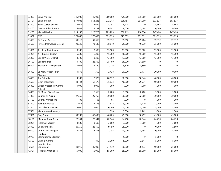| 33000 | <b>Bond Principal</b>              | 735,000 | 745,000 | 380,000 | 775,000 | 395,000  | 805,000  | 805,000  |  |
|-------|------------------------------------|---------|---------|---------|---------|----------|----------|----------|--|
| 33101 | <b>Bond Interest</b>               | 577,986 | 563,286 | 272,243 | 538,787 | 264,000  | 503,537  | 503,537  |  |
| 33200 | <b>Bond Custodial Fees</b>         | 5,014   | 5,699   | 4,757   | 4,214   | $\Omega$ | 5,464    | 5,464    |  |
| 35100 | Dues & Subscriptions               | 5,632   | 4,292   | 6,791   | 6,000   | 3,498    | 6,000    | 6,000    |  |
| 35205 | <b>Mental Health</b>               | 214,156 | 222,723 | 229,229 | 238,119 | 118,954  | 247,420  | 247,420  |  |
| 35302 | <b>EMS</b>                         | 375,855 | 375,855 | 375,855 | 375,855 | 281,891  | 375,855  | 375,855  |  |
| 35400 | <b>Bi-County Services</b>          | 39,312  | 39,312  | 39,312  | 39,312  | 29,484   | 39,312   | 39,312   |  |
| 35600 | Private Inst/Secure Detent.        | 90,240  | 73,630  | 78,840  | 75,000  | 49,730   | 75,000   | 75,000   |  |
| 35801 | 4-H Bldg Maintenance               | 13,500  | 13,500  | 13,500  | 13,500  | 13,500   | 13,500   | 13,500   |  |
| 35901 | 4-H Council Budget                 | 16,200  | 16,200  | 16,200  | 16,200  | 16,200   | 16,200   | 16,200   |  |
| 36000 | Soil & Water District              | 13,300  | 13,300  | 13,300  | 13,300  | 13,300   | 13,300   | 13,300   |  |
| 36100 | Solider Burial                     | 19,100  | 26,300  | 25,100  | 38,000  | 24,800   | 0        | 0        |  |
| 36201 | Memorial Day Expenses              | 3,047   | 3,160   | 3,116   | 3,500   | 3,390    | $\Omega$ | $\Omega$ |  |
| 36300 | St, Mary Wabsh River<br>Cleanup    | 11,575  | 359     | 2,438   | 20,000  | 2,171    | 20,000   | 10,000   |  |
| 36400 | Tax Refunds                        | 14,509  | 2,923   | 20,577  | 20,000  | 80,946   | 40,000   | 40,000   |  |
| 36600 | Exam of Records                    | 33,744  | 52,576  | 36,833  | 40,000  | 79,731   | 50,000   | 50,000   |  |
| 36800 | Upper Wabash RB Comm-<br>Office Ex | 1,000   | 1,000   | 1,000   | 1,000   | 1,000    | 1,000    | 1,000    |  |
| 36900 | St. Mary's River Gauge             |         | 5,560   | 2,780   | 3,000   | 2,780    | 3,000    | 3,000    |  |
| 37000 | Council on Aging                   | 27,250  | 29,750  | 30,000  | 30,000  | 22,800   | 30,000   | 30,000   |  |
| 37100 | County Promotions                  | 105     | 105     | 105     | 1,000   | $\Omega$ | 1,000    | 200      |  |
| 37200 | Fees & Penalties                   | 913     | 2,356   | 612     | 3,000   | 3,179    | 3,000    | 3,000    |  |
| 37300 | <b>Cost Allocation Plan</b>        | 5,000   | 5,000   | 10,000  | 5,000   | 5,000    | 5,000    | 5,000    |  |
| 37501 | Maintenance Property               |         |         | 1,598   | 5,000   | 2,762    | 5,000    | 2,500    |  |
| 37901 | Dog Pound                          | 39,909  | 40,492  | 40,723  | 45,000  | 30,497   | 45,000   | 45,000   |  |
| 38101 | Maumee River Basin                 | 22,544  | 22,544  | 22,544  | 24,750  | 22,544   | 24,750   | 24,750   |  |
| 38201 | <b>Historical Society</b>          | 3,600   | 3,600   | 3,600   | 7,200   | 7,200    | 7,200    | 3,600    |  |
| 38300 | <b>Consulting Fees</b>             | 26,250  | 22,450  | 19,150  | 25,000  | $\Omega$ | 10,000   | 2,500    |  |
| 39300 | Comm Corr Indigent<br>Funding      | 15,427  | 5,513   | 1,135   | 10,000  | 3,194    | 10,000   | 5,000    |  |
| 39700 | Storm Damage Repairs               |         |         |         | 5,000   | $\Omega$ | 5,000    | 0        |  |
| 42100 | Unicorp Comm<br>Infrastructure     |         | 890     | 2,200   | 5,000   | 2,847    | 5,000    | 5,000    |  |
| 42601 | Equipment                          | 30,015  | 35,090  | 24,579  | 50,000  | 30,133   | 50,000   | 25,000   |  |
| 42701 | <b>Hospital Ambulance</b>          | 55,000  | 55,000  | 55,000  | 55,000  | 55,000   | 55,000   | 55,000   |  |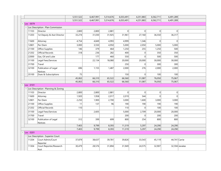|                |                                       | 5,551,522 | 6,467,991 | 5,514,676 | 6,033,491 | 4,251,883   | 6,562,711      | 6,491,289     |                |
|----------------|---------------------------------------|-----------|-----------|-----------|-----------|-------------|----------------|---------------|----------------|
|                |                                       | 5,551,522 | 6,467,991 | 5,514,676 | 6,033,491 | 4,251,883   | 6,562,711      | 6,491,289     |                |
| Loc: 0079      |                                       |           |           |           |           |             |                |               |                |
|                | - Loc Description : Plan Commission   |           |           |           |           |             |                |               |                |
| 11103          | Director                              | 2,800     | 2,800     | 2,881     | 0         | 0           | 0              | 0             |                |
| 11203          | 1st Deputy & Asst Director            | 33,274    | 31,030    | 31,925    | 31,961    | 27,160      | 36,550         | 36,317        |                |
| 11600          | Attorney                              | 4,754     | 4,849     | 4,993     | 4,999     | 1,346       | 0              | 0             |                |
| 12801          | Per Diem                              | 3,000     | 3,550     | 4,950     | 5,000     | 2,050       | 5,000          | 5,000         |                |
| 21100          | Office Supplies                       | 146       | 379       | 464       | 1,250     | 255         | 1,250          | 500           |                |
| 21202          | Official Records                      | 318       | 236       | 282       | 400       | 0           | 350            | 350           |                |
| 22000          | Gas, Oil and Lube                     |           | 177       | 460       | 550       | $\mathbf 0$ | 500            | 500           |                |
| 31100          | Legal Fees/Services                   |           | 22,134    | 18,080    | 20,000    | 20,000      | 30,000         | 30,000        |                |
| 31700          | Travel                                |           |           |           | 250       | 0           | 300            | 300           |                |
| 32100          | Publication of Legal<br>Notices       | 696       | 1,155     | 1,487     | 2,000     | 276         | 2,000          | 2,000         |                |
| 35100          | Dues & Subscriptions                  | 75        |           |           | 150       | 0           | 100            | 100           |                |
|                |                                       | 45,063    | 66,310    | 65,522    | 66,560    | 51,087      | 76,050         | 75,067        |                |
|                |                                       | 45,063    | 66,310    | 65,522    | 66,560    | 51,087      | 76,050         | 75,067        |                |
| $-$ Loc : 0101 |                                       |           |           |           |           |             |                |               |                |
|                | - Loc Description : Planning & Zoning |           |           |           |           |             |                |               |                |
| 11103          | Director                              | 2,800     | 2,800     | 2,881     | $\Omega$  | $\Omega$    | 0              | 0             |                |
| 11600          | Attorney                              | 1,920     | 1,958     | 2,017     | 2,019     | 544         | $\overline{0}$ | $\Omega$      |                |
| 12801          | Per Diem                              | 2,250     | 1,900     | 2,700     | 3,000     | 1,600       | 3,000          | 3,000         |                |
| 21100          | Office Supplies                       | 11        | 137       | 96        | 190       | 190         | 190            | 190           |                |
| 21202          | <b>Official Records</b>               | 110       |           |           | 110       | 0           | 100            | 100           |                |
| 31100          | Legal Fees/Services                   |           | 2,605     |           | 5,000     | 2,709       | 20,000         | 20,000        |                |
| 31700          | Travel                                |           |           |           | 200       | $\Omega$    | 200            | 200           |                |
| 32100          | Publication of Legal<br>Notices       | 312       | 399       | 699       | 800       | 254         | 800            | 800           |                |
|                |                                       | 7,403     | 9,799     | 8,393     | 11,319    | 5,297       | 24,290         | 24,290        |                |
|                |                                       | 7,403     | 9,799     | 8,393     | 11,319    | 5,297       | 24,290         | 24,290        |                |
| Loc: 0201      |                                       |           |           |           |           |             |                |               |                |
|                | - Loc Description : Superior Court    |           |           |           |           |             |                |               |                |
| 11204          | Court Admin/Court<br>Reporter         | 37,879    | 38,637    | 39,781    | 39,826    | 33,543      | 45,119         | 44,741 Carrie |                |
| 11304          | Court Reporter/Research<br>Asst       | 30,479    | 28,576    | 31,894    | 31,949    | 24,575      | 32,907         |               | 32,594 Janalee |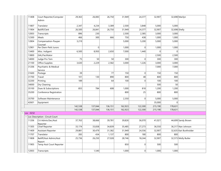| 11408          | Court Reporter/Computer<br>Admin  | 29,363  | 26,083   | 26,750  | 31,949  | 24,377  | 32,907   |               | 32,698 Marilyn         |
|----------------|-----------------------------------|---------|----------|---------|---------|---------|----------|---------------|------------------------|
| 11807          | Translator                        | 2,347   | 4,234    | 3,389   | 2,500   | 3,848   | 5,000    | 5,000         |                        |
| 11904          | Bailiff/Clerk                     | 26,500  | 26,841   | 26,750  | 31,949  | 24,377  | 32,907   | 32,698 Shelly |                        |
| 12003          | Transcripts                       | 896     | 230      |         | 2,500   | 2,385   | 3,000    | 3,000         |                        |
| 12300          | Meals                             | 466     | 300      | 666     | 750     | 438     | 1,000    | 1,000         |                        |
| 12804          | Compensation-Pauper<br>Counsel    | 3,219   |          |         | 5,000   | 5,200   | 5,000    | 5,000         |                        |
| 12901          | Per Diem-Petit Jurors             |         | $\Omega$ |         | 1,000   | 0       | 1,000    | 1,000         |                        |
| 13400          | Misc. Indigent                    | 6,500   | 8,950    | 2,650   | 7,000   | 1,440   | $\Omega$ | 0             |                        |
| 13800          | GAL/Facilitator                   |         |          |         |         |         | 2,500    | 2,500         |                        |
| 14000          | Judge Pro Tem                     | 75      | 50       | 50      | 300     | 0       | 300      | 300           |                        |
| 21100          | Office Supplies                   | 3,630   | 2,229    | 2,582   | 3,000   | 1,226   | 3,000    | 3,000         |                        |
| 31206          | Psychiatric & Medical<br>Service  |         |          |         |         |         | 7,000    | 7,000         |                        |
| 31600          | Postage                           | 39      |          | 77      | 150     | 0       | 150      | 150           |                        |
| 31700          | Travel                            | 101     | 130      | 890     | 800     | 48      | 800      | 800           |                        |
| 32200          | Printing                          | 189     |          | 64      | 100     | 0       | 100      | 100           |                        |
| 34000          | Dry Cleaning                      |         |          |         |         |         | 500      | 50            |                        |
| 35100          | Dues & Subscriptions              | 855     | 784      | 608     | 1,000   | 818     | 1,200    | 1,200         |                        |
| 35200          | Conference Registration           |         |          |         | 800     | 25      | 800      | 800           |                        |
| 35700          | Software Maintenance              |         |          |         | 2,350   | 0       | 5,000    | 5,000         |                        |
| 42601          | Equipment                         |         |          |         |         |         | 35,000   | $\Omega$      |                        |
|                |                                   | 142,538 | 137,044  | 136,151 | 162,923 | 122,300 | 215,190  | 178,631       |                        |
|                |                                   | 142,538 | 137,044  | 136,151 | 162,923 | 122,300 | 215,190  | 178,631       |                        |
| $-$ Loc : 0232 |                                   |         |          |         |         |         |          |               |                        |
|                | Loc Description : Circuit Court   |         |          |         |         |         |          |               |                        |
| 11206          | Crt Admin/Sec/Asst<br>Reporter    | 37,763  | 38,666   | 39,781  | 39,826  | 36,070  | 41,021   |               | 44,699 Sandy Brown     |
| 11305          | Chief Reporter                    | 33,174  | 33,838   | 34,839  | 35,485  | 27,273  | 36,550   |               | 36,317 Nan Johnson     |
| 11409          | Assistant Reporter                | 29,881  | 30,479   | 31,382  | 31,949  | 24,556  | 32,907   |               | 32,635 Kari Burkholder |
| 11707          | Translator                        | 283     | 434      | 1,137   | 800     | 180     | 800      | 800           |                        |
| 11808          | Bailiff/Asst Admin/Asst<br>Report | 25,736  | 26,250   | 27,028  | 28,746  | 18,244  | 32,907   |               | 32,573 Molly Butler    |
| 11905          | Temp Asst Court Reporter          |         |          |         | 850     | 0       | 500      | 500           |                        |
| 12003          | Transcripts                       |         | 1,540    |         | 1,000   | 0       | 1,000    | 1,000         |                        |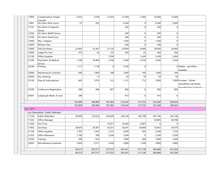| 12804          | Compensation-Pauper<br>Counsel      | 6,547   | 5,978   | 13,435   | 27,500  | 5,385          | 25,000   | 15,000         |                                                  |
|----------------|-------------------------------------|---------|---------|----------|---------|----------------|----------|----------------|--------------------------------------------------|
| 12901          | Per Diem-Petit Jurors               | 57      | 292     |          | 6,500   | 0              | 6,500    | 2,000          |                                                  |
| 13101          | Per Diem-Ct Reporter<br>Venue       |         |         |          | 300     | 0              | 300      | $\Omega$       |                                                  |
| 13202          | Per Diem-Bailiff Venue              |         |         |          | 200     | 0              | 200      | $\overline{0}$ |                                                  |
| 13300          | Per Diem-Grand Jury                 |         |         |          | 500     | 0              | 500      | $\Omega$       |                                                  |
| 13400          | Misc. Indigent                      |         |         |          | 1,500   | 0              | 1,500    | $\Omega$       |                                                  |
| 13600          | <b>Witness Fees</b>                 |         |         |          | 200     | 0              | 200      | $\Omega$       |                                                  |
| 13800          | GAL/Facilitator                     | 25,993  | 33,367  | 27,120   | 30,000  | 8,999          | 30,000   | 30,000         |                                                  |
| 14000          | Judge Pro Tem                       | 375     | 50      | 125      | 500     | 25             | 500      | 500            |                                                  |
| 21100          | Office Supplies                     |         |         | 1,938    |         | 1,439          | 2,450    | 2,450          |                                                  |
| 31206          | Psychiatric & Medical<br>Service    | 1,100   | 10,400  | 3,700    | 2,500   | 4,720          | 2,500    | 2,500          |                                                  |
| 32200          | Printing                            | 1,171   | 1,178   | $\Omega$ | 2,100   | 0              |          |                | 0 Delete - see Office                            |
|                |                                     |         |         |          |         |                |          |                | <b>Supplies</b>                                  |
| 33600          | <b>Maintenance Contracts</b>        | 490     | 1,000   | 188      | 1,000   | 100            | 1,000    | 500            |                                                  |
| 34000          | Dry Cleaning                        |         | 17      |          | 50      | 19             | 50       | 50             |                                                  |
| 35100          | Dues & Subscriptions                | 645     | 1,074   | 513      | 1,121   | 713            | 7,000    |                | 7,000 Increase - Online<br>Lexis/Nexis Law Books |
| 35200          | Conference Registration             | 398     | 406     | 807      | 800     | 0              | 900      | 900            | (transfor from CumCan)                           |
| 39201          | Lodging & Meals of Juror            | 296     |         |          | 915     | $\overline{0}$ | 915      | $\Omega$       |                                                  |
|                |                                     | 163,909 | 184,969 | 181,993  | 214,342 | 127,723        | 225,200  | 209,424        |                                                  |
|                |                                     | 163,909 | 184,969 | 181,993  | 214,342 | 127,723        | 225,200  | 209,424        |                                                  |
| $-$ Loc : 0271 |                                     |         |         |          |         |                |          |                |                                                  |
|                | - Loc Description : Public Defender |         |         |          |         |                |          |                |                                                  |
| 11104          | Public Defenders                    | 59,000  | 172,625 | 226,569  | 238,140 | 182,748        | 287,146  | 262,146        |                                                  |
| 11202          | Office Manager                      |         |         |          |         |                | 43,805   | 40,768         |                                                  |
| 11300          | Part Time                           |         |         | 12,817   | 14,000  | 6,967          | $\Omega$ | $\Omega$       |                                                  |
| 11403          | Secretary                           | 28,810  | 29,387  | 30,257   | 30,291  | 24,800         | 25,855   | 29,370         |                                                  |
| 21100          | Office Supplies                     | 1,787   | 1,563   | 2,272    | 2,000   | 956            | 2,000    | 1,750          |                                                  |
| 21203          | Office Allowance                    | 1,100   | 796     | 2,200    | 2,200   | 0              | 2,200    | 2,200          |                                                  |
| 31200          | Training                            | 590     | 635     |          | 1,000   | 266            | 1,000    | 1,000          |                                                  |
| 32005          | Miscellaneous Expenses              | 2,926   | 2,571   | 3,500    | 3,800   | 1,399          | 3,800    | 3,800          |                                                  |
|                |                                     | 94,213  | 207,577 | 277,615  | 291,431 | 217,136        | 365,806  | 341,034        |                                                  |
|                |                                     | 94,213  | 207,577 | 277,615  | 291,431 | 217,136        | 365,806  | 341,034        |                                                  |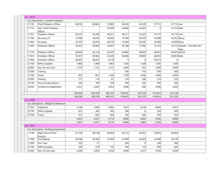| $-$ Loc: 0273                       |                                         |         |         |         |          |                |         |              |                                        |
|-------------------------------------|-----------------------------------------|---------|---------|---------|----------|----------------|---------|--------------|----------------------------------------|
|                                     | - Loc Description : Juvenile Probation  |         |         |         |          |                |         |              |                                        |
| 11105                               | <b>Chief Probation Officer</b>          | 68,552  | 69,642  | 57,883  | 56,250   | 43,229         | 57,712  | 57,712 Jack  |                                        |
| 11114                               | Asst. Chief Probation<br>Officer        |         |         | 52,500  | 64,886   | 44,922         | 0       | 52,723 Matt  |                                        |
| 11207                               | Probation Officer                       | 65,072  | 65,289  | 66,611  | 68,131   | 52,352         | 70,175  | 70,175 Tom   |                                        |
| 11306                               | Secretary (1)                           | 27,940  | 28,538  | 29,384  | 31,949   | 24,479         | 32,908  |              | 32,781 Marcy                           |
| 11403                               | Secretary                               | 24,187  | 26,918  | 28,729  | 31,949   | 20,243         | 32,908  | 33,280 Macy  |                                        |
| 11504                               | Probation Officer                       | 39,457  | 20,992  | 22,607  | 26,188   | 17,996         | 27,723  |              | 25,212 Danelle + \$25,000 User<br>Fees |
| 11710                               | <b>Probation Officer</b>                | 60,836  | 62,134  | 63,439  | 64,886   | 49,859         | 66,833  |              | 66,833 Darrell                         |
| 11814                               | <b>Probation Officer</b>                | 55,307  | 60,964  | 63,439  | 64,886   | 49,859         | 66,833  | 66,833 Kelly |                                        |
| 11906                               | Probation Officer                       | 44,091  | 46,627  | 8,218   | $\Omega$ | $\overline{0}$ | 50,212  | $\mathbf 0$  |                                        |
| 21100                               | Office Supplies                         | 1,966   | 1,468   | 1,483   | 1,500    | 1,438          | 1,500   | 1,500        |                                        |
| 22000                               | Gas, Oil and Lube                       | 1,147   | 1,131   | 1,515   | 2,000    | 435            | 2,000   | 2,000        |                                        |
| 31200                               | Training                                |         |         |         | 500      | 719            | 500     | 500          |                                        |
| 31700                               | Travel                                  | 991     | 857     | 1,306   | 1,700    | 1,046          | 2,000   | 2,000        |                                        |
| 32200                               | Printing                                | 177     | 114     | 81      | 210      | 248            | 210     | 210          |                                        |
| 35100                               | Dues & Subscriptions                    | 395     | 180     | 258     | 400      | 345            | 400     | 400          |                                        |
| 35200                               | Conference Registration                 | 2,812   | 2,824   | 2,654   | 3,000    | 200            | 3,000   | 3,000        |                                        |
|                                     |                                         | 392,930 | 387,678 | 400,107 | 418,435  | 307,370        | 414,914 | 415,159      |                                        |
|                                     |                                         | 392,930 | 387,678 | 400,107 | 418,435  | 307,370        | 414,914 | 415,159      |                                        |
| $\overline{\phantom{0}}$ Loc : 0308 |                                         |         |         |         |          |                |         |              |                                        |
|                                     | - Loc Description : Weights & Measures  |         |         |         |          |                |         |              |                                        |
| 11703                               | Inspectors                              | 5,140   | 5,504   | 5,965   | 7,831    | 3,318          | 8,065   | 7,831        |                                        |
| 21100                               | Office Supplies                         | 261     | 285     | 183     | 300      | $\overline{0}$ | 350     | 300          |                                        |
| 31700                               | Travel                                  | 521     | 642     | 566     | 765      | 346            | 950     | 765          |                                        |
|                                     |                                         | 5,922   | 6,431   | 6,714   | 8,896    | 3,664          | 9,365   | 8,896        |                                        |
|                                     |                                         | 5,922   | 6,431   | 6,714   | 8,896    | 3,664          | 9,365   | 8,896        |                                        |
| $\overline{\phantom{a}}$ Loc : 0312 |                                         |         |         |         |          |                |         |              |                                        |
|                                     | - Loc Description : Building Department |         |         |         |          |                |         |              |                                        |
| 11106                               | Bldg Comm & Plan<br>Director            | 47,194  | 48,138  | 49,564  | 58,112   | 44,597         | 59,855  | 58,693       |                                        |
| 11208                               | <b>First Deputy</b>                     | 28,168  | 26,500  | 27,264  | 31,949   | 24,029         | 32,908  | 32,718       |                                        |
| 11300                               | Part Time                               | 333     | 51      |         | 500      | $\Omega$       | 200     | 200          |                                        |
| 21100                               | Office Supplies                         | 299     | 279     | 776     | 500      | 110            | 600     | 600          |                                        |
| 22000                               | Gas, Oil and Lube                       | 2,096   | 2,936   | 4,226   | 4,000    | 2,527          | 4,500   | 4,500        |                                        |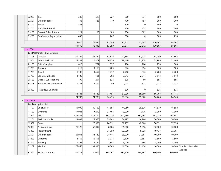| 22200     | <b>Tires</b>                      | 238     | 618     | 727     | 500     | 374      | 800     | 800     |                                              |
|-----------|-----------------------------------|---------|---------|---------|---------|----------|---------|---------|----------------------------------------------|
| 22601     | Other Supplies                    | 138     | 125     | 110     | 400     | 197      | 300     | 300     |                                              |
| 31700     | Travel                            | 488     |         |         | 500     | 0        | 400     | 0       |                                              |
| 33700     | <b>Equipment Repair</b>           |         |         |         | 100     | 123      | 200     | 200     |                                              |
| 35100     | Dues & Subscriptions              | 221     | 189     | 185     | 250     | 685      | 300     | 300     |                                              |
| 35200     | Conference Registration           | 495     |         | 247     | 500     | $\Omega$ | 500     | 250     |                                              |
|           |                                   | 79,670  | 78,836  | 83,099  | 97,311  | 72,642   | 100,563 | 98,561  |                                              |
|           |                                   | 79,670  | 78,836  | 83,099  | 97,311  | 72,642   | 100,563 | 98,561  |                                              |
| Loc: 0361 |                                   |         |         |         |         |          |         |         |                                              |
|           | - Loc Description : Civil Defense |         |         |         |         |          |         |         |                                              |
| 11103     | Director                          | 40,769  | 41,584  | 42,816  | 42,864  | 32,973   | 44,150  | 42,864  |                                              |
| 11401     | Admin Assistant                   | 24,242  | 27,379  | 26,676  | 28,460  | 21,278   | 32,906  | 31,640  |                                              |
| 21100     | Office Supplies                   | 813     | 767     | 537     | 770     | 204      | 770     | 700     |                                              |
| 31200     | Training                          | 217     | 1,116   | 1,783   | 526     | 254      | 526     | 526     |                                              |
| 31700     | Travel                            | 1,196   | 1,457   | 1,277   | 2,700   | 976      | 2,700   | 2,700   |                                              |
| 33700     | Equipment Repair                  | 4,102   | 491     | 792     | 3,513   | 2,944    | 3,513   | 3,513   |                                              |
| 35100     | Dues & Subscriptions              | 199     | 207     | 524     | 595     | 60       | 595     | 595     |                                              |
| 35303     | <b>Emergency Contingency</b>      | 3,245   | 1,779   | 50      | 1,072   | 671      | 1,072   | 1,072   |                                              |
| 35402     | Hazardous Chemical                |         |         |         | 536     | 0        | 536     | 536     |                                              |
|           |                                   | 74,783  | 74,780  | 74,455  | 81,036  | 59,360   | 86,768  | 84,146  |                                              |
|           |                                   | 74,783  | 74,780  | 74,455  | 81,036  | 59,360   | 86,768  | 84,146  |                                              |
| Loc: 0380 |                                   |         |         |         |         |          |         |         |                                              |
|           | Loc Description : Jail            |         |         |         |         |          |         |         |                                              |
| 11107     | Chief Jailer                      | 40,000  | 40,769  | 44,697  | 44,980  | 35,526   | 47,570  | 46,558  |                                              |
| 11500     | Overtime                          | 37,081  | 17,219  | 27,464  | 12,000  | 7,176    | 12,000  | 12,000  |                                              |
| 11604     | Jailers                           | 482,556 | 511,134 | 592,276 | 617,269 | 537,965  | 798,219 | 794,453 |                                              |
| 12201     | <b>Assistant Cooks</b>            | 29,607  | 29,960  | 39,843  | 36,197  | 14,766   | 30,000  | 30,000  |                                              |
| 12302     | Cook                              |         | 20,585  | 24,011  | 30,797  | 42,366   | 58,351  | 57,338  |                                              |
| 12902     | Assistant Jailers                 | 71,528  | 52,097  | 8,084   | 35,000  | 9,098    | 30,000  | 30,000  |                                              |
| 13002     | <b>Facility Maint</b>             |         |         | 31,250  | 32,500  | 8,925    | 49,437  | 32,261  |                                              |
| 22601     | <b>Other Supplies</b>             | 26,931  | 33,540  | 28,446  | 39,000  | 21,381   | 40,000  | 40,000  |                                              |
| 24400     | Uniforms                          | 2,465   | 2,455   | 2,374   | 2,500   | 2,551    | 2,500   | 2,500   |                                              |
| 31200     | Training                          | 1,161   | 1,194   | 3,342   | 5,000   | 666      | 5,000   | 5,000   |                                              |
| 31202     | Medical                           | 176,868 | 231,596 | 16,365  | 10,000  | 21,154   | 10,000  |         | 10,000 Excluded Medical &<br><b>Supplies</b> |
| 31401     | <b>Medical Contract</b>           | 41,833  | 50,000  | 344,067 | 332,600 | 264,667  | 350,400 | 350,400 |                                              |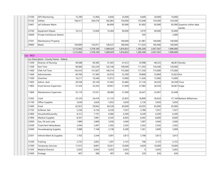| 182,083<br>155,048<br>154,500<br>154,500<br>33102<br>Utlities<br>166,411<br>204,576<br>150,000<br>Jail Software Maint<br>84,990<br>83,990<br>83,990<br>33401<br>81,892<br>83,990 Superion (other dept.<br>reimb)<br>33700<br>16,312<br>15,600<br>3,919<br>40,000<br>35,000<br>Equipment Repair<br>14,364<br>40,000<br>35600<br>Private Inst/Secure Detent.<br>595<br>2,000<br>37501<br>Maintenance Property<br>140,000<br>61,981<br>140,000<br>140,000<br>39900<br>104,899<br>154,971<br>138,537<br>180,000<br>111,024<br>185,400<br>160,000<br>Meals<br>1,212,942<br>1,378,100<br>1,589,029<br>1,816,833<br>1,385,300<br>2,057,367<br>1,996,000<br>1,996,000<br>1,212,942<br>1,378,100<br>1,589,029<br>1,816,833<br>1,385,300<br>2,057,367<br>$-$ Loc : 0622<br>Loc Description : County Home - Elderly<br>49,588<br>40,385<br>41,565<br>35,998<br>48,525<br>48,061 Kendra<br>41,612<br>11209<br>Director of Nursing<br>Part Time<br>90,084<br>102,239<br>120,146<br>109,000<br>111,593<br>154,500<br>150,000<br>11300<br><b>CNA Full Time</b><br>143,410<br>151,607<br>146,514<br>175,000<br>117,350<br>175,000<br>175,000<br>11400<br>11406<br>Administrator<br>40,769<br>41,585<br>42,816<br>52,300<br>39,868<br>53,869<br>52,823 Kris<br>11500<br>Overtime<br>16,217<br>19,346<br>15,913<br>13,000<br>11,426<br>13,000<br>13,000<br>11605<br>29,558<br>30,149<br>31,042<br>35,485<br>27,126<br>36,550<br>36,358 Tricia<br>Admin. Asst.<br>36,067 Angie<br>11802<br><b>Food Service Supervisor</b><br>31,543<br>35,205<br>29,957<br>31,949<br>27,085<br>36,550<br>11806<br>Maintenance Supervisor<br>25,174<br>27,031<br>31,949<br>24,427<br>32,907<br>32,448<br>28,080<br>12302<br>Cook<br>25,376<br>25,855<br>18,890<br>26,624<br>24,418<br>21,135<br>27,144 Barbara Williamson<br>3,636<br>3,620<br>3,932<br>3,650<br>2,126<br>3,650<br>21100<br>Office Supplies<br>3,650<br>21600<br>Food<br>60,000<br>43,035<br>65,000<br>62,923<br>59,942<br>64,528<br>65,000<br>Softener Salt<br>6,530<br>3,789<br>7,037<br>7,037<br>21702<br>5,236<br>6,154<br>7,037<br>21800<br>6,249<br>6,300<br>Household/Laundry<br>6,512<br>7,191<br>6,066<br>6,300<br>6,300<br>21900<br>8,391<br>7,881<br>6,545<br>8,403<br>6,492<br>8,600<br>8,600<br>Medical Supplies<br>1,907<br>3,040<br>22000<br>Gas, Oil and Lube<br>1,989<br>2,869<br>3,036<br>3,040<br>3,040<br>2,592<br>2,262<br>2,502<br>22300<br>Tools, Paint & Hardware<br>2,044<br>2,497<br>2,502<br>2,502<br>22400<br>5,998<br>7,168<br>3,138<br>6,300<br>1,561<br>3,000<br>3,000<br>Housekeeping Supplies<br>1,765<br>23301<br>Vehicle Maint & Supplies<br>2,544<br>3,691<br>3,813<br>3,768<br>3,813<br>3,813<br>2,735<br>3,153<br>31200<br>2,852<br>1,291<br>3,153<br>740<br>3,153<br>Training<br><b>Temporary Services</b><br>31300<br>11,015<br>8,891<br>10,021<br>10,000<br>4,929<br>10,000<br>10,000<br>31305<br><b>Medical Director</b><br>5,043<br>5,043<br>4,203<br>5,043<br>5,043<br>5,043<br>$\overline{0}$<br>497<br>626<br>31600<br>607<br>386<br>626<br>220<br>626 | 31500 | <b>GPS Monitoring</b> | 15,290 | 12,404 | 6,836 | 25,000 | 4,600 | 20,000 | 10,000 |  |
|----------------------------------------------------------------------------------------------------------------------------------------------------------------------------------------------------------------------------------------------------------------------------------------------------------------------------------------------------------------------------------------------------------------------------------------------------------------------------------------------------------------------------------------------------------------------------------------------------------------------------------------------------------------------------------------------------------------------------------------------------------------------------------------------------------------------------------------------------------------------------------------------------------------------------------------------------------------------------------------------------------------------------------------------------------------------------------------------------------------------------------------------------------------------------------------------------------------------------------------------------------------------------------------------------------------------------------------------------------------------------------------------------------------------------------------------------------------------------------------------------------------------------------------------------------------------------------------------------------------------------------------------------------------------------------------------------------------------------------------------------------------------------------------------------------------------------------------------------------------------------------------------------------------------------------------------------------------------------------------------------------------------------------------------------------------------------------------------------------------------------------------------------------------------------------------------------------------------------------------------------------------------------------------------------------------------------------------------------------------------------------------------------------------------------------------------------------------------------------------------------------------------------------------------------------------------------------------------------------------------------------------------------------------------------------------------------------------------------------------------------------------------------------------------------------------------------------------------------------------------------------------------------------------------------------------------------------------------------------------------------------------------------------|-------|-----------------------|--------|--------|-------|--------|-------|--------|--------|--|
|                                                                                                                                                                                                                                                                                                                                                                                                                                                                                                                                                                                                                                                                                                                                                                                                                                                                                                                                                                                                                                                                                                                                                                                                                                                                                                                                                                                                                                                                                                                                                                                                                                                                                                                                                                                                                                                                                                                                                                                                                                                                                                                                                                                                                                                                                                                                                                                                                                                                                                                                                                                                                                                                                                                                                                                                                                                                                                                                                                                                                                  |       |                       |        |        |       |        |       |        |        |  |
|                                                                                                                                                                                                                                                                                                                                                                                                                                                                                                                                                                                                                                                                                                                                                                                                                                                                                                                                                                                                                                                                                                                                                                                                                                                                                                                                                                                                                                                                                                                                                                                                                                                                                                                                                                                                                                                                                                                                                                                                                                                                                                                                                                                                                                                                                                                                                                                                                                                                                                                                                                                                                                                                                                                                                                                                                                                                                                                                                                                                                                  |       |                       |        |        |       |        |       |        |        |  |
|                                                                                                                                                                                                                                                                                                                                                                                                                                                                                                                                                                                                                                                                                                                                                                                                                                                                                                                                                                                                                                                                                                                                                                                                                                                                                                                                                                                                                                                                                                                                                                                                                                                                                                                                                                                                                                                                                                                                                                                                                                                                                                                                                                                                                                                                                                                                                                                                                                                                                                                                                                                                                                                                                                                                                                                                                                                                                                                                                                                                                                  |       |                       |        |        |       |        |       |        |        |  |
|                                                                                                                                                                                                                                                                                                                                                                                                                                                                                                                                                                                                                                                                                                                                                                                                                                                                                                                                                                                                                                                                                                                                                                                                                                                                                                                                                                                                                                                                                                                                                                                                                                                                                                                                                                                                                                                                                                                                                                                                                                                                                                                                                                                                                                                                                                                                                                                                                                                                                                                                                                                                                                                                                                                                                                                                                                                                                                                                                                                                                                  |       |                       |        |        |       |        |       |        |        |  |
|                                                                                                                                                                                                                                                                                                                                                                                                                                                                                                                                                                                                                                                                                                                                                                                                                                                                                                                                                                                                                                                                                                                                                                                                                                                                                                                                                                                                                                                                                                                                                                                                                                                                                                                                                                                                                                                                                                                                                                                                                                                                                                                                                                                                                                                                                                                                                                                                                                                                                                                                                                                                                                                                                                                                                                                                                                                                                                                                                                                                                                  |       |                       |        |        |       |        |       |        |        |  |
|                                                                                                                                                                                                                                                                                                                                                                                                                                                                                                                                                                                                                                                                                                                                                                                                                                                                                                                                                                                                                                                                                                                                                                                                                                                                                                                                                                                                                                                                                                                                                                                                                                                                                                                                                                                                                                                                                                                                                                                                                                                                                                                                                                                                                                                                                                                                                                                                                                                                                                                                                                                                                                                                                                                                                                                                                                                                                                                                                                                                                                  |       |                       |        |        |       |        |       |        |        |  |
|                                                                                                                                                                                                                                                                                                                                                                                                                                                                                                                                                                                                                                                                                                                                                                                                                                                                                                                                                                                                                                                                                                                                                                                                                                                                                                                                                                                                                                                                                                                                                                                                                                                                                                                                                                                                                                                                                                                                                                                                                                                                                                                                                                                                                                                                                                                                                                                                                                                                                                                                                                                                                                                                                                                                                                                                                                                                                                                                                                                                                                  |       |                       |        |        |       |        |       |        |        |  |
|                                                                                                                                                                                                                                                                                                                                                                                                                                                                                                                                                                                                                                                                                                                                                                                                                                                                                                                                                                                                                                                                                                                                                                                                                                                                                                                                                                                                                                                                                                                                                                                                                                                                                                                                                                                                                                                                                                                                                                                                                                                                                                                                                                                                                                                                                                                                                                                                                                                                                                                                                                                                                                                                                                                                                                                                                                                                                                                                                                                                                                  |       |                       |        |        |       |        |       |        |        |  |
|                                                                                                                                                                                                                                                                                                                                                                                                                                                                                                                                                                                                                                                                                                                                                                                                                                                                                                                                                                                                                                                                                                                                                                                                                                                                                                                                                                                                                                                                                                                                                                                                                                                                                                                                                                                                                                                                                                                                                                                                                                                                                                                                                                                                                                                                                                                                                                                                                                                                                                                                                                                                                                                                                                                                                                                                                                                                                                                                                                                                                                  |       |                       |        |        |       |        |       |        |        |  |
|                                                                                                                                                                                                                                                                                                                                                                                                                                                                                                                                                                                                                                                                                                                                                                                                                                                                                                                                                                                                                                                                                                                                                                                                                                                                                                                                                                                                                                                                                                                                                                                                                                                                                                                                                                                                                                                                                                                                                                                                                                                                                                                                                                                                                                                                                                                                                                                                                                                                                                                                                                                                                                                                                                                                                                                                                                                                                                                                                                                                                                  |       |                       |        |        |       |        |       |        |        |  |
|                                                                                                                                                                                                                                                                                                                                                                                                                                                                                                                                                                                                                                                                                                                                                                                                                                                                                                                                                                                                                                                                                                                                                                                                                                                                                                                                                                                                                                                                                                                                                                                                                                                                                                                                                                                                                                                                                                                                                                                                                                                                                                                                                                                                                                                                                                                                                                                                                                                                                                                                                                                                                                                                                                                                                                                                                                                                                                                                                                                                                                  |       |                       |        |        |       |        |       |        |        |  |
|                                                                                                                                                                                                                                                                                                                                                                                                                                                                                                                                                                                                                                                                                                                                                                                                                                                                                                                                                                                                                                                                                                                                                                                                                                                                                                                                                                                                                                                                                                                                                                                                                                                                                                                                                                                                                                                                                                                                                                                                                                                                                                                                                                                                                                                                                                                                                                                                                                                                                                                                                                                                                                                                                                                                                                                                                                                                                                                                                                                                                                  |       |                       |        |        |       |        |       |        |        |  |
|                                                                                                                                                                                                                                                                                                                                                                                                                                                                                                                                                                                                                                                                                                                                                                                                                                                                                                                                                                                                                                                                                                                                                                                                                                                                                                                                                                                                                                                                                                                                                                                                                                                                                                                                                                                                                                                                                                                                                                                                                                                                                                                                                                                                                                                                                                                                                                                                                                                                                                                                                                                                                                                                                                                                                                                                                                                                                                                                                                                                                                  |       |                       |        |        |       |        |       |        |        |  |
|                                                                                                                                                                                                                                                                                                                                                                                                                                                                                                                                                                                                                                                                                                                                                                                                                                                                                                                                                                                                                                                                                                                                                                                                                                                                                                                                                                                                                                                                                                                                                                                                                                                                                                                                                                                                                                                                                                                                                                                                                                                                                                                                                                                                                                                                                                                                                                                                                                                                                                                                                                                                                                                                                                                                                                                                                                                                                                                                                                                                                                  |       |                       |        |        |       |        |       |        |        |  |
|                                                                                                                                                                                                                                                                                                                                                                                                                                                                                                                                                                                                                                                                                                                                                                                                                                                                                                                                                                                                                                                                                                                                                                                                                                                                                                                                                                                                                                                                                                                                                                                                                                                                                                                                                                                                                                                                                                                                                                                                                                                                                                                                                                                                                                                                                                                                                                                                                                                                                                                                                                                                                                                                                                                                                                                                                                                                                                                                                                                                                                  |       |                       |        |        |       |        |       |        |        |  |
|                                                                                                                                                                                                                                                                                                                                                                                                                                                                                                                                                                                                                                                                                                                                                                                                                                                                                                                                                                                                                                                                                                                                                                                                                                                                                                                                                                                                                                                                                                                                                                                                                                                                                                                                                                                                                                                                                                                                                                                                                                                                                                                                                                                                                                                                                                                                                                                                                                                                                                                                                                                                                                                                                                                                                                                                                                                                                                                                                                                                                                  |       |                       |        |        |       |        |       |        |        |  |
|                                                                                                                                                                                                                                                                                                                                                                                                                                                                                                                                                                                                                                                                                                                                                                                                                                                                                                                                                                                                                                                                                                                                                                                                                                                                                                                                                                                                                                                                                                                                                                                                                                                                                                                                                                                                                                                                                                                                                                                                                                                                                                                                                                                                                                                                                                                                                                                                                                                                                                                                                                                                                                                                                                                                                                                                                                                                                                                                                                                                                                  |       |                       |        |        |       |        |       |        |        |  |
|                                                                                                                                                                                                                                                                                                                                                                                                                                                                                                                                                                                                                                                                                                                                                                                                                                                                                                                                                                                                                                                                                                                                                                                                                                                                                                                                                                                                                                                                                                                                                                                                                                                                                                                                                                                                                                                                                                                                                                                                                                                                                                                                                                                                                                                                                                                                                                                                                                                                                                                                                                                                                                                                                                                                                                                                                                                                                                                                                                                                                                  |       |                       |        |        |       |        |       |        |        |  |
|                                                                                                                                                                                                                                                                                                                                                                                                                                                                                                                                                                                                                                                                                                                                                                                                                                                                                                                                                                                                                                                                                                                                                                                                                                                                                                                                                                                                                                                                                                                                                                                                                                                                                                                                                                                                                                                                                                                                                                                                                                                                                                                                                                                                                                                                                                                                                                                                                                                                                                                                                                                                                                                                                                                                                                                                                                                                                                                                                                                                                                  |       |                       |        |        |       |        |       |        |        |  |
|                                                                                                                                                                                                                                                                                                                                                                                                                                                                                                                                                                                                                                                                                                                                                                                                                                                                                                                                                                                                                                                                                                                                                                                                                                                                                                                                                                                                                                                                                                                                                                                                                                                                                                                                                                                                                                                                                                                                                                                                                                                                                                                                                                                                                                                                                                                                                                                                                                                                                                                                                                                                                                                                                                                                                                                                                                                                                                                                                                                                                                  |       |                       |        |        |       |        |       |        |        |  |
|                                                                                                                                                                                                                                                                                                                                                                                                                                                                                                                                                                                                                                                                                                                                                                                                                                                                                                                                                                                                                                                                                                                                                                                                                                                                                                                                                                                                                                                                                                                                                                                                                                                                                                                                                                                                                                                                                                                                                                                                                                                                                                                                                                                                                                                                                                                                                                                                                                                                                                                                                                                                                                                                                                                                                                                                                                                                                                                                                                                                                                  |       |                       |        |        |       |        |       |        |        |  |
|                                                                                                                                                                                                                                                                                                                                                                                                                                                                                                                                                                                                                                                                                                                                                                                                                                                                                                                                                                                                                                                                                                                                                                                                                                                                                                                                                                                                                                                                                                                                                                                                                                                                                                                                                                                                                                                                                                                                                                                                                                                                                                                                                                                                                                                                                                                                                                                                                                                                                                                                                                                                                                                                                                                                                                                                                                                                                                                                                                                                                                  |       |                       |        |        |       |        |       |        |        |  |
|                                                                                                                                                                                                                                                                                                                                                                                                                                                                                                                                                                                                                                                                                                                                                                                                                                                                                                                                                                                                                                                                                                                                                                                                                                                                                                                                                                                                                                                                                                                                                                                                                                                                                                                                                                                                                                                                                                                                                                                                                                                                                                                                                                                                                                                                                                                                                                                                                                                                                                                                                                                                                                                                                                                                                                                                                                                                                                                                                                                                                                  |       |                       |        |        |       |        |       |        |        |  |
|                                                                                                                                                                                                                                                                                                                                                                                                                                                                                                                                                                                                                                                                                                                                                                                                                                                                                                                                                                                                                                                                                                                                                                                                                                                                                                                                                                                                                                                                                                                                                                                                                                                                                                                                                                                                                                                                                                                                                                                                                                                                                                                                                                                                                                                                                                                                                                                                                                                                                                                                                                                                                                                                                                                                                                                                                                                                                                                                                                                                                                  |       |                       |        |        |       |        |       |        |        |  |
|                                                                                                                                                                                                                                                                                                                                                                                                                                                                                                                                                                                                                                                                                                                                                                                                                                                                                                                                                                                                                                                                                                                                                                                                                                                                                                                                                                                                                                                                                                                                                                                                                                                                                                                                                                                                                                                                                                                                                                                                                                                                                                                                                                                                                                                                                                                                                                                                                                                                                                                                                                                                                                                                                                                                                                                                                                                                                                                                                                                                                                  |       |                       |        |        |       |        |       |        |        |  |
|                                                                                                                                                                                                                                                                                                                                                                                                                                                                                                                                                                                                                                                                                                                                                                                                                                                                                                                                                                                                                                                                                                                                                                                                                                                                                                                                                                                                                                                                                                                                                                                                                                                                                                                                                                                                                                                                                                                                                                                                                                                                                                                                                                                                                                                                                                                                                                                                                                                                                                                                                                                                                                                                                                                                                                                                                                                                                                                                                                                                                                  |       |                       |        |        |       |        |       |        |        |  |
|                                                                                                                                                                                                                                                                                                                                                                                                                                                                                                                                                                                                                                                                                                                                                                                                                                                                                                                                                                                                                                                                                                                                                                                                                                                                                                                                                                                                                                                                                                                                                                                                                                                                                                                                                                                                                                                                                                                                                                                                                                                                                                                                                                                                                                                                                                                                                                                                                                                                                                                                                                                                                                                                                                                                                                                                                                                                                                                                                                                                                                  |       |                       |        |        |       |        |       |        |        |  |
|                                                                                                                                                                                                                                                                                                                                                                                                                                                                                                                                                                                                                                                                                                                                                                                                                                                                                                                                                                                                                                                                                                                                                                                                                                                                                                                                                                                                                                                                                                                                                                                                                                                                                                                                                                                                                                                                                                                                                                                                                                                                                                                                                                                                                                                                                                                                                                                                                                                                                                                                                                                                                                                                                                                                                                                                                                                                                                                                                                                                                                  |       |                       |        |        |       |        |       |        |        |  |
|                                                                                                                                                                                                                                                                                                                                                                                                                                                                                                                                                                                                                                                                                                                                                                                                                                                                                                                                                                                                                                                                                                                                                                                                                                                                                                                                                                                                                                                                                                                                                                                                                                                                                                                                                                                                                                                                                                                                                                                                                                                                                                                                                                                                                                                                                                                                                                                                                                                                                                                                                                                                                                                                                                                                                                                                                                                                                                                                                                                                                                  |       |                       |        |        |       |        |       |        |        |  |
|                                                                                                                                                                                                                                                                                                                                                                                                                                                                                                                                                                                                                                                                                                                                                                                                                                                                                                                                                                                                                                                                                                                                                                                                                                                                                                                                                                                                                                                                                                                                                                                                                                                                                                                                                                                                                                                                                                                                                                                                                                                                                                                                                                                                                                                                                                                                                                                                                                                                                                                                                                                                                                                                                                                                                                                                                                                                                                                                                                                                                                  |       |                       |        |        |       |        |       |        |        |  |
|                                                                                                                                                                                                                                                                                                                                                                                                                                                                                                                                                                                                                                                                                                                                                                                                                                                                                                                                                                                                                                                                                                                                                                                                                                                                                                                                                                                                                                                                                                                                                                                                                                                                                                                                                                                                                                                                                                                                                                                                                                                                                                                                                                                                                                                                                                                                                                                                                                                                                                                                                                                                                                                                                                                                                                                                                                                                                                                                                                                                                                  |       |                       |        |        |       |        |       |        |        |  |
|                                                                                                                                                                                                                                                                                                                                                                                                                                                                                                                                                                                                                                                                                                                                                                                                                                                                                                                                                                                                                                                                                                                                                                                                                                                                                                                                                                                                                                                                                                                                                                                                                                                                                                                                                                                                                                                                                                                                                                                                                                                                                                                                                                                                                                                                                                                                                                                                                                                                                                                                                                                                                                                                                                                                                                                                                                                                                                                                                                                                                                  |       | Postage               |        |        |       |        |       |        |        |  |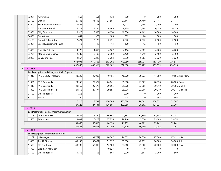| 32201     | Advertising                                     | 663     | 651     | 538     | 700      | 0        | 700             | 700             |                    |
|-----------|-------------------------------------------------|---------|---------|---------|----------|----------|-----------------|-----------------|--------------------|
| 33102     | <b>Utlities</b>                                 | 25,448  | 31,793  | 31,581  | 37,141   | 26,460   | 37,141          | 37,141          |                    |
| 33600     | Maintenance Contracts                           | 7,606   | 10,833  | 13,223  | 8,923    | 12,146   | 17,200          | 17,200          |                    |
| 33700     | Equipment Repair                                | 6,122   | 5,294   | 4,669   | 6,139    | 7,368    | 6,139           | 6,139           |                    |
| 33901     | <b>Bldg Structure</b>                           | 9,928   | 7,596   | 6,634   | 10,000   | 8,162    | 10,000          | 10,000          |                    |
| 34001     | Farm & Yard                                     | 851     | 373     | 186     | 882      | 88       | 500             | 500             |                    |
| 35100     | Dues & Subscriptions                            | 2,421   | 2,123   | 2,251   | 2,622    | 2,572    | 2,500           | 2,500           |                    |
| 35201     | Special Assessment Taxes                        | 13      | 13      | 13      | 100      | 12       | 50 <sup>1</sup> | 50 <sup>1</sup> |                    |
| 35403     | Social & Activities                             | 4,176   | 4,056   | 4,067   | 4,106    | 4,285    | 4,200           | 4,200           |                    |
| 35701     | Mound Maintenance                               | 2,385   | 2,400   | 2,200   | 2,400    | 1,710    | 2,400           | 2,400           |                    |
| 38300     | <b>Consulting Fees</b>                          | 2,867   | 5,228   | 3,762   | 3,020    | 6,083    | 3,020           | 3,020           |                    |
|           |                                                 | 632,093 | 659,363 | 662,362 | 712,050  | 559,727  | 783,139         | 776,515         |                    |
|           |                                                 | 632,093 | 659,363 | 662,362 | 712,050  | 559,727  | 783,139         | 776,515         |                    |
| Loc: 0660 |                                                 |         |         |         |          |          |                 |                 |                    |
|           | - Loc Description : 4-D Program (Child Support) |         |         |         |          |          |                 |                 |                    |
| 11210     | IV-D Deputy Prosecutor                          | 38,235  | 39,000  | 40,155  | 40,200   | 30,923   | 41,389          |                 | 40,586 Julie-Marie |
| 11301     | <b>IV-D Caseworker</b>                          | 29,555  | 29,577  | 26,641  | 29,908   | 21,627   | 28,958          | 28,826 Fawn     |                    |
| 11410     | IV-D Caseworker (1)                             | 29,555  | 29,577  | 29,895  | 29,908   | 23,006   | 30,910          |                 | 30,386 Janelle     |
| 11809     | IV-D Caseworker (2)                             | 29,555  | 29,577  | 29,895  | 29,908   | 23,006   | 30,910          |                 | 30,345 Michelle    |
| 21100     | Office Supplies                                 | 268     |         |         | 1,260    | 0        | 1,260           | 1,260           |                    |
| 31700     | Travel                                          | 60      |         |         | 904      | 0        | 904             | 904             |                    |
|           |                                                 | 127,228 | 127,731 | 126,586 | 132,088  | 98,562   | 134,331         | 132,307         |                    |
|           |                                                 | 127,228 | 127,731 | 126,586 | 132,088  | 98,562   | 134,331         | 132,307         |                    |
| Loc: 0750 |                                                 |         |         |         |          |          |                 |                 |                    |
|           | - Loc Description : Soil & Water Conservation   |         |         |         |          |          |                 |                 |                    |
| 11108     | Conservationist                                 | 34,654  | 36,190  | 36,394  | 42,363   | 32,359   | 43,634          | 42,787          |                    |
| 11605     | Admin. Asst.                                    | 29,009  | 26,423  | 27,756  | 28,746   | 13,830   | 29,608          | 29,474          |                    |
|           |                                                 | 63,663  | 62,613  | 64,150  | 71,109   | 46,189   | 73,242          | 72,261          |                    |
|           |                                                 | 63,663  | 62,613  | 64,150  | 71,109   | 46,189   | 73,242          | 72,261          |                    |
| Loc: 9600 |                                                 |         |         |         |          |          |                 |                 |                    |
|           | - Loc Description : Information Systems         |         |         |         |          |          |                 |                 |                    |
| 11102     | IS Manager                                      | 92,000  | 93,769  | 96,547  | 96,655   | 74,350   | 97,000          | 97,622 Mike     |                    |
| 11405     | Ass. IT Director                                | 45,192  | 50,481  | 51,957  | 55,000   | 42,193   | 70,000          | 70,000 Bob      |                    |
| 11602     | GIS Employee                                    | 48,790  | 52,000  | 53,500  | 53,560   | 41,200   | 70,000          | 70,000 Ethan    |                    |
| 11709     | Workflow Manager                                |         |         | 40,527  | $\Omega$ | $\Omega$ | $\Omega$        | 0               |                    |
| 21100     | Office Supplies                                 | 1,312   | 53      | 804     | 1,000    | 1,564    | 2,000           | 1,500           |                    |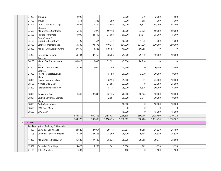| 31200     | Training                              | 2,998   |         |           | 2,000     | 749     | 2,000     | 500          |  |
|-----------|---------------------------------------|---------|---------|-----------|-----------|---------|-----------|--------------|--|
| 31700     | Travel                                | 311     | 388     | 1,099     | 1,000     | 605     | 1,000     | 1,000        |  |
| 32804     | Copy Machine & Usage<br>Charges       | 4,604   | 19,474  | 14,646    | 15,000    | 10,811  | 45,000    | 45,000       |  |
| 33600     | <b>Maintenance Contracts</b>          | 15,540  | 18,077  | 59,118    | 36,000    | 33,625  | 50,000    | 50,000       |  |
| 33603     | Repairs to DeMarc<br>Room&New IT      | 11,009  | 21,119  | 31,688    | 50,000    | 51,817  | 25,000    | 15,000       |  |
| 35100     | Dues & Subscriptions                  | 99      | 614     | 277       | 10,000    | 1,336   | 1,000     | 1,000        |  |
| 35700     | Software Maintenance                  | 161,380 | 494,773 | 440,043   | 384,000   | 334,236 | 390,000   | 390,000      |  |
| 35800     | Maint. Fund Acct Software             | 27,839  | 14,325  | 119,153   | 40,000    | 80,955  | 0         | $\mathbf{0}$ |  |
| 35900     | Internet & Network<br><b>Services</b> | 69,734  | 87,465  | 78,766    | 75,000    | 79,540  | 90,000    | 90,000       |  |
| 36200     | Maint. Tax & Assessment<br>SW         | 48,815  | 23,030  | 52,022    | 47,000    | 24,910  | 0         | $\mathbf 0$  |  |
| 37800     | Maint. Court & Clerk<br>Software      | 3,299   | 7,000   | 149       | 10,450    | 0       | 10,450    | 2,500        |  |
| 37900     | Phone Handset&Server<br>Maint         |         |         | 5,198     | 20,000    | 13,370  | 20,000    | 10,000       |  |
| 38000     | Server Hardware Maint                 |         |         | 8,153     | 25,000    | 31      | 25,000    | 10,000       |  |
| 38100     | Nimble SAN Maint                      |         |         | 24,695    | 22,000    | 0       | 22,000    | 25,000       |  |
| 38200     | Fortigate Firewall Maint              |         |         | 5,176     | 25,000    | 5,576   | 30,000    | 6,000        |  |
| 38300     | <b>Consulting Fees</b>                | 11,648  | 97,840  | 72,336    | 70,000    | 80,524  | 90,000    | 90,000       |  |
| 38301     | Backup Servers & Storage<br>Maint     |         |         | 2,581     | 30,000    | 3,314   | 30,000    | 10,000       |  |
| 38400     | Aruba Switch Maint                    |         |         |           | 10,000    | 0       | 50,000    | 10,000       |  |
| 38500     | <b>EMC SAN Maint</b>                  |         |         |           | $\Omega$  | 0       | $\Omega$  | $\Omega$     |  |
| 38600     | <b>UPS Maint</b>                      |         |         |           | 10,000    | 0       | 15,000    | 15,000       |  |
|           |                                       | 544,570 | 980,408 | 1,158,435 | 1,088,665 | 880,706 | 1,135,450 | 1,010,122    |  |
|           |                                       | 544,570 | 980,408 | 1,158,435 | 1,088,665 | 880,706 | 1,135,450 | 1,010,122    |  |
| Loc: 9601 |                                       |         |         |           |           |         |           |              |  |
|           | Loc Description : Building & Grounds  |         |         |           |           |         |           |              |  |
| 11407     | Custodial Courthouse                  | 23,620  | 27,054  | 29,143    | 27,887    | 19,888  | 26,630    | 26,499       |  |
| 11705     | <b>Custodial Service Complex</b>      | 19,787  | 27,563  | 28,369    | 28,400    | 19,408  | 26,630    | 26,520       |  |
| 11806     | Maintenance Supervisor                | 36,622  | 37,426  | 38,535    | 38,578    | 29,358  | 39,271    | 38,508       |  |
| 12002     | Custodial Extra Help                  | 4,420   | 1,290   | 1,341     | 5,000     | 165     | 5,150     | 5,150        |  |
| 21100     | Office Supplies                       | 293     |         |           | 100       | 0       | 100       | 100          |  |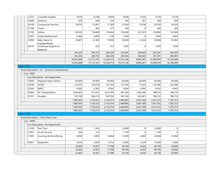|                   | 22101          | Custodial Supplies                              | 8,019      | 8,248      | 9,094      | 9,000      | 6,292          | 9,270      | 9,270          |  |
|-------------------|----------------|-------------------------------------------------|------------|------------|------------|------------|----------------|------------|----------------|--|
|                   | 24400          | Uniforms                                        | 305        | 340        | 134        | 400        | 391            | 400        | 400            |  |
|                   | 30100          | <b>Contractural Services</b>                    | 19,970     | 21,851     | 17,360     | 23,500     | 13,296         | 24,205     | 24,205         |  |
|                   | 31700          | Travel                                          |            | 285        | 277        | 300        | $\overline{0}$ | 300        | 300            |  |
|                   | 33102          | <b>Utlities</b>                                 | 94,202     | 118,889    | 118,664    | 130,000    | 101,323        | 133,900    | 133,900        |  |
|                   | 33301          | Carpet Replacement                              | 4,360      | 4,000      | 1,109      | 3,500      | $\overline{0}$ | 3,605      | 3,605          |  |
|                   | 33900          | Bldg. Maint. &                                  | 30,667     | 22,384     | 19,899     | 30,000     | 14,324         | 30,900     | 30,900         |  |
|                   |                | Supplies/Repair                                 |            |            |            |            |                |            |                |  |
|                   | 34103          | Landscape Supplies &                            |            | 422        | 415        | 1,000      | 0              | 1,030      | 1,030          |  |
|                   |                | Materials                                       | 242,265    | 269,752    | 264,340    | 297,665    | 204,445        | 301,391    | 300,387        |  |
|                   |                |                                                 | 242,265    | 269,752    | 264,340    | 297,665    | 204,445        | 301,391    | 300,387        |  |
|                   |                |                                                 | 10,932,668 | 12,712,161 | 12,320,215 | 13,273,146 | 9,685,387      | 14,580,076 | 14,166,589     |  |
|                   |                |                                                 | 10,932,668 | 12,712,161 | 12,320,215 | 13,273,146 | 9,685,387      | 14,580,076 | 14,166,589     |  |
| Fund: 1112        |                |                                                 |            |            |            |            |                |            |                |  |
|                   |                | - Fund Description : LIT - Economic Development |            |            |            |            |                |            |                |  |
|                   | $-$ Loc : 0000 |                                                 |            |            |            |            |                |            |                |  |
|                   |                | Loc Description : No Department                 |            |            |            |            |                |            |                |  |
|                   | 35000          | Regional Sewer District                         | 60,000     | 85,000     | 60,000     | 60,000     | 60,000         | 85,000     | 60,000         |  |
|                   | 35206          | <b>ACEDC</b>                                    | 116,337    | 122,618    | 123,182    | 123,183    | 71,643         | 143,286    | 143,286        |  |
|                   | 35304          | <b>NIRCC</b>                                    | 6,582      | 6,582      | 6,582      | 6,600      | 6,582          | 6,642      | 6,642          |  |
|                   | 35404          | <b>AC Transportation</b>                        | 1,059,025  | 572,937    | 1,015,594  | 947,556    | 1,050,384      | 788,722    | 788,722        |  |
|                   | 35501          | Hospital                                        | 745,749    | 943,216    | 947,556    | 947,556    | 852,891        | 788,722    | 788,722        |  |
|                   |                |                                                 | 1,987,693  | 1,730,353  | 2,152,914  | 2,084,895  | 2,041,500      | 1,812,372  | 1,787,372      |  |
|                   |                |                                                 | 1,987,693  | 1,730,353  | 2,152,914  | 2,084,895  | 2,041,500      | 1,812,372  | 1,787,372      |  |
|                   |                |                                                 | 1,987,693  | 1,730,353  | 2,152,914  | 2,084,895  | 2,041,500      | 1,812,372  | 1,787,372      |  |
|                   |                |                                                 | 1,987,693  | 1,730,353  | 2,152,914  | 2,084,895  | 2,041,500      | 1,812,372  | 1,787,372      |  |
| <b>Fund: 1119</b> |                |                                                 |            |            |            |            |                |            |                |  |
|                   |                | - Fund Description : Clerks Perp Fund           |            |            |            |            |                |            |                |  |
|                   | $-$ Loc : 0000 |                                                 |            |            |            |            |                |            |                |  |
|                   |                | Loc Description : No Department                 |            |            |            |            |                |            |                |  |
|                   | 11300          | Part Time                                       | 3,815      | 1,745      |            | 13,000     | 0              | 13,000     | 0              |  |
|                   | 12301          | Social Security                                 | 292        | 133        |            | 1,100      | 0              | 1,100      | $\overline{0}$ |  |
|                   | 31901          | Scanning & Microfilming                         | 8,900      | 9,060      | 14,844     | 13,000     | 4,085          | 20,000     | 15,000         |  |
|                   | 42601          | Equipment                                       | 9,676      | 3,629      | 2,754      | 12,000     | 2,339          | 15,000     | 5,000          |  |
|                   |                |                                                 | 22,683     | 14,567     | 17,598     | 39,100     | 6,424          | 49,100     | 20,000         |  |
|                   |                |                                                 | 22,683     | 14,567     | 17,598     | 39,100     | 6,424          | 49,100     | 20,000         |  |
|                   |                |                                                 | 22,683     | 14,567     | 17,598     | 39,100     | 6,424          | 49,100     | 20,000         |  |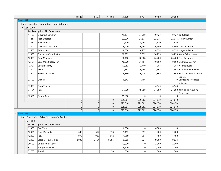|                   |                |                                                    | 22,683    | 14,567   | 17,598 | 39,100  | 6,424          | 49,100   | 20,000  |                                           |
|-------------------|----------------|----------------------------------------------------|-----------|----------|--------|---------|----------------|----------|---------|-------------------------------------------|
| <b>Fund: 1122</b> |                |                                                    |           |          |        |         |                |          |         |                                           |
|                   |                | - Fund Description : Comm Corr Home Detention      |           |          |        |         |                |          |         |                                           |
|                   | $-$ Loc : 0000 |                                                    |           |          |        |         |                |          |         |                                           |
|                   |                | Loc Description : No Department                    |           |          |        |         |                |          |         |                                           |
|                   | 11109          | <b>Executive Director</b>                          |           |          |        | 49,127  | 37,790         | 49,127   |         | 49,127 lan Gilbert                        |
|                   | 11211          | Asst. Director                                     |           |          |        | 32,076  | 24,674         | 32,076   |         | 32,076 Jeremy Wetter                      |
|                   | 11411          | Field Officer                                      |           |          |        | 22,620  | 14,964         | 22,620   | 22,620  |                                           |
|                   | 11502          | Case Mgr./Full Time                                |           |          |        | 26,400  | 16,965         | 26,400   |         | 26,400 Madison Hake                       |
|                   | 11605          | Admin. Asst.                                       |           |          |        | 18,534  | 14,257         | 18,534   |         | 18,534 Magen Wilson                       |
|                   | 11900          | <b>Education Coordinator</b>                       |           |          |        | 10,259  | 7,892          | 10,259   |         | 10,259 Aaron Scheumann                    |
|                   | 12005          | Case Manager                                       |           |          |        | 26,400  | 20,308         | 26,400   |         | 26,400 Carly Raymond                      |
|                   | 12101          | Case Mgr. Supervisor                               |           |          |        | 40,500  | 31,154         | 40,500   |         | 40,500 Stephanie Beaver                   |
|                   | 12301          | Social Security                                    |           |          |        | 17,283  | 12,440         | 17,283   |         | 17,283 All employees                      |
|                   | 12402          | <b>PERF</b>                                        |           |          |        | 27,562  | 20,496         | 27,562   |         | 27,562 All full time employees            |
|                   | 12601          | Health Insurance                                   |           |          |        | 9,360   | 6,276          | 23,366   |         | 23,366 Health Ins Reimb. to Co<br>General |
|                   | 33102          | <b>Utlities</b>                                    |           |          |        | 6,543   | 4,166          |          |         | 0 Utilities pd for leased<br>building     |
|                   | 33800          | Drug Testing                                       |           |          |        |         |                | 6,543    | 6,543   |                                           |
|                   | 34104          | Rent                                               |           |          |        | 24,000  | 18,000         | 24,000   |         | 24,000 Rent pd to Piqua Ad<br>Enterprises |
|                   | 32501          | <b>Bowen Center</b>                                |           |          |        | 15,000  | 0              | $\Omega$ | 0       |                                           |
|                   |                |                                                    | 0         | 0        | 0      | 325,664 | 229,382        | 324,670  | 324,670 |                                           |
|                   |                |                                                    | $\vert$ 0 | $\Omega$ | 0      | 325,664 | 229,382        | 324,670  | 324,670 |                                           |
|                   |                |                                                    | 0         | 0        | 0      | 325,664 | 229,382        | 324,670  | 324,670 |                                           |
|                   |                |                                                    | 0         | 0        | 0      | 325,664 | 229,382        | 324,670  | 324,670 |                                           |
| <b>Fund: 1131</b> |                |                                                    |           |          |        |         |                |          |         |                                           |
|                   |                | - Fund Description : Sales Disclosure Verification |           |          |        |         |                |          |         |                                           |
|                   | $-$ Loc : 0000 |                                                    |           |          |        |         |                |          |         |                                           |
|                   |                | Loc Description : No Department                    |           |          |        |         |                |          |         |                                           |
|                   | 11300          | Part Time                                          |           |          |        | 6,000   | 0              | 6,000    | 0       |                                           |
|                   | 12301          | Social Security                                    | 606       | 617      | 318    | 1,155   | 555            | 1,200    | 1,200   |                                           |
|                   | 12402          | <b>PERF</b>                                        | 976       | 995      | 512    | 1,050   | 894            | 1,100    | 1,100   |                                           |
|                   | 12403          | Sales Disclosure Clerk                             | 8,000     | 8,154    | 8,395  | 9,585   | 7,327          | 9,900    | 9,834   |                                           |
|                   | 30100          | <b>Contractural Services</b>                       |           |          |        | 12,000  | $\overline{0}$ | 12,000   | 12,000  |                                           |
|                   | 31300          | <b>Temporary Services</b>                          |           |          |        | 3,100   | $\overline{0}$ | 3,100    | 3,100   |                                           |
|                   | 31700          | Travel                                             |           |          | 50     | 1,500   | $\overline{0}$ | 1,500    | 1,500   |                                           |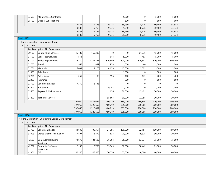|                   | 33600          | Maintenance Contracts                               |         |           |         | 5,000          | 0        | 5,000    | 5,000          |  |
|-------------------|----------------|-----------------------------------------------------|---------|-----------|---------|----------------|----------|----------|----------------|--|
|                   | 35100          | Dues & Subscriptions                                |         |           |         | 600            | $\Omega$ | 600      | 600            |  |
|                   |                |                                                     | 9,582   | 9,766     | 9,275   | 39,990         | 8,776    | 40,400   | 34,334         |  |
|                   |                |                                                     | 9,582   | 9,766     | 9,275   | 39,990         | 8,776    | 40,400   | 34,334         |  |
|                   |                |                                                     | 9,582   | 9,766     | 9,275   | 39,990         | 8,776    | 40,400   | 34,334         |  |
|                   |                |                                                     | 9,582   | 9,766     | 9,275   | 39,990         | 8,776    | 40,400   | 34,334         |  |
| <b>Fund: 1135</b> |                |                                                     |         |           |         |                |          |          |                |  |
|                   |                | - Fund Description : Cumulative Bridge              |         |           |         |                |          |          |                |  |
|                   | $-$ Loc : 0000 |                                                     |         |           |         |                |          |          |                |  |
|                   |                | Loc Description : No Department                     |         |           |         |                |          |          |                |  |
|                   | 30100          | <b>Contractural Services</b>                        | 45,482  | 160,388   | 0       | $\overline{0}$ | 61,976   | 15,000   | 15,000         |  |
|                   | 31100          | Legal Fees/Services                                 | 513     |           | 1,644   | 5,000          | 493      | 5,000    | 5,000          |  |
|                   | 31101          | Bridge Replacement                                  | 736,370 | 1,157,227 | 326,640 | 800,000        | 829,501  | 800,000  | 800,000        |  |
|                   | 31700          | Travel                                              | 955     | 852       | 938     | 1,000          | 460      | 1,000    | 1,000          |  |
|                   | 31701          | Materials                                           | 6,091   | 1,270     | 14,659  | 15,000         | 2,522    | 15,000   | 15,000         |  |
|                   | 31800          | Telephone                                           |         |           |         | 1,000          | 0        | 1,000    | 1,000          |  |
|                   | 32201          | Advertising                                         | 269     | 180       | 196     | 400            | 175      | 400      | 400            |  |
|                   | 32802          | Insurance                                           |         |           |         | 600            | 0        | 600      | 600            |  |
|                   | 33700          | Equipment Repair                                    | 7,370   | 6,735     |         | $\overline{0}$ | 0        | $\Omega$ | $\overline{0}$ |  |
|                   | 42601          | Equipment                                           |         |           | 29,143  | 2,000          | 0        | 2,000    | 2,000          |  |
|                   | 33605          | Repairs & Maintenance                               |         |           | 11,636  | 30,000         | 13,421   | 30,000   | 30,000         |  |
|                   | 31209          | <b>Technical Services</b>                           |         |           | 95,863  | 30,000         | 72,258   | 30,000   | 30,000         |  |
|                   |                |                                                     | 797,050 | 1,326,652 | 480,719 | 885,000        | 980,806  | 900,000  | 900,000        |  |
|                   |                |                                                     | 797,050 | 1,326,652 | 480,719 | 885,000        | 980,806  | 900,000  | 900,000        |  |
|                   |                |                                                     | 797,050 | 1,326,652 | 480,719 | 885,000        | 980,806  | 900,000  | 900,000        |  |
|                   |                |                                                     | 797,050 | 1,326,652 | 480,719 | 885,000        | 980,806  | 900,000  | 900,000        |  |
| <b>Fund: 1138</b> |                |                                                     |         |           |         |                |          |          |                |  |
|                   |                | - Fund Description : Cumulative Capital Development |         |           |         |                |          |          |                |  |
|                   | $-$ Loc : 0000 |                                                     |         |           |         |                |          |          |                |  |
|                   |                | Loc Description : No Department                     |         |           |         |                |          |          |                |  |
|                   | 33700          | Equipment Repair                                    | 44,636  | 105,357   | 24,396  | 100,000        | 92,181   | 100,000  | 100,000        |  |
|                   | 34003          | <b>Crthse Exterior Renovation</b>                   | 7,897   | 6,879     | 11,838  | 20,000         | 19,325   | 30,000   | 20,000         |  |
|                   | 42500          | Computer Hardware<br>Purchase                       | 73,679  | 181,602   | 36,204  | 75,000         | 53,337   | 75,000   | 75,000         |  |
|                   | 42702          | Computer Software<br>Purchases                      | 2,190   | 12,706    | 39,949  | 50,000         | 38,442   | 75,000   | 50,000         |  |
|                   | 42901          | GIS                                                 | 52,140  | 48,500    | 50,050  | 55,000         | 46,500   | 60,000   | 60,000         |  |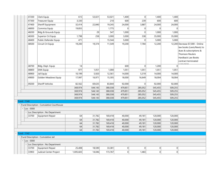|                   | 47200          | Clerk Equip                              | 615       | 53,021  | 53,021  | 1,400   | 0        | 1,400    | 1,400          |                                  |
|-------------------|----------------|------------------------------------------|-----------|---------|---------|---------|----------|----------|----------------|----------------------------------|
|                   | 47300          | <b>Treasurer Equip</b>                   | 3,330     |         | 210     | 600     | 239      | 600      | 600            |                                  |
|                   | 47400          | Sheriff Equipment                        | 32,414    | 22,840  | 19,245  | 24,000  | 3,887    | 24,000   | 24,000         |                                  |
|                   | 48000          | Commiss Equip                            | 19,855    |         | 1,775   | 0       | $\Omega$ | $\Omega$ | $\overline{0}$ |                                  |
|                   | 48200          | Bldg & Grounds Equip                     |           | 29      | 547     | 1,000   | $\Omega$ | 1,000    | 1,000          |                                  |
|                   | 48300          | Superior Crt Equip                       | 1,798     | 258     | 3,000   | 3,000   | 338      | 35,000   | 35,000         |                                  |
|                   | 48400          | Public Defender Equip                    | 471       |         | 15,544  | 5,000   | $\Omega$ | 5,000    | 5,000          |                                  |
|                   | 48500          | Circuit Crt Equip                        | 19,200    | 19,374  | 11,549  | 19,200  | 7,784    | 12,200   |                | 12,200 Decrease \$7,000 - Online |
|                   |                |                                          |           |         |         |         |          |          |                | law books (Lexis/Nexis) to       |
|                   |                |                                          |           |         |         |         |          |          |                | dues & subscriptions &           |
|                   |                |                                          |           |         |         |         |          |          |                | <b>Thomson Reuters</b>           |
|                   |                |                                          |           |         |         |         |          |          |                | Hardback Law Books               |
|                   |                |                                          |           |         |         |         |          |          |                | contract terminated              |
|                   | 48700          | Bldg. Dept. Equip                        | 14        |         |         | 600     | $\Omega$ | 1,200    | $\overline{0}$ |                                  |
|                   | 48800          | <b>EMA Equip</b>                         | 977       | 1,051   | 1,000   | 1,051   | 1,051    | 1,051    | 1,051          |                                  |
|                   | 48900          | Jail Equip                               | 10,199    | 5,920   | 12,561  | 14,000  | 5,319    | 14,000   | 14,000         |                                  |
|                   | 49000          | Golden Meadows Equip                     | 17,997    | 16,971  | 15,305  | 18,000  | 16,649   | 18,004   | 18,004         |                                  |
|                   |                |                                          |           |         |         |         |          |          |                |                                  |
|                   | 49200          | Sheriff Vehicles                         | 82,562    | 69,635  | 83,844  | 92,000  | 0        | 92,000   | 92,000         |                                  |
|                   |                |                                          | 369,974   | 544,143 | 380,038 | 479,851 | 285,052  | 545,455  | 509,255        |                                  |
|                   |                |                                          | 369,974   | 544,143 | 380,038 | 479,851 | 285,052  | 545,455  | 509,255        |                                  |
|                   |                |                                          | 369,974   | 544,143 | 380,038 | 479,851 | 285,052  | 545,455  | 509,255        |                                  |
|                   |                |                                          | 369,974   | 544,143 | 380,038 | 479,851 | 285,052  | 545,455  | 509,255        |                                  |
| $-$ Fund : 1140   |                |                                          |           |         |         |         |          |          |                |                                  |
|                   |                | Fund Description : Cumulative Courthouse |           |         |         |         |          |          |                |                                  |
|                   | $-$ Loc : 0000 |                                          |           |         |         |         |          |          |                |                                  |
|                   |                | - Loc Description : No Department        |           |         |         |         |          |          |                |                                  |
|                   | 33700          | Equipment Repair                         | 64        | 31,782  | 169,418 | 40,000  | 49,181   | 120,000  | 120,000        |                                  |
|                   |                |                                          | 64        | 31,782  | 169,418 | 40,000  | 49,181   | 120,000  | 120,000        |                                  |
|                   |                |                                          | 64        | 31,782  | 169,418 | 40,000  | 49,181   | 120,000  | 120,000        |                                  |
|                   |                |                                          | 64        | 31,782  | 169,418 | 40,000  | 49,181   | 120,000  | 120,000        |                                  |
|                   |                |                                          | 64        | 31,782  | 169,418 | 40,000  | 49,181   | 120,000  | 120,000        |                                  |
| <b>Fund: 1142</b> |                |                                          |           |         |         |         |          |          |                |                                  |
|                   |                | Fund Description : Cumulative Jail       |           |         |         |         |          |          |                |                                  |
|                   | $-$ Loc : 0000 |                                          |           |         |         |         |          |          |                |                                  |
|                   |                | - Loc Description : No Department        |           |         |         |         |          |          |                |                                  |
|                   | 33700          | Equipment Repair                         | 25,408    | 18,590  | 33,381  | 0       | $\Omega$ | 0        | $\overline{0}$ |                                  |
|                   | 33903          | Judicial Center Project                  | 1,005,603 | 14,046  | 173,767 | 0       | 1,483    | 0        | $\overline{0}$ |                                  |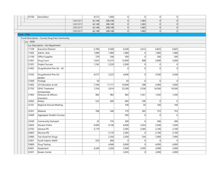| 1,031,011<br>42,148<br>208,148<br> 0 <br>1,483<br> 0 <br>$\overline{0}$<br> 0 <br>1,483<br> 0 <br>1,031,011<br>42,148<br>208,148<br>$\overline{0}$<br>1,031,011<br>208,148<br>1,483<br>42,148<br> 0 <br> 0 <br> 0 <br>1,483<br> 0 <br>1,031,011<br>42,148<br>208,148<br> 0 <br> 0 <br>$-$ Fund : 1148<br>- Fund Description : County Drug Free Community<br>$-$ Loc : 0000<br>- Loc Description : No Department<br><b>Executive Director</b><br>5,760<br>6,500<br>6,500<br>11109<br>3,412<br>6,825<br>6,825<br>11605<br>Admin. Asst.<br>1,080<br>1,080<br>1,080<br> 0 <br>1,080<br>1,080<br>21100<br>729<br>296<br>500<br>200<br>200<br>Office Supplies<br>$\Omega$<br>31001<br>7,653<br>15,275<br>15,000<br>5,000<br>5,000<br>Drug Court<br>898<br> 0 <br>31201<br><b>Project Success</b><br>1,742<br>2,220<br>2,500<br>$\Omega$<br>$\overline{0}$<br>31402<br>Drug/Alcohol Prev Ed - AC<br>$\Omega$<br>$\Omega$<br>$\Omega$<br>$\overline{0}$<br>Drug/Alcohol Prev Ed -<br>31502<br>4,577<br>2,525<br>4,000<br> 0 <br>3,500<br>3,500<br><b>McMill</b><br>50<br>50<br>$\Omega$<br>31600<br>Postage<br>$\overline{0}$<br>$\Omega$<br>CD Education at Jail<br>7,344<br>11,111<br>10,000<br>31602<br>288<br>5,000<br>5,000<br><b>DFAC Treatment</b><br>31702<br>1,254<br>3,614<br>23,200<br>3,558<br>16,500<br>16,500<br>Scholarships<br>982<br>982<br>Directors & Officers<br>982<br>1,051<br>1,036<br>1,036<br>31902<br>Insurance<br>525<br>600<br>290<br>32002<br>600<br> 0 <br>$\overline{0}$<br>Rotary<br>50<br>100<br>32101<br><b>Regional Annual Meeting</b><br>100<br>100<br>788<br>770<br>753<br>753<br>32301<br>Website<br>540<br>283<br>500<br>$\Omega$<br>$\overline{0}$<br>32400<br>Aggregate Student Surveys<br>$\Omega$<br>32500<br>Community Outreach<br>25<br>735<br>300<br> 0 <br>306<br>306<br>Decatur Police<br>9,000<br>6,000<br>3,500<br>32603<br>9,148<br>3,454<br>3,500<br>Geneva PD<br>2,585<br>32702<br>5,170<br>2,585<br>2,100<br>2,100<br>32805<br>Monroe PD<br>5,170<br>2,585<br>2,100<br>2,100<br> 0 <br>32900<br>Too Good for Drugs<br>2,350<br>2,500<br>7,000<br>7,000<br>534<br>33001<br>South Adams SADD<br>550<br>660<br>$\Omega$<br> 0 <br>$\Omega$<br>$\overline{0}$<br>4,046<br>6,000<br>33800<br><b>Drug Testing</b><br>$\Omega$<br>4,000<br>4,000<br>42601<br>Equipment<br>4,240<br>3,504<br>5,000<br>3,595<br>3,000<br>3,000<br> 0 | 42700 | Demolition          | 9,512 | 1,000 | 0     | 0 | 0     | 0     |  |
|---------------------------------------------------------------------------------------------------------------------------------------------------------------------------------------------------------------------------------------------------------------------------------------------------------------------------------------------------------------------------------------------------------------------------------------------------------------------------------------------------------------------------------------------------------------------------------------------------------------------------------------------------------------------------------------------------------------------------------------------------------------------------------------------------------------------------------------------------------------------------------------------------------------------------------------------------------------------------------------------------------------------------------------------------------------------------------------------------------------------------------------------------------------------------------------------------------------------------------------------------------------------------------------------------------------------------------------------------------------------------------------------------------------------------------------------------------------------------------------------------------------------------------------------------------------------------------------------------------------------------------------------------------------------------------------------------------------------------------------------------------------------------------------------------------------------------------------------------------------------------------------------------------------------------------------------------------------------------------------------------------------------------------------------------------------------------------------------------------------------------------------------------------------------------------------------------------------------------------------------------------------------------------------------------------------------------------------------------------------------------|-------|---------------------|-------|-------|-------|---|-------|-------|--|
|                                                                                                                                                                                                                                                                                                                                                                                                                                                                                                                                                                                                                                                                                                                                                                                                                                                                                                                                                                                                                                                                                                                                                                                                                                                                                                                                                                                                                                                                                                                                                                                                                                                                                                                                                                                                                                                                                                                                                                                                                                                                                                                                                                                                                                                                                                                                                                           |       |                     |       |       |       |   |       |       |  |
|                                                                                                                                                                                                                                                                                                                                                                                                                                                                                                                                                                                                                                                                                                                                                                                                                                                                                                                                                                                                                                                                                                                                                                                                                                                                                                                                                                                                                                                                                                                                                                                                                                                                                                                                                                                                                                                                                                                                                                                                                                                                                                                                                                                                                                                                                                                                                                           |       |                     |       |       |       |   |       |       |  |
|                                                                                                                                                                                                                                                                                                                                                                                                                                                                                                                                                                                                                                                                                                                                                                                                                                                                                                                                                                                                                                                                                                                                                                                                                                                                                                                                                                                                                                                                                                                                                                                                                                                                                                                                                                                                                                                                                                                                                                                                                                                                                                                                                                                                                                                                                                                                                                           |       |                     |       |       |       |   |       |       |  |
|                                                                                                                                                                                                                                                                                                                                                                                                                                                                                                                                                                                                                                                                                                                                                                                                                                                                                                                                                                                                                                                                                                                                                                                                                                                                                                                                                                                                                                                                                                                                                                                                                                                                                                                                                                                                                                                                                                                                                                                                                                                                                                                                                                                                                                                                                                                                                                           |       |                     |       |       |       |   |       |       |  |
|                                                                                                                                                                                                                                                                                                                                                                                                                                                                                                                                                                                                                                                                                                                                                                                                                                                                                                                                                                                                                                                                                                                                                                                                                                                                                                                                                                                                                                                                                                                                                                                                                                                                                                                                                                                                                                                                                                                                                                                                                                                                                                                                                                                                                                                                                                                                                                           |       |                     |       |       |       |   |       |       |  |
|                                                                                                                                                                                                                                                                                                                                                                                                                                                                                                                                                                                                                                                                                                                                                                                                                                                                                                                                                                                                                                                                                                                                                                                                                                                                                                                                                                                                                                                                                                                                                                                                                                                                                                                                                                                                                                                                                                                                                                                                                                                                                                                                                                                                                                                                                                                                                                           |       |                     |       |       |       |   |       |       |  |
|                                                                                                                                                                                                                                                                                                                                                                                                                                                                                                                                                                                                                                                                                                                                                                                                                                                                                                                                                                                                                                                                                                                                                                                                                                                                                                                                                                                                                                                                                                                                                                                                                                                                                                                                                                                                                                                                                                                                                                                                                                                                                                                                                                                                                                                                                                                                                                           |       |                     |       |       |       |   |       |       |  |
|                                                                                                                                                                                                                                                                                                                                                                                                                                                                                                                                                                                                                                                                                                                                                                                                                                                                                                                                                                                                                                                                                                                                                                                                                                                                                                                                                                                                                                                                                                                                                                                                                                                                                                                                                                                                                                                                                                                                                                                                                                                                                                                                                                                                                                                                                                                                                                           |       |                     |       |       |       |   |       |       |  |
|                                                                                                                                                                                                                                                                                                                                                                                                                                                                                                                                                                                                                                                                                                                                                                                                                                                                                                                                                                                                                                                                                                                                                                                                                                                                                                                                                                                                                                                                                                                                                                                                                                                                                                                                                                                                                                                                                                                                                                                                                                                                                                                                                                                                                                                                                                                                                                           |       |                     |       |       |       |   |       |       |  |
|                                                                                                                                                                                                                                                                                                                                                                                                                                                                                                                                                                                                                                                                                                                                                                                                                                                                                                                                                                                                                                                                                                                                                                                                                                                                                                                                                                                                                                                                                                                                                                                                                                                                                                                                                                                                                                                                                                                                                                                                                                                                                                                                                                                                                                                                                                                                                                           |       |                     |       |       |       |   |       |       |  |
|                                                                                                                                                                                                                                                                                                                                                                                                                                                                                                                                                                                                                                                                                                                                                                                                                                                                                                                                                                                                                                                                                                                                                                                                                                                                                                                                                                                                                                                                                                                                                                                                                                                                                                                                                                                                                                                                                                                                                                                                                                                                                                                                                                                                                                                                                                                                                                           |       |                     |       |       |       |   |       |       |  |
|                                                                                                                                                                                                                                                                                                                                                                                                                                                                                                                                                                                                                                                                                                                                                                                                                                                                                                                                                                                                                                                                                                                                                                                                                                                                                                                                                                                                                                                                                                                                                                                                                                                                                                                                                                                                                                                                                                                                                                                                                                                                                                                                                                                                                                                                                                                                                                           |       |                     |       |       |       |   |       |       |  |
|                                                                                                                                                                                                                                                                                                                                                                                                                                                                                                                                                                                                                                                                                                                                                                                                                                                                                                                                                                                                                                                                                                                                                                                                                                                                                                                                                                                                                                                                                                                                                                                                                                                                                                                                                                                                                                                                                                                                                                                                                                                                                                                                                                                                                                                                                                                                                                           |       |                     |       |       |       |   |       |       |  |
|                                                                                                                                                                                                                                                                                                                                                                                                                                                                                                                                                                                                                                                                                                                                                                                                                                                                                                                                                                                                                                                                                                                                                                                                                                                                                                                                                                                                                                                                                                                                                                                                                                                                                                                                                                                                                                                                                                                                                                                                                                                                                                                                                                                                                                                                                                                                                                           |       |                     |       |       |       |   |       |       |  |
|                                                                                                                                                                                                                                                                                                                                                                                                                                                                                                                                                                                                                                                                                                                                                                                                                                                                                                                                                                                                                                                                                                                                                                                                                                                                                                                                                                                                                                                                                                                                                                                                                                                                                                                                                                                                                                                                                                                                                                                                                                                                                                                                                                                                                                                                                                                                                                           |       |                     |       |       |       |   |       |       |  |
|                                                                                                                                                                                                                                                                                                                                                                                                                                                                                                                                                                                                                                                                                                                                                                                                                                                                                                                                                                                                                                                                                                                                                                                                                                                                                                                                                                                                                                                                                                                                                                                                                                                                                                                                                                                                                                                                                                                                                                                                                                                                                                                                                                                                                                                                                                                                                                           |       |                     |       |       |       |   |       |       |  |
|                                                                                                                                                                                                                                                                                                                                                                                                                                                                                                                                                                                                                                                                                                                                                                                                                                                                                                                                                                                                                                                                                                                                                                                                                                                                                                                                                                                                                                                                                                                                                                                                                                                                                                                                                                                                                                                                                                                                                                                                                                                                                                                                                                                                                                                                                                                                                                           |       |                     |       |       |       |   |       |       |  |
|                                                                                                                                                                                                                                                                                                                                                                                                                                                                                                                                                                                                                                                                                                                                                                                                                                                                                                                                                                                                                                                                                                                                                                                                                                                                                                                                                                                                                                                                                                                                                                                                                                                                                                                                                                                                                                                                                                                                                                                                                                                                                                                                                                                                                                                                                                                                                                           |       |                     |       |       |       |   |       |       |  |
|                                                                                                                                                                                                                                                                                                                                                                                                                                                                                                                                                                                                                                                                                                                                                                                                                                                                                                                                                                                                                                                                                                                                                                                                                                                                                                                                                                                                                                                                                                                                                                                                                                                                                                                                                                                                                                                                                                                                                                                                                                                                                                                                                                                                                                                                                                                                                                           |       |                     |       |       |       |   |       |       |  |
|                                                                                                                                                                                                                                                                                                                                                                                                                                                                                                                                                                                                                                                                                                                                                                                                                                                                                                                                                                                                                                                                                                                                                                                                                                                                                                                                                                                                                                                                                                                                                                                                                                                                                                                                                                                                                                                                                                                                                                                                                                                                                                                                                                                                                                                                                                                                                                           |       |                     |       |       |       |   |       |       |  |
|                                                                                                                                                                                                                                                                                                                                                                                                                                                                                                                                                                                                                                                                                                                                                                                                                                                                                                                                                                                                                                                                                                                                                                                                                                                                                                                                                                                                                                                                                                                                                                                                                                                                                                                                                                                                                                                                                                                                                                                                                                                                                                                                                                                                                                                                                                                                                                           |       |                     |       |       |       |   |       |       |  |
|                                                                                                                                                                                                                                                                                                                                                                                                                                                                                                                                                                                                                                                                                                                                                                                                                                                                                                                                                                                                                                                                                                                                                                                                                                                                                                                                                                                                                                                                                                                                                                                                                                                                                                                                                                                                                                                                                                                                                                                                                                                                                                                                                                                                                                                                                                                                                                           |       |                     |       |       |       |   |       |       |  |
|                                                                                                                                                                                                                                                                                                                                                                                                                                                                                                                                                                                                                                                                                                                                                                                                                                                                                                                                                                                                                                                                                                                                                                                                                                                                                                                                                                                                                                                                                                                                                                                                                                                                                                                                                                                                                                                                                                                                                                                                                                                                                                                                                                                                                                                                                                                                                                           |       |                     |       |       |       |   |       |       |  |
|                                                                                                                                                                                                                                                                                                                                                                                                                                                                                                                                                                                                                                                                                                                                                                                                                                                                                                                                                                                                                                                                                                                                                                                                                                                                                                                                                                                                                                                                                                                                                                                                                                                                                                                                                                                                                                                                                                                                                                                                                                                                                                                                                                                                                                                                                                                                                                           |       |                     |       |       |       |   |       |       |  |
|                                                                                                                                                                                                                                                                                                                                                                                                                                                                                                                                                                                                                                                                                                                                                                                                                                                                                                                                                                                                                                                                                                                                                                                                                                                                                                                                                                                                                                                                                                                                                                                                                                                                                                                                                                                                                                                                                                                                                                                                                                                                                                                                                                                                                                                                                                                                                                           |       |                     |       |       |       |   |       |       |  |
|                                                                                                                                                                                                                                                                                                                                                                                                                                                                                                                                                                                                                                                                                                                                                                                                                                                                                                                                                                                                                                                                                                                                                                                                                                                                                                                                                                                                                                                                                                                                                                                                                                                                                                                                                                                                                                                                                                                                                                                                                                                                                                                                                                                                                                                                                                                                                                           |       |                     |       |       |       |   |       |       |  |
|                                                                                                                                                                                                                                                                                                                                                                                                                                                                                                                                                                                                                                                                                                                                                                                                                                                                                                                                                                                                                                                                                                                                                                                                                                                                                                                                                                                                                                                                                                                                                                                                                                                                                                                                                                                                                                                                                                                                                                                                                                                                                                                                                                                                                                                                                                                                                                           |       |                     |       |       |       |   |       |       |  |
|                                                                                                                                                                                                                                                                                                                                                                                                                                                                                                                                                                                                                                                                                                                                                                                                                                                                                                                                                                                                                                                                                                                                                                                                                                                                                                                                                                                                                                                                                                                                                                                                                                                                                                                                                                                                                                                                                                                                                                                                                                                                                                                                                                                                                                                                                                                                                                           |       |                     |       |       |       |   |       |       |  |
|                                                                                                                                                                                                                                                                                                                                                                                                                                                                                                                                                                                                                                                                                                                                                                                                                                                                                                                                                                                                                                                                                                                                                                                                                                                                                                                                                                                                                                                                                                                                                                                                                                                                                                                                                                                                                                                                                                                                                                                                                                                                                                                                                                                                                                                                                                                                                                           |       |                     |       |       |       |   |       |       |  |
|                                                                                                                                                                                                                                                                                                                                                                                                                                                                                                                                                                                                                                                                                                                                                                                                                                                                                                                                                                                                                                                                                                                                                                                                                                                                                                                                                                                                                                                                                                                                                                                                                                                                                                                                                                                                                                                                                                                                                                                                                                                                                                                                                                                                                                                                                                                                                                           |       |                     |       |       |       |   |       |       |  |
|                                                                                                                                                                                                                                                                                                                                                                                                                                                                                                                                                                                                                                                                                                                                                                                                                                                                                                                                                                                                                                                                                                                                                                                                                                                                                                                                                                                                                                                                                                                                                                                                                                                                                                                                                                                                                                                                                                                                                                                                                                                                                                                                                                                                                                                                                                                                                                           |       |                     |       |       |       |   |       |       |  |
|                                                                                                                                                                                                                                                                                                                                                                                                                                                                                                                                                                                                                                                                                                                                                                                                                                                                                                                                                                                                                                                                                                                                                                                                                                                                                                                                                                                                                                                                                                                                                                                                                                                                                                                                                                                                                                                                                                                                                                                                                                                                                                                                                                                                                                                                                                                                                                           |       |                     |       |       |       |   |       |       |  |
|                                                                                                                                                                                                                                                                                                                                                                                                                                                                                                                                                                                                                                                                                                                                                                                                                                                                                                                                                                                                                                                                                                                                                                                                                                                                                                                                                                                                                                                                                                                                                                                                                                                                                                                                                                                                                                                                                                                                                                                                                                                                                                                                                                                                                                                                                                                                                                           | 32501 | <b>Bowen Center</b> |       |       | 2,045 |   | 2,000 | 2,000 |  |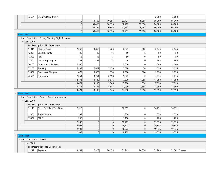| 32604                       | Sheriff's Department                              |        |              |        |        |                | 2,000  | 2,000          |  |
|-----------------------------|---------------------------------------------------|--------|--------------|--------|--------|----------------|--------|----------------|--|
|                             |                                                   | 0      | 51,469       | 70,356 | 92,797 | 19,998         | 66,000 | 66,000         |  |
|                             |                                                   | 0      | 51,469       | 70,356 | 92,797 | 19,998         | 66,000 | 66,000         |  |
|                             |                                                   | 0      | 51,469       | 70,356 | 92,797 | 19,998         | 66,000 | 66,000         |  |
|                             |                                                   | 0      | 51,469       | 70,356 | 92,797 | 19,998         | 66,000 | 66,000         |  |
| $-$ Fund : 1152             |                                                   |        |              |        |        |                |        |                |  |
|                             | - Fund Description : Emerg Planning Right To Know |        |              |        |        |                |        |                |  |
| $-$ Loc: 0000               |                                                   |        |              |        |        |                |        |                |  |
|                             | - Loc Description : No Department                 |        |              |        |        |                |        |                |  |
| 11811                       | Stipend Fund                                      | 2,060  | 1,860        | 1,460  | 2,845  | 880            | 2,845  | 2,845          |  |
| 12301                       | Social Security                                   | 32     | 23           | 14     | 50     | 8 <sup>8</sup> | 50     | 50             |  |
| 12402                       | PERF                                              | 18     | 13           | 15     | 50     | 10             | 50     | 50             |  |
| 21500                       | <b>Operating Supplies</b>                         | 108    | 261          | 15     | 406    | 0              | 406    | 406            |  |
| 30100                       | <b>Contractural Services</b>                      | 1,980  |              |        | 2,000  | 0              | 2,000  | 2,000          |  |
| 31200                       | Training                                          | 6,532  | 5,602        | 1,470  | 5,026  | 76             | 5,026  | 5,026          |  |
| 35502                       | Services & Charges                                | 477    | 1,628        | 374    | 2,538  | 884            | 2,538  | 2,538          |  |
| 42601                       | Equipment                                         | 2,264  | 4,751        | 2,198  | 5,075  | $\Omega$       | 5,075  | 5,075          |  |
|                             |                                                   | 13,471 | 14,138       | 5,546  | 17,990 | 1,858          | 17,990 | 17,990         |  |
|                             |                                                   | 13,471 | 14,138       | 5,546  | 17,990 | 1,858          | 17,990 | 17,990         |  |
|                             |                                                   | 13,471 | 14,138       | 5,546  | 17,990 | 1,858          | 17,990 | 17,990         |  |
|                             |                                                   | 13,471 | 14,138       | 5,546  | 17,990 | 1,858          | 17,990 | 17,990         |  |
| <b>Fund: 1158</b>           |                                                   |        |              |        |        |                |        |                |  |
|                             | - Fund Description : General Drain Improvement    |        |              |        |        |                |        |                |  |
| $-$ Loc : 0000              |                                                   |        |              |        |        |                |        |                |  |
|                             | - Loc Description : No Department                 |        |              |        |        |                |        |                |  |
| 11113                       | Ditch Tech-Full/Part Time                         | 2,515  |              |        | 16,283 | 0              | 16,771 | 16,771         |  |
| 12301                       | Social Security                                   | 189    |              |        | 1,300  | 0              | 1,339  | 1,339          |  |
| 12402                       | PERF                                              | 289    |              |        | 1,190  | 0              | 1,226  | 1,226          |  |
|                             |                                                   | 2,993  | 0            | 0      | 18,773 | 0              | 19,336 | 19,336         |  |
|                             |                                                   | 2,993  | $\mathbf 0$  | 0      | 18,773 | 0              | 19,336 | 19,336         |  |
|                             |                                                   | 2,993  | $\mathbf{0}$ | 0      | 18,773 | 0              | 19,336 | 19,336         |  |
|                             |                                                   | 2,993  | 0            | 0      | 18,773 | 0              | 19,336 | 19,336         |  |
| <b>Fund: 1159</b>           |                                                   |        |              |        |        |                |        |                |  |
| - Fund Description : Health |                                                   |        |              |        |        |                |        |                |  |
| $-$ Loc : 0000              |                                                   |        |              |        |        |                |        |                |  |
|                             | Loc Description : No Department                   |        |              |        |        |                |        |                |  |
| 11112                       | Registrar                                         | 23,101 | 25,323       | 26,175 | 31,949 | 24,356         | 32,908 | 32,781 Theresa |  |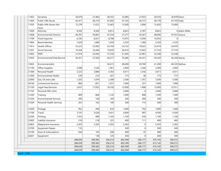| 11403 | Secretary                      | 30,079  | 27,460  | 28,355  | 35,485  | 27,023  | 36,550  | 36,878 Dawn    |               |
|-------|--------------------------------|---------|---------|---------|---------|---------|---------|----------------|---------------|
| 11404 | Public Hith Nurse              | 45,411  | 46,319  | 47,692  | 47,745  | 36,727  | 49,178  | 47,745 Holly   |               |
| 11503 | Public Hlth Nurse Part<br>Time | 12,278  | 11,625  | 12,465  | 15,000  | 3,906   | 15,450  | 15,000         |               |
| 11600 | Attorney                       | 8,392   | 8,560   | 8,813   | 8,823   | 6,787   | 8,823   |                | 0 Adam Miller |
| 11608 | <b>Environmental Director</b>  | 46,781  | 45,865  | 47,224  | 47,277  | 36,367  | 48,696  | 47,541 Jessica |               |
| 11708 | Food Inspector                 | 6,330   | 8,051   | 8,708   | 15,975  | 4,594   | 16,455  | $\Omega$       |               |
| 11804 | <b>Board Member</b>            | 1,620   | 1,680   | 1,620   | 2,520   | 1,380   | 2,520   | 2,520          |               |
| 11813 | Health Officer                 | 23,522  | 23,993  | 24,704  | 24,732  | 19,025  | 25,474  | 24,979         |               |
| 12301 | Social Security                | 16,264  | 16,446  | 19,620  | 26,916  | 15,663  | 27,724  | 27,724         |               |
| 12402 | PERF                           | 21,974  | 22,092  | 27,236  | 31,405  | 22,981  | 32,348  | 32,348         |               |
| 12503 | Environmental/Vital Record     | 26,351  | 27,560  | 28,377  | 35,485  | 26,341  | 36,550  | 36,358 Stacey  |               |
| 12602 | Environmentalist               |         |         | 36,615  | 40,000  | 30,769  | 41,200  |                | 40,520 Nathan |
| 21100 | Office Supplies                | 3,098   | 1,526   | 1,941   | 2,000   | 1,444   | 2,000   | 2,000          |               |
| 21300 | Personal Health                | 3,323   | 3,884   | 4,764   | 4,011   | 1,556   | 4,011   | 4,011          |               |
| 21400 | <b>Environmental Health</b>    | 539     | 233     | 261     | 773     | 38      | 773     | 773            |               |
| 22000 | Gas, Oil and Lube              | 1,202   | 1,879   | 2,308   | 2,500   | 1,767   | 3,500   | 3,500          |               |
| 30100 | Contractural Services          | 866     | 831     | 1,031   | 1,000   | 231     | 1,000   | 1,000          |               |
| 31100 | Legal Fees/Services            | 2,637   | 17,055  | 18,530  | 15,000  | 1,406   | 15,000  | 23,911         |               |
| 31102 | Personal Hlth Clinic           |         |         |         | 2,000   | 0       | 2,000   | 2,000          |               |
| 31200 | Training                       | 809     | 806     | 1,120   | 1,000   | 808     | 1,300   | 1,300          |               |
| 31204 | <b>Environmental Services</b>  | 200     | 158     | 160     | 500     | 284     | 500     | 500            |               |
| 31304 | Personal Health Services       | 261     | 162     | 140     | 300     | 113     | 300     | 300            |               |
| 31600 | Postage                        | 952     | 496     | 816     | 1,000   | 792     | 1,000   | 1,000          |               |
| 31700 | Travel                         | 3,741   | 3,628   | 3,431   | 4,000   | 997     | 4,500   | 4,500          |               |
| 32200 | Printing                       | 1,033   | 989     | 1,165   | 1,100   | 676     | 1,100   | 1,100          |               |
| 32602 | Liability Insurance            | 218     | 218     | 222     | 400     | 111     | 400     | 400            |               |
| 32803 | Malpractice Insurance          | 2,303   | 2,303   | 2,303   | 2,303   | 0       | 2,303   | 2,303          |               |
| 33700 | Equipment Repair               | 110     |         |         | 500     | 0       | 500     | 500            |               |
| 35100 | Dues & Subscriptions           | 644     | 105     | 298     | 400     | 35      | 580     | 580            |               |
| 42601 | Equipment                      |         | 138     | 120     | 500     | 0       | 500     | 500            |               |
|       |                                | 284,039 | 299,385 | 356,214 | 402,599 | 266,177 | 415,143 | 394,572        |               |
|       |                                | 284,039 | 299,385 | 356,214 | 402,599 | 266,177 | 415,143 | 394,572        |               |
|       |                                | 284,039 | 299,385 | 356,214 | 402,599 | 266,177 | 415,143 | 394,572        |               |
|       |                                | 284,039 | 299,385 | 356,214 | 402,599 | 266,177 | 415,143 | 394,572        |               |

- Fund : 1168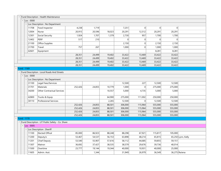|                   |                   |                | Fund Description : Health Maintenance                  |         |        |        |          |          |                   |          |                    |
|-------------------|-------------------|----------------|--------------------------------------------------------|---------|--------|--------|----------|----------|-------------------|----------|--------------------|
|                   |                   | $-$ Loc : 0000 |                                                        |         |        |        |          |          |                   |          |                    |
|                   |                   |                | Loc Description : No Department                        |         |        |        |          |          |                   |          |                    |
|                   |                   | 11708          | Food Inspector                                         | 4,238   | 1,719  |        | 7,251    | 0        | 0                 | 0        |                    |
|                   |                   | 12004          | <b>Nurse</b>                                           | 20,915  | 20,596 | 18,023 | 20,291   | 12,512   | 20,291            | 20,291   |                    |
|                   |                   | 12301          | Social Security                                        | 1,924   | 1,707  | 1,379  | 2,730    | 957      | 1,700             | 1,700    |                    |
|                   |                   | 12402          | PERF                                                   | 517     | 210    |        | $\Omega$ | 0        | $\Omega$          | $\Omega$ |                    |
|                   |                   | 21100          | Office Supplies                                        |         |        |        | 2,150    | 0        | 2,150             | 2,150    |                    |
|                   |                   | 31700          | Travel                                                 | 757     | 267    |        | 1,000    | $\Omega$ | 1,000             | 1,000    |                    |
|                   |                   | 42601          | Equipment                                              |         |        |        |          |          | 8,281             | 8,281    |                    |
|                   |                   |                |                                                        | 28,351  | 24,499 | 19,402 | 33,422   | 13,469   | 33,422            | 33,422   |                    |
|                   |                   |                |                                                        | 28,351  | 24,499 | 19,402 | 33,422   | 13,469   | 33,422            | 33,422   |                    |
|                   |                   |                |                                                        | 28,351  | 24,499 | 19,402 | 33,422   | 13,469   | 33,422            | 33,422   |                    |
|                   |                   |                |                                                        | 28,351  | 24,499 | 19,402 | 33,422   | 13,469   | 33,422            | 33,422   |                    |
|                   | <b>Fund: 1169</b> |                |                                                        |         |        |        |          |          |                   |          |                    |
|                   |                   |                | - Fund Description : Local Roads And Streets           |         |        |        |          |          |                   |          |                    |
|                   |                   | $-$ Loc : 0000 |                                                        |         |        |        |          |          |                   |          |                    |
|                   |                   |                | Loc Description : No Department<br>Legal Fees/Services |         |        |        | 12,500   | 227      |                   | 12,500   |                    |
|                   |                   | 31100          |                                                        | 252,426 | 24,855 | 10,779 | 1,000    | 0        | 12,500<br>275,000 |          |                    |
|                   |                   | 31701          | Materials<br><b>Other Contractual Services</b>         |         |        |        |          |          |                   | 275,000  |                    |
|                   |                   | 34200          |                                                        |         |        | 10,557 | 5,000    | 4,735    | 5,000             | 5,000    |                    |
|                   |                   | 42800          | Trucks & Equip                                         |         |        | 64,900 | 275,000  | 111,002  | 250,000           | 250,000  |                    |
|                   |                   | 30110          | <b>Professional Services</b>                           |         |        | 2,265  | 12,500   | 0        | 12,500            | 12,500   |                    |
|                   |                   |                |                                                        | 252,426 | 24,855 | 88,501 | 306,000  | 115,964  | 555,000           | 555,000  |                    |
|                   |                   |                |                                                        | 252,426 | 24,855 | 88,501 | 306,000  | 115,964  | 555,000           | 555,000  |                    |
|                   |                   |                |                                                        | 252,426 | 24,855 | 88,501 | 306,000  | 115,964  | 555,000           | 555,000  |                    |
|                   |                   |                |                                                        | 252,426 | 24,855 | 88,501 | 306,000  | 115,964  | 555,000           | 555,000  |                    |
| <b>Fund: 1170</b> |                   |                |                                                        |         |        |        |          |          |                   |          |                    |
|                   |                   |                | - Fund Description : LIT Public Safety - Co. Share     |         |        |        |          |          |                   |          |                    |
|                   |                   | $-$ Loc : 0005 |                                                        |         |        |        |          |          |                   |          |                    |
|                   |                   | 11100          | Loc Description : Sheriff<br>Elected Offical           | 85,000  | 86,923 |        | 88,298   | 67,921   | 115,817           | 105,000  |                    |
|                   |                   |                |                                                        |         | 54,537 | 88,248 |          | 48,214   |                   |          |                    |
|                   |                   | 11200          | Deputy/s                                               | 53,467  |        | 56,153 | 63,898   |          | 65,815            |          | 65,250 Lynn, Kelly |
|                   |                   | 11201          | Chief Deputy                                           | 53,540  | 55,907 | 57,616 | 58,112   | 44,685   | 59,855            | 59,151   |                    |
|                   |                   | 11307          | Matron                                                 | 36,692  | 37,427 | 38,535 | 38,579   | 29,676   | 39,736            | 40,014   |                    |
|                   |                   | 11500          | Overtime                                               | 23,777  | 19,144 | 19,344 | 40,000   | 10,931   | 40,000            | 25,000   |                    |
|                   |                   | 11605          | Admin. Asst.                                           |         | 1,344  |        | 31,949   | 26,979   | 36,549            |          | 36,275 ReJena      |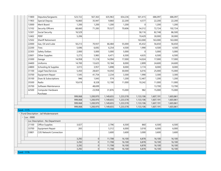|                   | 11800          | Deputies/Sergeants                   | 523,722 | 567,363   | 635,963   | 654,236   | 501,415   | 686,097   | 686,097   |  |
|-------------------|----------------|--------------------------------------|---------|-----------|-----------|-----------|-----------|-----------|-----------|--|
|                   | 11903          | Special Deputy                       | 16,860  | 35,947    | 9,860     | 22,200    | 4,577     | 22,200    | 22,200    |  |
|                   | 12000          | Merit Board                          | 1,200   | 1,200     | 1,200     | 1,200     | 0         | 1,200     | 1,200     |  |
|                   | 12102          | Security Officers                    | 68,660  | 71,283    | 70,527    | 70,606    | 54,312    | 72,724    | 102,724   |  |
|                   | 12301          | Social Security                      | 16,529  |           |           |           | 58,116    | 82,748    | 86,500    |  |
|                   | 12402          | PERF                                 | 5,206   |           |           |           | 19,429    | 30,000    | 30,000    |  |
|                   | 12502          | Sheriff Retirement                   |         |           |           |           | 163,000   | 163,000   | 163,000   |  |
|                   | 22000          | Gas, Oil and Lube                    | 50,213  | 70,937    | 66,484    | 55,000    | 45,432    | 56,650    | 56,650    |  |
|                   | 22200          | <b>Tires</b>                         | 5,696   | 6,692     | 6,254     | 4,500     | 1,990     | 4,500     | 4,500     |  |
|                   | 22303          | Safety Dollars                       | 2,000   | 5,000     | 5,000     | 5,000     | 0         | 5,000     | 5,000     |  |
|                   | 22601          | Other Supplies                       | 5,273   | 5,983     | 6,471     | 6,500     | 4,635     | 6,500     | 6,500     |  |
|                   | 23300          | Garage                               | 14,958  | 11,318    | 14,994    | 17,000    | 14,024    | 17,000    | 17,000    |  |
|                   | 24400          | Uniforms                             | 14,700  | 13,625    | 10,184    | 8,000     | 2,899     | 24,600    | 24,600    |  |
|                   | 24800          | Schooling & Supplies                 | 3,015   | 3,957     | 5,898     | 8,000     | 3,174     | 8,000     | 8,000     |  |
|                   | 31100          | Legal Fees/Services                  | 5,450   | 28,601    | 10,050    | 30,000    | 6,016     | 25,000    | 15,000    |  |
|                   | 33700          | Equipment Repair                     | 1,545   | 41,754    | 2,234     | 3,300     | 1,990     | 3,300     | 3,300     |  |
|                   | 35100          | Dues & Subscriptions                 | 946     | 1,043     | 574       | 1,200     | 12,467    | 1,200     | 1,200     |  |
|                   | 35500          | Radio                                | 10,619  | 8,328     | 12,190    | 11,000    | 10,242    | 11,000    | 11,000    |  |
|                   | 35700          | Software Maintenance                 |         | 48,699    |           |           |           | 13,700    | 13,700    |  |
|                   | 42500          | Computer Hardware<br>Purchase        |         | 23,958    | 31,876    | 15,000    | 982       | 15,000    | 15,000    |  |
|                   |                |                                      | 999,068 | 1,200,970 | 1,149,655 | 1,233,578 | 1,133,106 | 1,607,191 | 1,603,861 |  |
|                   |                |                                      | 999,068 | 1,200,970 | 1,149,655 | 1,233,578 | 1,133,106 | 1,607,191 | 1,603,861 |  |
|                   |                |                                      | 999,068 | 1,200,970 | 1,149,655 | 1,233,578 | 1,133,106 | 1,607,191 | 1,603,861 |  |
|                   |                |                                      | 999,068 | 1,200,970 | 1,149,655 | 1,233,578 | 1,133,106 | 1,607,191 | 1,603,861 |  |
| <b>Fund: 1175</b> |                | Fund Description : Jail Misdemeanant |         |           |           |           |           |           |           |  |
|                   | $-$ Loc : 0000 |                                      |         |           |           |           |           |           |           |  |
|                   |                | - Loc Description : No Department    |         |           |           |           |           |           |           |  |
|                   | 21100          | Office Supplies                      | 3,027   |           | 2,796     | 6,500     | 860       | 6,500     | 6,500     |  |
|                   | 33700          | Equipment Repair                     | 265     |           | 5,312     | 6,000     | 3,018     | 6,000     | 6,000     |  |
|                   | 33801          | <b>CJIS Network Connection</b>       |         |           | 3,600     | 3,600     | 3,000     | 3,600     | 3,600     |  |
|                   |                |                                      |         |           |           |           |           |           |           |  |
|                   |                |                                      | 3,292   | 0         | 11,708    | 16,100    | 6,878     | 16, 100   | 16,100    |  |
|                   |                |                                      | 3,292   | 0         | 11,708    | 16,100    | 6,878     | 16,100    | 16,100    |  |
|                   |                |                                      | 3,292   | 0         | 11,708    | 16,100    | 6,878     | 16,100    | 16,100    |  |
|                   |                |                                      | 3,292   | 0         | 11,708    | 16,100    | 6,878     | 16, 100   | 16,100    |  |

- Fund : 1176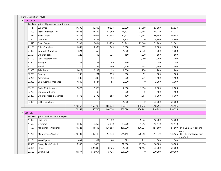| Fund Description: MVH |                                            |         |         |         |         |                |         |         |                                                |
|-----------------------|--------------------------------------------|---------|---------|---------|---------|----------------|---------|---------|------------------------------------------------|
| $-$ Loc: 0530         |                                            |         |         |         |         |                |         |         |                                                |
|                       | - Loc Description : Highway Administration |         |         |         |         |                |         |         |                                                |
| 11111                 | Supervisor                                 | 47,396  | 48,390  | 49,823  | 52,300  | 51,000         | 53,869  | 52,823  |                                                |
| 11309                 | Assistant Supervisor                       | 42,528  | 43,372  | 43,969  | 44,707  | 23,165         | 45,119  | 44,243  |                                                |
| 11414                 | <b>Book Keeper</b>                         | 32,338  | 31,639  | 32,554  | 32,613  | 27,143         | 36,549  | 36,358  |                                                |
| 11500                 | Overtime                                   | 4,242   | 3,238   | 3,073   | 4,725   | $\Omega$       | 4,900   | 4,900   |                                                |
| 11610                 | <b>Book Keeper</b>                         | 27,503  | 27,494  | 29,279  | 31,949  | 23,668         | 32,908  | 32,781  |                                                |
| 21100                 | Office Supplies                            | 1,007   | 1,309   | 649     | 1,200   | 557            | 2,000   | 2,000   |                                                |
| 21302                 | Computer Supplies                          | 824     | 656     |         | 1,000   | 2,070          | 1,000   | 1,000   |                                                |
| 22601                 | Other Supplies                             | 226     | 195     | 725     | 150     | 1,930          | 500     | 500     |                                                |
| 31100                 | Legal Fees/Services                        |         |         |         |         | 1,280          | 2,000   | 2,000   |                                                |
| 31600                 | Postage                                    | 31      | 132     | 149     | 150     | 27             | 150     | 150     |                                                |
| 31700                 | Travel                                     | 720     | 298     | 480     | 1,500   | 635            | 1,500   | 1,500   |                                                |
| 31800                 | Telephone                                  | 1,417   | 2,139   | 2,193   | 2,000   | 1,778          | 2,200   | 2,200   |                                                |
| 32200                 | Printing                                   | 395     | 281     | 699     | 500     | 95             | 500     | 500     |                                                |
| 32201                 | Advertising                                | 582     | 348     | 353     | 500     | 731            | 1,100   | 1,100   |                                                |
| 32800                 | Computer Maintenance                       | 7,549   | 1,744   | 1,195   | 2,000   | 0              | 2,000   | 2,000   |                                                |
| 33100                 | Radio Maintenance                          | 2,023   | 2,972   |         | 2,000   | 1,356          | 2,000   | 2,000   |                                                |
| 33700                 | Equipment Repair                           |         | 105     |         | 500     | $\Omega$       | 500     | 500     |                                                |
| 35207                 | Other Services & Charges                   | 1,776   | 2,473   | 893     | 100     | 1,307          | 5,000   | 5,000   |                                                |
| 35305                 | <b>ELTF Deductible</b>                     |         |         |         | 25,000  | 0              | 25,000  | 25,000  |                                                |
|                       |                                            | 170,557 | 166,785 | 166,034 | 202,894 | 136,742        | 218,795 | 216,555 |                                                |
|                       |                                            | 170,557 | 166,785 | 166,034 | 202,894 | 136,742        | 218,795 | 216,555 |                                                |
| $\lceil$ Loc : 0531   |                                            |         |         |         |         |                |         |         |                                                |
|                       | Loc Description : Maintenance & Repair     |         |         |         |         |                |         |         |                                                |
| 11300                 | Part Time                                  |         |         | 11,359  |         | 9,823          | 12,000  | 12,000  |                                                |
| 11500                 | Overtime                                   | 1,539   | 2,357   | 3,840   | 14,700  | 1,013          | 15,140  | 15,140  |                                                |
| 11607                 | Maintenance Operator                       | 131,323 | 144,693 | 128,853 | 150,000 | 106,924        | 154,500 |         | 151,500 NE6 plus $$.60 = operator$<br>wage     |
| 11706                 | Maintenance Worker                         | 428,703 | 435,415 | 354,443 | 541,115 | 370,056        | 557,349 |         | 546,526 NE6 - 15 employees paid<br>out of this |
| 22201                 | <b>Weed Spray</b>                          | 491     | 392     | 184     | 329     | 1,212          | 1,500   | 1,500   |                                                |
| 22305                 | Dustay Dust Control                        | 8,543   | 16,872  |         | 10,000  | 29,956         | 10,000  | 10,000  |                                                |
| 22401                 | Stone                                      |         | 697,835 | 8,926   | 25,000  | 18,453         | 25,000  | 25,000  |                                                |
| 22500                 | Bituminous                                 | 181,577 | 553,054 | 5,436   | 200,000 | $\overline{0}$ | 200,000 | 200,000 |                                                |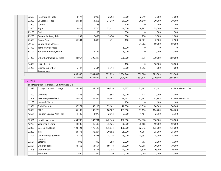| 22602          | Hardware & Tools                                | 3,177   | 3,906     | 2,793   | 3,000     | 2,219   | 3,000     | 3,000     |                      |
|----------------|-------------------------------------------------|---------|-----------|---------|-----------|---------|-----------|-----------|----------------------|
| 22800          | Culverts & Pipes                                | 29,524  | 54,253    | 24,349  | 30,000    | 20,840  | 30,000    | 30,000    |                      |
| 22900          | Lumber                                          | 10      | 48        |         | 100       | 0       | 100       | 100       |                      |
| 23000          | Signs                                           | 8,814   | 17,700    | 23,411  | 14,000    | 18,282  | 25,000    | 25,000    |                      |
| 23100          | <b>Bricks</b>                                   |         | 98        |         | 300       | 0       | 300       | 300       |                      |
| 23200          | Cement & Ready Mix                              | 237     | 2,459     | 3,474   | 500       | 258     | 3,000     | 3,000     |                      |
| 23500          | <b>Buggy Plates</b>                             | 31,504  | 1,800     | 411     | 100       | 22,061  | 2,500     | 2,500     |                      |
| 30100          | <b>Contractural Services</b>                    |         |           |         |           | 21,902  | 50,000    | 50,000    |                      |
| 31300          | <b>Temporary Services</b>                       |         |           |         | 5,000     | 0       | 0         | 0         |                      |
| 34101          | <b>Equipment Rental/Lease</b>                   |         | 17,799    |         | 3,000     | 0       | 3,000     | 3,000     |                      |
| 34200          | <b>Other Contractual Services</b>               | 24,057  | 390,317   |         | 500,000   | 4,535   | 820,000   | 500,000   |                      |
| 34302          | <b>Utility Repair</b>                           |         |           |         | 100       | 0       | 10,000    | 10,000    |                      |
| 35208          | Drainage & Other<br><b>Assessments</b>          | 6,447   | 5,634     | 5,314   | 7,000     | 5,292   | 7,000     | 7,000     |                      |
|                |                                                 | 855,946 | 2,344,632 | 572,793 | 1,504,244 | 632,826 | 1,929,389 | 1,595,566 |                      |
|                |                                                 | 855,946 | 2,344,632 | 572,793 | 1,504,244 | 632,826 | 1,929,389 | 1,595,566 |                      |
| $-$ Loc : 0533 |                                                 |         |           |         |           |         |           |           |                      |
|                | - Loc Description : General & Undistributed Exp |         |           |         |           |         |           |           |                      |
| 11413          |                                                 |         |           |         |           |         |           |           |                      |
|                | Garage Mechanic (Salary)                        | 38,554  | 39,298    | 40,316  | 40,537    | 32,182  | 43,191    |           | 42,848 NE6 + \$1.20  |
| 11500          | Overtime                                        | 486     | 795       | 1,595   | 3,000     | 413     | 3,000     | 3,000     |                      |
| 11609          | Asst Garage Mechanic                            | 36,879  | 37,584    | 38,642  | 39,437    | 31,167  | 41,905    |           | $41,600$ NE6 + \$.60 |
|                | <b>Hepatitis Shots</b>                          |         |           |         | 100       | 0       | 100       | 100       |                      |
| 12103<br>12301 | Social Security                                 | 57,371  | 59,110    | 53,161  | 72,684    | 49,018  | 74,865    | 74,865    |                      |
| 12402          | PERF                                            | 85,189  | 108,275   | 88,587  | 101,650   | 81,156  | 104,700   | 104,700   |                      |
| 12501          | Random Drug & Alch Test                         | 1,735   | 1,076     | 2,013   | 2,000     | 1,404   | 2,250     | 2,250     |                      |
| 12601          | Health Insurance                                | 464,788 | 503,791   | 442,346 | 496,000   | 394,878 | 510,800   | 510,800   |                      |
| 12700          | Workman's Comp                                  | 44,508  | 40,583    | 36,525  | 50,000    | 26,168  | 50,000    | 50,000    |                      |
| 22000          | Gas, Oil and Lube                               | 103,721 | 178,526   | 176,874 | 130,000   | 82,242  | 175,000   | 175,000   |                      |
| 22200          | <b>Tires</b>                                    | 23,773  | 32,267    | 20,652  | 25,000    | 6,061   | 25,000    | 25,000    |                      |
| 22304          | Other Garage & Motor                            | 13,376  | 7,283     | 14, 116 | 15,000    | 13,957  | 15,000    | 15,000    |                      |
| 22501          | <b>Supplies</b><br><b>Batteries</b>             | 938     | 899       | 998     | 2,000     | 703     | 2,000     | 2,000     |                      |
| 22601          | Other Supplies                                  | 34,462  | 61,654    | 69,118  | 70,000    | 43,208  | 70,000    | 70,000    |                      |
| 22603          | <b>Grader Blades</b>                            |         | 16,131    | 1,134   | 10,000    | 3,510   | 10,000    | 10,000    |                      |
| 22700          | Fasteners                                       | 860     | 584       | 120     | 2,000     | 1,099   | 2,000     | 2,000     |                      |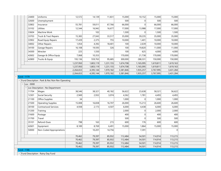|                         |                                                   |                  | 14,139           | 11,831           | 15,000             | 10,152           | 15,000             | 15,000             |  |
|-------------------------|---------------------------------------------------|------------------|------------------|------------------|--------------------|------------------|--------------------|--------------------|--|
| 24400                   | Uniforms                                          | 12,572           |                  |                  |                    |                  |                    |                    |  |
| 32600                   | Unemployment                                      |                  |                  |                  | 500                | 0                | 500                | 500                |  |
| 32802                   | Insurance                                         | 55,781           | 59,011           | 67,766           | 66,000             | 0                | 66,000             | 66,000             |  |
| 33102                   | <b>Utlities</b>                                   | 12,544           | 16,942           | 16,677           | 17,000             | 13,988           | 17,000             | 17,000             |  |
| 33604                   | Machine Work                                      |                  | 102              |                  | 1,500              | $\Omega$         | 1,500              | 1,500              |  |
| 33703                   | Truck & Tract Repairs                             | 15,383           | 27,043           | 33,517           | 35,000             | 39,235           | 35,000             | 35,000             |  |
| 33902                   | Road Equip Repairs                                | 17,439           | 2,375            | 755              | 10,000             | 1,401            | 10,000             | 10,000             |  |
| 34002                   | Other Repairs                                     | 1,054            | 4,392            | 18,401           | 100                | 2,639            | 10,000             | 10,000             |  |
| 34100                   | Garage Repairs                                    | 16, 108          | 19,593           | 326              | 100                | 19,820           | 11,000             | 11,000             |  |
| 34300                   | Wrecker                                           | 225              | 1,550            |                  | 100                | 625              | 4,000              | 4,000              |  |
| 42602                   | Garage & Office Equip                             | 7,068            | 10,353           |                  | 170,000            | 21,738           | 170,000            | 170,000            |  |
| 42800                   | Trucks & Equip                                    | 193,136          | 559,763          | 95,685           | 300,000            | 288,331          | 150,000            | 150,000            |  |
|                         |                                                   | 1,237,950        | 1,803,119        | 1,231,155        | 1,674,708          | 1,165,095        | 1,619,811          | 1,619,163          |  |
|                         |                                                   | 1,237,950        | 1,803,119        | 1,231,155        | 1,674,708          | 1,165,095        | 1,619,811          | 1,619,163          |  |
|                         |                                                   | 2,264,653        | 4,395,144        | 1,970,182        | 3,381,846          | 1,935,257        | 3,767,995          | 3,431,284          |  |
|                         |                                                   | 2,264,653        | 4,395,144        | 1,970,182        | 3,381,846          | 1,935,257        | 3,767,995          | 3,431,284          |  |
|                         |                                                   |                  |                  |                  |                    |                  |                    |                    |  |
| <b>Fund: 1179</b>       |                                                   |                  |                  |                  |                    |                  |                    |                    |  |
|                         | - Fund Description : Park & Rec Non Rev Operating |                  |                  |                  |                    |                  |                    |                    |  |
|                         |                                                   |                  |                  |                  |                    |                  |                    |                    |  |
|                         | Loc Description : No Department                   |                  |                  |                  |                    |                  |                    |                    |  |
| 11704                   | Wages                                             | 38,546           | 38,321           | 40,182           | 56,622             | 23,638           | 58,321             | 56,622             |  |
| 12301                   | Social Security                                   | 2,949            | 2,932            | 3,074            | 4,362              | 1,781            | 4,493              | 4,493              |  |
| 21100                   | Office Supplies                                   | 34               |                  |                  | 1,000              | 0                | 1,000              | 1,000              |  |
| $-$ Loc : 0000<br>21500 | <b>Operating Supplies</b>                         | 15,008           | 16,838           | 16,707           | 26,000             | 15,213           | 26,600             | 26,600             |  |
| 30100                   | <b>Contractural Services</b>                      | 4,938            | 2,173            | 4,507            | 6,000              | 4,438            | 6,000              | 6,000              |  |
| 31200                   | Training                                          |                  |                  |                  | 2,000              | 0                | 2,000              | 2,000              |  |
| 31600                   | Postage                                           |                  |                  |                  | 400                | 0                | 400                | 400                |  |
| 31700                   | Travel                                            |                  |                  |                  | 500                | 0                | 500                | 500                |  |
| 35101                   | Refund-Dues                                       | 798              | 163              | 215              | 600                | 176              | 600                | 600                |  |
| 42601                   | Equipment                                         | 8,189            | 8,769            | 6,491            | 15,000             | 1,864            | 15,000             | 15,000             |  |
| 50000                   | Non-Coded Appropriations                          |                  | 10,201           | 14,756           |                    | 7,391            |                    | $\Omega$           |  |
|                         |                                                   | 70,462           | 79,397           | 85,932           | 112,484            | 54,501           | 114,914            | 113,215            |  |
|                         |                                                   | 70,462           | 79,397           | 85,932           | 112,484            | 54,501           | 114,914            | 113,215            |  |
|                         |                                                   | 70,462<br>70,462 | 79,397<br>79,397 | 85,932<br>85,932 | 112,484<br>112,484 | 54,501<br>54,501 | 114,914<br>114,914 | 113,215<br>113,215 |  |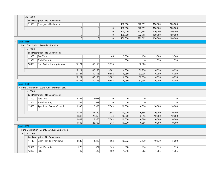| $\vert$ Loc: 0000<br>$\overline{\phantom{a}}$ |                                                  |        |        |       |                |          |         |                |  |
|-----------------------------------------------|--------------------------------------------------|--------|--------|-------|----------------|----------|---------|----------------|--|
|                                               | - Loc Description : No Department                |        |        |       |                |          |         |                |  |
| 31603                                         | Emergency Declaration                            |        |        |       | 100,000        | 272,595  | 100,000 | 100,000        |  |
|                                               |                                                  | 0      | 0      | 0     | 100,000        | 272,595  | 100,000 | 100,000        |  |
|                                               |                                                  | 0      | 0      | 0     | 100,000        | 272,595  | 100,000 | 100,000        |  |
|                                               |                                                  | 0      | 0      | 0     | 100,000        | 272,595  | 100,000 | 100,000        |  |
|                                               |                                                  | 0      | 0      | 0     | 100,000        | 272,595  | 100,000 | 100,000        |  |
| <b>Fund: 1189</b>                             |                                                  |        |        |       |                |          |         |                |  |
|                                               | - Fund Description : Recorders Perp Fund         |        |        |       |                |          |         |                |  |
| $-$ Loc : 0000                                |                                                  |        |        |       |                |          |         |                |  |
| $\overline{\phantom{0}}$                      | Loc Description : No Department                  |        |        |       |                |          |         |                |  |
| 11300                                         | Part Time                                        |        |        | 66    | 5,500          | 130      | 5,500   | 5,500          |  |
| 12301                                         | Social Security                                  |        |        |       | 550            | $\Omega$ | 550     | 550            |  |
| 50000                                         | Non-Coded Appropriations                         | 25,121 | 40,156 | 9,816 |                | 32,806   |         |                |  |
|                                               |                                                  |        |        |       |                |          |         |                |  |
|                                               |                                                  | 25,121 | 40,156 | 9,882 | 6,050          | 32,936   | 6,050   | 6,050          |  |
|                                               |                                                  | 25,121 | 40,156 | 9,882 | 6,050          | 32,936   | 6,050   | 6,050          |  |
|                                               |                                                  | 25,121 | 40,156 | 9,882 | 6,050          | 32,936   | 6,050   | 6,050          |  |
|                                               |                                                  | 25,121 | 40,156 | 9,882 | 6,050          | 32,936   | 6,050   | 6,050          |  |
| <b>Fund: 1200</b>                             |                                                  |        |        |       |                |          |         |                |  |
|                                               | - Fund Description : Supp Public Defender Serv   |        |        |       |                |          |         |                |  |
| $-$ Loc : 0000                                |                                                  |        |        |       |                |          |         |                |  |
|                                               | - Loc Description : No Department                |        |        |       |                |          |         |                |  |
| 11300                                         | Part Time                                        | 9,202  | 16,043 | 0     | 0              | 0        |         | 0              |  |
| 12301                                         | Social Security                                  | 704    | 932    | 0     | $\overline{0}$ | $\Omega$ |         | $\overline{0}$ |  |
| 13500                                         | Appointed Pauper Council                         | 1,936  | 5,385  | 7,343 | 10,000         | 6,396    | 10,000  | 10,000         |  |
|                                               |                                                  |        |        |       |                |          |         |                |  |
|                                               |                                                  | 11,842 | 22,360 | 7,343 | 10,000         | 6,396    | 10,000  | 10,000         |  |
|                                               |                                                  | 11,842 | 22,360 | 7,343 | 10,000         | 6,396    | 10,000  | 10,000         |  |
|                                               |                                                  | 11,842 | 22,360 | 7,343 | 10,000         | 6,396    | 10,000  | 10,000         |  |
|                                               |                                                  | 11,842 | 22,360 | 7,343 | 10,000         | 6,396    | 10,000  | 10,000         |  |
| <b>Fund: 1202</b>                             |                                                  |        |        |       |                |          |         |                |  |
|                                               | - Fund Description : County Surveyor Corner Perp |        |        |       |                |          |         |                |  |
| $-$ Loc : 0000                                |                                                  |        |        |       |                |          |         |                |  |
| $\overline{\phantom{0}}$                      | Loc Description : No Department                  |        |        |       |                |          |         |                |  |
| 11113                                         | Ditch Tech-Full/Part Time                        | 3,680  | 4,318  | 4,592 | 10,232         | 3,130    | 10,539  | 5,000          |  |
|                                               |                                                  |        |        |       |                |          |         |                |  |
| 12301                                         | Social Security                                  | 276    | 324    | 345   | 888            | 234      | 915     | 915            |  |
| 12402                                         | PERF                                             | 449    | 522    | 560   | 1,248          | 382      | 1,285   | 1,285          |  |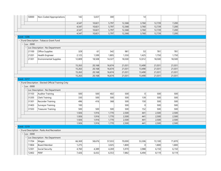|                   |                          | 50000     | Non-Coded Appropriations                            | 142    | 5,657  | 300    |        | 14     |        |        |  |
|-------------------|--------------------------|-----------|-----------------------------------------------------|--------|--------|--------|--------|--------|--------|--------|--|
|                   |                          |           |                                                     | 4,547  | 10,821 | 5,797  | 12,368 | 3,760  | 12,739 | 7,200  |  |
|                   |                          |           |                                                     | 4,547  | 10,821 | 5,797  | 12,368 | 3,760  | 12,739 | 7,200  |  |
|                   |                          |           |                                                     | 4,547  | 10,821 | 5,797  | 12,368 | 3,760  | 12,739 | 7,200  |  |
|                   |                          |           |                                                     | 4,547  | 10,821 | 5,797  | 12,368 | 3,760  | 12,739 | 7,200  |  |
| <b>Fund: 1206</b> |                          |           |                                                     |        |        |        |        |        |        |        |  |
|                   |                          |           | - Fund Description : Tobacco Grant Fund             |        |        |        |        |        |        |        |  |
|                   |                          | Loc: 0000 |                                                     |        |        |        |        |        |        |        |  |
|                   | $\overline{\phantom{a}}$ |           | Loc Description : No Department                     |        |        |        |        |        |        |        |  |
|                   |                          | 21100     | Office Supplies                                     | 329    | 61     | 542    | 981    | 53     | 781    | 781    |  |
|                   |                          | 21201     | Health Engineer                                     | 2,125  | 1,599  | 1,805  | 1,550  | 1,425  | 1,750  | 1,750  |  |
|                   |                          | 21301     | <b>Environmental Supplies</b>                       | 12,809 | 18,508 | 14,327 | 18,500 | 12,012 | 18,500 | 18,500 |  |
|                   |                          |           |                                                     | 15,263 | 20,168 | 16,674 | 21,031 | 13,490 | 21,031 | 21,031 |  |
|                   |                          |           |                                                     | 15,263 | 20,168 | 16,674 | 21,031 | 13,490 | 21,031 | 21,031 |  |
|                   |                          |           |                                                     | 15,263 | 20,168 | 16,674 | 21,031 | 13,490 | 21,031 | 21,031 |  |
|                   |                          |           |                                                     | 15,263 | 20,168 | 16,674 | 21,031 | 13,490 | 21,031 | 21,031 |  |
| <b>Fund: 1217</b> |                          |           |                                                     |        |        |        |        |        |        |        |  |
|                   |                          |           | - Fund Description : Elected Official Training Cnty |        |        |        |        |        |        |        |  |
|                   |                          | Loc: 0000 |                                                     |        |        |        |        |        |        |        |  |
|                   | $\overline{\phantom{a}}$ |           | Loc Description : No Department                     |        |        |        |        |        |        |        |  |
|                   |                          | 31103     | Auditor Training                                    | 500    | 500    | 402    | 500    | 0      | 500    | 500    |  |
|                   |                          | 31205     | Clerk Training                                      | 330    | 500    | 500    | 500    | 139    | 500    | 500    |  |
|                   |                          | 31301     | Recorder Training                                   | 496    | 416    | 368    | 500    | 150    | 500    | 500    |  |
|                   |                          | 31403     | Surveyor Training                                   | 100    |        |        | 500    | 0      | 500    | 500    |  |
|                   |                          | 31503     | Treasurer Training                                  | 500    | 500    | 500    | 500    | 152    | 500    | 500    |  |
|                   |                          |           |                                                     | 1,926  | 1,916  | 1,770  | 2,500  | 441    | 2,500  | 2,500  |  |
|                   |                          |           |                                                     | 1,926  | 1,916  | 1,770  | 2,500  | 441    | 2,500  | 2,500  |  |
|                   |                          |           |                                                     | 1,926  | 1,916  | 1,770  | 2,500  | 441    | 2,500  | 2,500  |  |
|                   |                          |           |                                                     | 1,926  | 1,916  | 1,770  | 2,500  | 441    | 2,500  | 2,500  |  |
| <b>Fund: 1219</b> |                          |           |                                                     |        |        |        |        |        |        |        |  |
|                   |                          |           | - Fund Description : Parks And Recreation           |        |        |        |        |        |        |        |  |
|                   |                          | Loc: 0000 |                                                     |        |        |        |        |        |        |        |  |
|                   |                          |           | Loc Description : No Department                     |        |        |        |        |        |        |        |  |
|                   |                          | 11704     | Wages                                               | 66,369 | 58,676 | 57,033 | 70,000 | 53,306 | 72,100 | 71,870 |  |
|                   |                          | 11804     | <b>Board Member</b>                                 | 1,275  |        | 3,025  | 1,800  | 0      | 1,800  | 1,800  |  |
|                   |                          | 12301     | Social Security                                     | 4,760  | 4,389  | 4,269  | 5,970  | 3,988  | 6,150  | 6,150  |  |
|                   |                          |           |                                                     |        |        |        |        |        |        |        |  |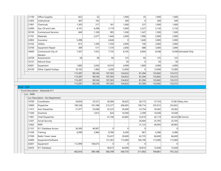| 21100             | Office Supplies                    | 822     | 32      |                | 1,000    | 35             | 1,000   | 1,000          |                      |
|-------------------|------------------------------------|---------|---------|----------------|----------|----------------|---------|----------------|----------------------|
| 21603             | Institutional                      | 487     | 192     |                | 200      | $\overline{0}$ | 200     | 200            |                      |
| 21901             | Chemicals                          | 1,305   | 317     | 181            | 1,000    | 237            | 1,000   | 1,000          |                      |
| 22000             | Gas, Oil and Lube                  | 4,191   | 4,208   | 3,179          | 5,000    | 2,327          | 5,150   | 5,150          |                      |
| 30100             | <b>Contractural Services</b>       | 660     | 1,100   | 905            | 1,500    | 1,347          | 1,500   | 1,500          |                      |
| 31701             | Materials                          |         | 2,477   | 1,644          | 2,000    | 1,996          | 2,000   | 2,000          |                      |
| 32802             | Insurance                          | 5,498   |         | 4,646          | $\Omega$ | 1,640          | 5,000   | 5,000          |                      |
| 33102             | Utlities                           | 815     | 1,269   | 1,550          | 2,000    | 740            | 2,060   | 2,060          |                      |
| 33700             | Equipment Repair                   | 389     | 511     | 1,570          | 2,000    | 688            | 3,000   | 3,000          |                      |
| 34600             | Contractural-City of<br>Decatur    | 7,267   | 7,425   | 7,735          | 8,105    | 6,604          | 8,348   |                | 8,348 Estimated Only |
| 34700             | Assessments                        | 58      | 58      | 94             | 125      | 92             | 125     | 125            |                      |
| 35101             | Refund-Dues                        |         |         |                | 50       | $\overline{0}$ | 50      | 50             |                      |
| 42601             | Equipment                          | 1,800   | 2,050   | 10,919         | 4,000    | 1,800          | 4,000   | 4,000          |                      |
| 43100             | Other Capital Outlays              | 10,165  | 1,400   | 4,200          | 12,000   | $\Omega$       | 12,000  | 12,000         |                      |
|                   |                                    | 113,287 | 90,536  | 107,503        | 124,632  | 81,294         | 133,602 | 133,372        |                      |
|                   |                                    | 113,287 | 90,536  | 107,503        | 124,632  | 81,294         | 133,602 | 133,372        |                      |
|                   |                                    | 113,287 | 90,536  | 107,503        | 124,632  | 81,294         | 133,602 | 133,372        |                      |
|                   |                                    | 113,287 | 90,536  | 107,503        | 124,632  | 81,294         | 133,602 | 133,372        |                      |
| <b>Fund: 1222</b> |                                    |         |         |                |          |                |         |                |                      |
|                   | - Fund Description : Statewide 911 |         |         |                |          |                |         |                |                      |
| $-$ Loc : 0000    |                                    |         |         |                |          |                |         |                |                      |
|                   | Loc Description : No Department    |         |         |                |          |                |         |                |                      |
| 10700             | Coordinator                        | 34,834  | 35,531  | 36,584         | 36,625   | 28,173         | 37,724  |                | 37,061 Mary Ann      |
| 10900             | Dispatcher                         | 190,338 | 191,598 | 215,277        | 206,605  | 190,714        | 255,912 | 253,822        |                      |
| 11415             | Asst Dispatcher                    | 21,977  | 25,698  | 32,225         | 29,400   | 23,754         | 30,282  | 30,282         |                      |
| 11500             | Overtime                           |         | 1,813   | 624            | 10,500   | 2,599          | 10,500  | 10,500         |                      |
| 11901             | Chief Dispatcher                   |         |         | 41,746         | 43,805   | 33,619         | 45,119  |                | 44,243 Bill Grimm    |
| 12301             | Social Security                    |         |         |                |          | 20,404         | 25,705  | 25,705         |                      |
| 12402             | PERF                               |         |         |                |          | 31,123         | 40,993  | 40,993         |                      |
| 21101             | 911 Database Access                | 36,569  | 40,907  | $\Omega$       | $\Omega$ | $\Omega$       |         | $\Omega$       |                      |
| 31200             | Training                           | 6,099   | 2,966   | 8,780          | 6,200    | 967            | 6,386   | 6,386          |                      |
| 37500             | Radio Tower Lease                  |         |         | 55,437         | 30,600   | 42,735         | 66,600  | 66,600         |                      |
| 34400             | Equipment/Software                 |         |         | 131,363        | 113,000  | 106,190        | 113,000 | 113,000        |                      |
| 42601             | Equipment                          | 112,999 | 100,675 | $\overline{0}$ | 0        | 0              |         | $\overline{0}$ |                      |
| 34303             | 911 Database                       |         |         | 38,673         | 64,000   | 30,814         | 72,640  | 72,640         |                      |
|                   |                                    | 402,816 | 399,188 | 560,709        | 540,735  | 511,092        | 704,861 | 701,232        |                      |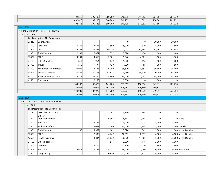|                   |                |                                               | 402,816 | 399,188 | 560,709 | 540,735 | 511,092  | 704,861 | 701,232  |                       |
|-------------------|----------------|-----------------------------------------------|---------|---------|---------|---------|----------|---------|----------|-----------------------|
|                   |                |                                               | 402,816 | 399,188 | 560,709 | 540,735 | 511,092  | 704,861 | 701,232  |                       |
|                   |                |                                               | 402,816 | 399,188 | 560,709 | 540,735 | 511,092  | 704,861 | 701,232  |                       |
| <b>Fund: 1224</b> |                |                                               |         |         |         |         |          |         |          |                       |
|                   |                | - Fund Description : Reassessment 2015        |         |         |         |         |          |         |          |                       |
|                   | $-$ Loc : 0000 |                                               |         |         |         |         |          |         |          |                       |
|                   |                | - Loc Description : No Department             |         |         |         |         |          |         |          |                       |
|                   | 35210          | County Aerial                                 |         |         |         | 0       | 0        | 30,000  | 30,000   |                       |
|                   | 11300          | Part Time                                     | 1,365   | 1,675   | 1,560   | 5,000   | 310      | 5,000   | 2,500    |                       |
|                   | 11902          | Clerks                                        | 35,255  | 37,865  | 39,076  | 42,001  | 32,794   | 43,261  | 43,954   |                       |
|                   | 12301          | Social Security                               | 2,593   | 2,867   | 1,532   | 3,596   | 2,450    | 3,600   | 3,600    |                       |
|                   | 12402          | PERF                                          | 4,301   | 4,619   | 2,381   | 5,040   | 4,001    | 5,100   | 5,100    |                       |
|                   | 21100          | Office Supplies                               | 813     | 964     | 639     | 1,500   | 192      | 1,500   | 1,000    |                       |
|                   | 31700          | Travel                                        | 312     | 477     | 420     | 1,000   | 85       | 1,000   | 500      |                       |
|                   | 33600          | <b>Maintenance Contracts</b>                  | 29,985  | 31,525  | 16,059  | 35,600  | 18,857   | 36,600  | 36,600   |                       |
|                   | 35204          | <b>Reassess Contract</b>                      | 60,584  | 60,496  | 61,813  | 70,250  | 35,110   | 70,250  | 65,000   |                       |
|                   | 35700          | Software Maintenance                          | 9,775   | 44,334  | 18,300  | 35,000  | 17,031   | 48,000  | 35,000   |                       |
|                   | 42601          | Equipment                                     |         | 2,250   |         | 5,000   | $\Omega$ | 5,000   | $\Omega$ |                       |
|                   |                |                                               | 144,983 | 187,072 | 141,780 | 203,987 | 110,830  | 249,311 | 223,254  |                       |
|                   |                |                                               | 144,983 | 187,072 | 141,780 | 203,987 | 110,830  | 249,311 | 223,254  |                       |
|                   |                |                                               | 144,983 | 187,072 | 141,780 | 203,987 | 110,830  | 249,311 | 223,254  |                       |
|                   |                |                                               | 144,983 | 187,072 | 141,780 | 203,987 | 110,830  | 249,311 | 223,254  |                       |
| <b>Fund: 2100</b> |                |                                               |         |         |         |         |          |         |          |                       |
|                   |                | - Fund Description : Adult Probation Services |         |         |         |         |          |         |          |                       |
|                   | $-$ Loc : 0000 |                                               |         |         |         |         |          |         |          |                       |
|                   |                | - Loc Description : No Department             |         |         |         |         |          |         |          |                       |
|                   | 11114          | Asst. Chief Probation<br>Officer              |         |         | 3,101   | 3,750   | 288      | 0       | 0        |                       |
|                   | 11207          | Probation Officer                             |         |         | 6,996   | 25,363  | 3,195    | 0       |          | $0$ Jaime             |
|                   | 11300          | Part Time                                     |         | 1,185   | 1,115   | 5,000   | 75       | 5,000   | 5,000    |                       |
|                   | 11504          | <b>Probation Officer</b>                      |         | 24,039  | 25,000  | 25,000  | 17,308   | 25,000  |          | 25,000 Danelle        |
|                   | 12301          | Social Security                               | 108     | 1,952   | 2,682   | 7,828   | 1,563    | 3,000   |          | 3,000 Jaime, Danelle  |
|                   | 12402          | PERF                                          |         | 2,933   | 4,247   | 12,505  | 2,537    | 4,000   |          | 4,000 Jaime, Danelle  |
|                   | 12601          | Health Insurance                              |         | 11,834  | 26,639  | 60,000  | 14,505   | 36,000  |          | 36,000 Jaime, Danelle |
|                   | 21100          | Office Supplies                               |         |         | 1,541   | 2,000   | 118      | 2,000   | 2,000    |                       |
|                   | 24400          | Uniforms                                      |         | 1,102   |         | 300     | $\Omega$ | 300     | 300      |                       |
|                   | 33002          | PSI Writer                                    | 15,611  | 18,743  | 18,077  | 26,000  | 17,080   | 26,000  |          | 26,000 Jessica Nix    |
|                   | 33800          | Drug Testing                                  |         |         | 10,950  | 17,000  | 17,277   | 18,000  | 18,000   |                       |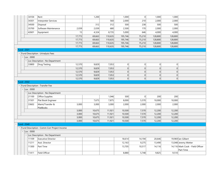|                   | 34104          | Rent                                          |                | 1,200            |                  | 1,000            | 0              | 1,000            | 1,000            |                                  |
|-------------------|----------------|-----------------------------------------------|----------------|------------------|------------------|------------------|----------------|------------------|------------------|----------------------------------|
|                   | 34301          | Interpreter Services                          |                |                  | 560              | 2,000            | 210            | 2,000            | 2,000            |                                  |
|                   | 34500          | Disposal                                      |                | 312              | 312              | 500              | 238            | 500              | 500              |                                  |
|                   | 35700          | Software Maintenance                          | 2,039          | 2,039            | 680              | 2,500            | 170            | 2,000            | 2,000            |                                  |
|                   | 42601          | Equipment                                     | 15             | 4,324            | 8,735            | 5,000            | 646            | 4,000            | 4,000            |                                  |
|                   |                |                                               | 17,773         | 69,663           | 110,635          | 195,746          | 75,210         | 128,800          | 128,800          |                                  |
|                   |                |                                               | 17,773         | 69,663           | 110,635          | 195,746          | 75,210         | 128,800          | 128,800          |                                  |
|                   |                |                                               | 17,773         | 69,663           | 110,635          | 195,746          | 75,210         | 128,800          | 128,800          |                                  |
|                   |                |                                               | 17,773         | 69,663           | 110,635          | 195,746          | 75,210         | 128,800          | 128,800          |                                  |
| <b>Fund: 2501</b> |                |                                               |                |                  |                  |                  |                |                  |                  |                                  |
|                   |                | - Fund Description : Urinalysis Fees          |                |                  |                  |                  |                |                  |                  |                                  |
|                   | Loc:0000       |                                               |                |                  |                  |                  |                |                  |                  |                                  |
|                   |                | Loc Description : No Department               |                |                  |                  |                  |                |                  |                  |                                  |
|                   | 33800          | Drug Testing                                  | 12,570         | 9,829            | 7,053            | 0                | 0              | 0                | 0                |                                  |
|                   |                |                                               | 12,570         | 9,829            | 7,053            | 0                | 0              | 0                | $\overline{0}$   |                                  |
|                   |                |                                               | 12,570         | 9,829            | 7,053            | 0                | 0              | 0                | 0                |                                  |
|                   |                |                                               | 12,570         | 9,829            | 7,053            | 0                | 0              | 0                | $\overline{0}$   |                                  |
|                   |                |                                               | 12,570         | 9,829            | 7,053            | 0                | 0              | 0                | 0                |                                  |
| <b>Fund: 2502</b> |                |                                               |                |                  |                  |                  |                |                  |                  |                                  |
|                   |                | - Fund Description : Transfer Fee             |                |                  |                  |                  |                |                  |                  |                                  |
|                   | $-$ Loc : 0000 |                                               |                |                  |                  |                  |                |                  |                  |                                  |
|                   |                | Loc Description : No Department               |                |                  |                  |                  |                |                  |                  |                                  |
|                   | 21100          | Office Supplies                               |                |                  | 1,046            | 500              | 0              | 200              | 200              |                                  |
|                   | 31501          | Plat Book Engineer                            |                | 7,675            | 7,875            | 8,000            | 5,570          | 10,000           | 10,000           |                                  |
|                   | 33602          | Maint/Transfer &                              | 3,000          | 3,000            | 3,000            | 2,000            | 2,000          | 2,000            | 2,000            |                                  |
|                   |                | PlatBooks                                     |                |                  |                  |                  |                |                  |                  |                                  |
|                   |                |                                               | 3,000<br>3,000 | 10,675<br>10,675 | 11,921<br>11,921 | 10,500<br>10,500 | 7,570<br>7,570 | 12,200<br>12,200 | 12,200<br>12,200 |                                  |
|                   |                |                                               | 3,000          | 10,675           | 11,921           | 10,500           | 7,570          | 12,200           | 12,200           |                                  |
|                   |                |                                               | 3,000          | 10,675           | 11,921           | 10,500           | 7,570          | 12,200           | 12,200           |                                  |
| <b>Fund: 2540</b> |                |                                               |                |                  |                  |                  |                |                  |                  |                                  |
|                   |                | - Fund Description : Comm Corr Project Income |                |                  |                  |                  |                |                  |                  |                                  |
|                   | $-$ Loc : 0000 |                                               |                |                  |                  |                  |                |                  |                  |                                  |
|                   |                | Loc Description : No Department               |                |                  |                  |                  |                |                  |                  |                                  |
|                   | 11109          | <b>Executive Director</b>                     |                |                  |                  | 18,614           | 14,194         | 20,646           |                  | 19,969 lan Gilbert               |
|                   | 11211          | Asst. Director                                |                |                  |                  | 12,163           | 9,275          | 13,490           |                  | 13,048 Jeremy Wetter             |
|                   | 11300          | Part Time                                     |                |                  |                  | 13,705           | 10,517         | 14,116           |                  | 14,116 Mark Cook - Field Officer |
|                   |                |                                               |                |                  |                  |                  |                |                  |                  | Part Time                        |
|                   | 11411          | Field Officer                                 |                |                  |                  | 8,880            | 5,748          | 9,825            | 9,510            |                                  |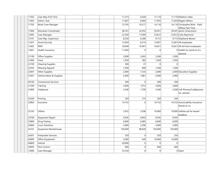| 11502 | Case Mgr./Full Time          |  | 11,573  | 6,544          | 17,110   |          | 17,110 Madison Hake                 |
|-------|------------------------------|--|---------|----------------|----------|----------|-------------------------------------|
| 11605 | Admin. Asst.                 |  | 11,067  | 8,464          | 11,955   |          | 11,659 Magen Wilson                 |
| 11702 | Work Crew Manager            |  | 13,705  | 10,517         | 14, 116  |          | 14,116 Christopher Brite - Field    |
|       |                              |  |         |                |          |          | Officer Part Time                   |
| 11900 | <b>Education Coordinator</b> |  | 28,761  | 22,052         | 29,931   |          | 29,541 Aaron Scheumann              |
| 12005 | Case Manager                 |  | 22,350  | 17,094         | 23,812   |          | 23,812 Carly Raymond                |
| 12101 | Case Mgr. Supervisor         |  | 8,250   | 6,306          | 9,712    |          | 9,712 Stephanie Beaver              |
| 12301 | Social Security              |  | 13,954  | 8,314          | 12,601   |          | 12,601 All employees                |
| 12402 | <b>PERF</b>                  |  | 18,909  | 10,941         | 16,651   |          | 16,651 All full time employees      |
| 12601 | Health Insurance             |  | 11,650  | $\Omega$       |          |          | 0 Health Ins reimb to Co<br>General |
| 21100 | Office Supplies              |  | 3,000   | 2,403          | 3,300    | 3,300    |                                     |
| 21600 | Food                         |  | 1,050   | 582            | 1,050    | 1,050    |                                     |
| 22100 | Cleaning Supplies            |  | 300     | 37             | $\Omega$ | $\Omega$ |                                     |
| 22302 | <b>Wearing Apparel</b>       |  | 1,500   | 890            | 1,500    | 1,500    |                                     |
| 22601 | Other Supplies               |  | 2,000   | 1,533          | 2,000    |          | 2,000 Education Supplies            |
| 23301 | Vehicle Maint & Supplies     |  | 2,900   | 1,881          | 2,900    | 2,900    |                                     |
| 30100 | <b>Contractural Services</b> |  | 200     | $\overline{0}$ | 200      | 200      |                                     |
| 31200 | Training                     |  | 3,600   | 1,912          | 3,600    | 3,600    |                                     |
| 31800 | Telephone                    |  | 3,300   | 1,790          | 3,300    |          | 3,300 Cell Phones/Cradlepoints      |
|       |                              |  |         |                |          |          | for vehicles                        |
| 32200 | Printing                     |  | 250     | 215            | 250      | 250      |                                     |
| 32802 | Insurance                    |  | 14,732  | $\overline{0}$ | 14,732   |          | 14,732 Auto/Liability Insurance -   |
|       |                              |  |         |                |          |          | Reimb to Co                         |
| 33102 | <b>Utlities</b>              |  | 3,952   | 3,296          | 10,000   |          | 10,000 Utilities pd for leased      |
| 33700 | Equipment Repair             |  | 9,505   | 6,943          | 9,505    | 9,505    | building                            |
| 33800 |                              |  | 6,600   |                |          | 6,600    |                                     |
|       | Drug Testing                 |  |         | 6,485          | 6,600    |          |                                     |
| 34004 | <b>Court Solutions</b>       |  | 3,000   | 2,396          | 3,000    | 3,000    |                                     |
| 34101 | Equipment Rental/Lease       |  | 150,000 | 88,839         | 150,000  | 150,000  |                                     |
| 34301 | Interpreter Services         |  | 250     | 0              | 250      | 250      |                                     |
| 42600 | Office Equipment             |  | 5,000   | 636            | 10,000   | 10,000   |                                     |
| 44800 | Vehicle                      |  | 30,000  | $\overline{0}$ | $\Omega$ | $\Omega$ |                                     |
|       |                              |  |         |                |          |          |                                     |
| 34005 | Pest Control                 |  | 600     | $\overline{0}$ | 600      | 600      |                                     |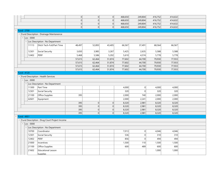|                   |                          |                                                | 0      | 0      | 0      | 468,650 | 249,804 | 416,752 | 414,632 |  |
|-------------------|--------------------------|------------------------------------------------|--------|--------|--------|---------|---------|---------|---------|--|
|                   |                          |                                                | 0      | 0      | 0      | 468,650 | 249,804 | 416,752 | 414,632 |  |
|                   |                          |                                                | 0      | 0      | 0      | 468,650 | 249,804 | 416,752 | 414,632 |  |
|                   |                          |                                                | 0      | 0      | 0      | 468,650 | 249,804 | 416,752 | 414,632 |  |
| <b>Fund: 2700</b> |                          |                                                |        |        |        |         |         |         |         |  |
|                   |                          | - Fund Description : Drainage Maintanence      |        |        |        |         |         |         |         |  |
|                   | $\vert$ Loc: 0000        |                                                |        |        |        |         |         |         |         |  |
|                   | $\overline{\phantom{a}}$ | Loc Description : No Department                |        |        |        |         |         |         |         |  |
|                   | 11113                    | Ditch Tech-Full/Part Time                      | 48,497 | 52,893 | 43,405 | 66,567  | 37,491  | 68,564  | 66,567  |  |
|                   | 12301                    | Social Security                                | 3,650  | 3,985  | 3,267  | 5,425   | 2,635   | 5,588   | 5,588   |  |
|                   | 12402                    | PERF                                           | 5,468  | 5,586  | 5,202  | 5,610   | 4,574   | 5,778   | 5,778   |  |
|                   |                          |                                                | 57,615 | 62,464 | 51,874 | 77,602  | 44,700  | 79,930  | 77,933  |  |
|                   |                          |                                                | 57,615 | 62,464 | 51,874 | 77,602  | 44,700  | 79,930  | 77,933  |  |
|                   |                          |                                                | 57,615 | 62,464 | 51,874 | 77,602  | 44,700  | 79,930  | 77,933  |  |
|                   |                          |                                                | 57,615 | 62,464 | 51,874 | 77,602  | 44,700  | 79,930  | 77,933  |  |
| <b>Fund: 4120</b> |                          |                                                |        |        |        |         |         |         |         |  |
|                   |                          | - Fund Description : Health Services           |        |        |        |         |         |         |         |  |
|                   | $-$ Loc : 0000           |                                                |        |        |        |         |         |         |         |  |
|                   |                          | Loc Description : No Department                |        |        |        |         |         |         |         |  |
|                   | 11300                    | Part Time                                      |        |        |        | 4,000   | 0       | 4,000   | 4,000   |  |
|                   | 12301                    | Social Security                                |        |        |        | 320     | 0       | 320     | 320     |  |
|                   | 21100                    | Office Supplies                                | 395    |        |        | 2,000   | 740     | 2,000   | 2,000   |  |
|                   | 42601                    | Equipment                                      |        |        |        | 2,000   | 2,241   | 2,000   | 2,000   |  |
|                   |                          |                                                | 395    | 0      | 0      | 8,320   | 2,981   | 8,320   | 8,320   |  |
|                   |                          |                                                | 395    | 0      | 0      | 8,320   | 2,981   | 8,320   | 8,320   |  |
|                   |                          |                                                | 395    | 0      | 0      | 8,320   | 2,981   | 8,320   | 8,320   |  |
|                   |                          |                                                | 395    | 0      | 0      | 8,320   | 2,981   | 8,320   | 8,320   |  |
| <b>Fund: 4951</b> |                          |                                                |        |        |        |         |         |         |         |  |
|                   |                          | - Fund Description : Drug Court Project Income |        |        |        |         |         |         |         |  |
|                   | $-$ Loc : 0000           |                                                |        |        |        |         |         |         |         |  |
|                   |                          | Loc Description : No Department                |        |        |        |         |         |         |         |  |
|                   | 10700                    | Coordinator                                    |        |        |        | 7,013   | 0       | 4,046   | 4,046   |  |
|                   | 12301                    | Social Security                                |        |        |        | 536     | 0       | 310     | 310     |  |
|                   | 12402                    | PERF                                           |        |        |        | 856     | 0       | 494     | 494     |  |
|                   | 21000                    | Incentives                                     |        |        |        | 1,500   | 110     | 1,500   | 1,500   |  |
|                   | 21100                    | Office Supplies                                |        |        |        | 600     | 489     | 600     | 600     |  |
|                   | 21602                    | Educational Lesson                             |        |        |        |         |         | 1,000   | 1,000   |  |
|                   |                          | <b>Supplies</b>                                |        |        |        |         |         |         |         |  |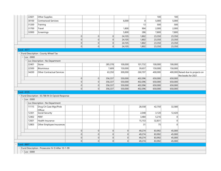| 22601             | Other Supplies                                     |                |                |         |         |          | 100     | 100            |                                   |
|-------------------|----------------------------------------------------|----------------|----------------|---------|---------|----------|---------|----------------|-----------------------------------|
| 30100             | Contractural Services                              |                |                |         | 6,000   | $\Omega$ | 5,000   | 5,000          |                                   |
| 31200             | Training                                           |                |                |         |         | 13       | 500     | 500            |                                   |
| 31700             | Travel                                             |                |                |         | 1,800   | 904      | 2,000   | 2,000          |                                   |
| 32000             | Screenings                                         |                |                |         | 5,800   | 286      | 7,800   | 7,800          |                                   |
|                   |                                                    | 0              | 0              | 0       | 24,105  | 1,802    | 23,350  | 23,350         |                                   |
|                   |                                                    | 0              | 0              | 0       | 24,105  | 1,802    | 23,350  | 23,350         |                                   |
|                   |                                                    | $\overline{0}$ | 0              | 0       | 24,105  | 1,802    | 23,350  | 23,350         |                                   |
|                   |                                                    | 0              | 0              | 0       | 24,105  | 1,802    | 23,350  | 23,350         |                                   |
| <b>Fund: 4977</b> |                                                    |                |                |         |         |          |         |                |                                   |
|                   | - Fund Description : County Wheel Tax              |                |                |         |         |          |         |                |                                   |
| $-$ Loc : 0000    |                                                    |                |                |         |         |          |         |                |                                   |
|                   | - Loc Description : No Department                  |                |                |         |         |          |         |                |                                   |
| 22401             | Stone                                              |                |                | 285,378 | 100,000 | 101,732  | 100,000 | 100,000        |                                   |
| 22500             | Bituminous                                         |                |                | 7,609   | 150,000 | 39,657   | 150,000 | 150,000        |                                   |
| 34200             | <b>Other Contractual Services</b>                  |                |                | 63,350  | 300,000 | 260,707  | 400,000 |                | 400,000 Raised due to projects on |
|                   |                                                    |                |                |         |         |          |         |                | the books for 2021                |
|                   |                                                    | 0              | 0              | 356,337 | 550,000 | 402,096  | 650,000 | 650,000        |                                   |
|                   |                                                    | 0              | 0              | 356,337 | 550,000 | 402,096  | 650,000 | 650,000        |                                   |
|                   |                                                    | $\overline{0}$ | 0              | 356,337 | 550,000 | 402,096  | 650,000 | 650,000        |                                   |
|                   |                                                    | 0              | 0              | 356,337 | 550,000 | 402,096  | 650,000 | 650,000        |                                   |
| <b>Fund: 8105</b> | - Fund Description : 93.788 IN St Opioid Response  |                |                |         |         |          |         |                |                                   |
| $-$ Loc : 0000    |                                                    |                |                |         |         |          |         |                |                                   |
|                   | - Loc Description : No Department                  |                |                |         |         |          |         |                |                                   |
| 11115             | Drug Crt Case Mgr/Prob                             |                |                |         |         | 28,558   | 42,750  | 32,580         |                                   |
|                   | Officer                                            |                |                |         |         |          |         |                |                                   |
| 12301             | Social Security                                    |                |                |         |         | 2,048    | 3,120   | 12,420         |                                   |
| 12402             | PERF                                               |                |                |         |         | 3,484    | 5,216   | 0              |                                   |
| 12601             | Health Insurance                                   |                |                |         |         | 15,153   | 32,831  | $\overline{0}$ |                                   |
| 12803             | Other Employee Insurances                          |                |                |         |         | 31       | 75      | 0              |                                   |
|                   |                                                    |                |                |         |         |          |         |                |                                   |
|                   |                                                    | 0              | 0              | 0       | 0       | 49,274   | 83,992  | 45,000         |                                   |
|                   |                                                    | $\overline{0}$ | $\overline{0}$ | 0       | 0       | 49,274   | 83,992  | 45,000         |                                   |
|                   |                                                    | 0              | 0              | 0       | 0       | 49,274   | 83,992  | 45,000         |                                   |
|                   |                                                    | 0              | 0              | 0       | 0       | 49,274   | 83,992  | 45,000         |                                   |
| <b>Fund: 8897</b> |                                                    |                |                |         |         |          |         |                |                                   |
|                   | - Fund Description : Prosecutor IV-D After 10-1-99 |                |                |         |         |          |         |                |                                   |
| $-$ Loc : 0000    |                                                    |                |                |         |         |          |         |                |                                   |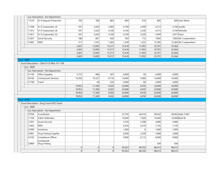|                   | Loc Description : No Department                      |                  |                  |                |                  |                |                  |                  |                          |
|-------------------|------------------------------------------------------|------------------|------------------|----------------|------------------|----------------|------------------|------------------|--------------------------|
| 11210             | IV-D Deputy Prosecutor                               | 765              | 780              | 803            | 804              | 619            | 845              |                  | 828 Julie-Marie          |
| 11308             | IV-D Caseworker (3)                                  | 591              | 3,420            | 3,685          | 4,194            | 2,949          | 4,215            |                  | $4,194$ Janelle          |
| 11412             | IV-D Caseworker (4)                                  | 591              | 3,420            | 4,169          | 4,194            | 3,226          | 4,215            |                  | 4,194 Michelle           |
| 11812             | IV-D Caseworker (5)                                  | 591              | 3,420            | 4,169          | 4,194            | 3,226          | 3,949            | 3,871 Fawn       |                          |
| 12301             | Social Security                                      | 186              | 801              | 926            | 783              | 712            | 7,892            |                  | 7,892 All 3 caseworkers  |
| 12402             | PERF                                                 | 217              | 1,252            | 1,565          | 1,249            | 1,223          | 12,585           |                  | 12,585 All 3 caseworkers |
|                   |                                                      | 2,941            | 13,093           | 15,317         | 15,418           | 11,955         | 33,701           | 33,564           |                          |
|                   |                                                      | 2,941            | 13,093           | 15,317         | 15,418           | 11,955         | 33,701           | 33,564           |                          |
|                   |                                                      | 2,941            | 13,093           | 15,317         | 15,418           | 11,955         | 33,701           | 33,564           |                          |
|                   |                                                      | 2,941            | 13,093           | 15,317         | 15,418           | 11,955         | 33,701           | 33,564           |                          |
| <b>Fund: 8899</b> |                                                      |                  |                  |                |                  |                |                  |                  |                          |
|                   | - Fund Description : Clerk IV-D After 10-1-99        |                  |                  |                |                  |                |                  |                  |                          |
| $-$ Loc : 0000    |                                                      |                  |                  |                |                  |                |                  |                  |                          |
| 21100             | - Loc Description : No Department<br>Office Supplies | 5,751            | 996              | 267            | 6,000            | 50             | 6,000            | 6,000            |                          |
| 30100             | <b>Contractural Services</b>                         | 14,202           | 10,327           | 8,716          | 14,000           | 5,960          | 14,000           | 14,000           |                          |
|                   |                                                      |                  |                  |                | 4,000            |                |                  |                  |                          |
| 31700             | Travel                                               |                  | 46               | 220            |                  | 66             | 4,000            | 4,000            |                          |
|                   |                                                      | 19,953<br>19,953 | 11,369<br>11,369 | 9,203<br>9,203 | 24,000<br>24,000 | 6,076<br>6,076 | 24,000<br>24,000 | 24,000<br>24,000 |                          |
|                   |                                                      | 19,953           | 11,369           | 9,203          | 24,000           | 6,076          | 24,000           | 24,000           |                          |
|                   |                                                      | 19,953           | 11,369           | 9,203          | 24,000           | 6,076          | 24,000           | 24,000           |                          |
| <b>Fund: 9103</b> |                                                      |                  |                  |                |                  |                |                  |                  |                          |
|                   | - Fund Description : Drug Court DOC Grant            |                  |                  |                |                  |                |                  |                  |                          |
| $-$ Loc : 0000    |                                                      |                  |                  |                |                  |                |                  |                  |                          |
|                   | - Loc Description : No Department                    |                  |                  |                |                  |                |                  |                  |                          |
| 10700             | Coordinator                                          |                  |                  |                | 53,765           | 44,414         | 58,562           |                  | 58,562 Kelly S NE7       |
| 11104             | <b>Public Defenders</b>                              |                  |                  |                | 14,040           | 7,020          | 14,040           |                  | 14,040 Brad W            |
| 12301             | Social Security                                      |                  |                  |                | 5,559            | 3,398          | 4,480            | 4,480            |                          |
| 12402             | PERF                                                 |                  |                  |                | 6,559            | 5,419          | 7,145            | 7,145            |                          |
| 21000             | Incentives                                           |                  |                  |                | 1,000            | 0              | 1,000            | 1,000            |                          |
| 23001             | <b>Drug Testing Supplies</b>                         |                  |                  |                | 6,000            | 2,339          | 3,688            | 3,688            |                          |
|                   |                                                      |                  |                  |                | 9,000            | 6,112          | 9,000            | 9,000            |                          |
| 33103             | Compliance Officer                                   |                  |                  |                |                  |                |                  |                  |                          |
|                   | Contractual                                          |                  |                  |                |                  |                |                  |                  |                          |
| 33800             | <b>Drug Testing</b>                                  | $\overline{0}$   | $\mathbf{0}$     | 0              | 95,923           | 68,702         | 500<br>98,415    | 500<br>98,415    |                          |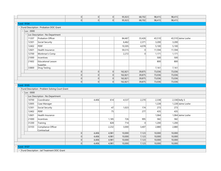|                   |                                                  | 0        | 0              | 0         | 95,923             | 68,702           | 98,415           | 98,415           |                                      |
|-------------------|--------------------------------------------------|----------|----------------|-----------|--------------------|------------------|------------------|------------------|--------------------------------------|
|                   |                                                  | 0        | $\Omega$       | $\vert$ 0 | 95,923             | 68,702           | 98,415           | 98,415           |                                      |
| <b>Fund: 9104</b> |                                                  |          |                |           |                    |                  |                  |                  |                                      |
|                   | - Fund Description : Probation DOC Grant         |          |                |           |                    |                  |                  |                  |                                      |
| $-$ Loc: 0000     |                                                  |          |                |           |                    |                  |                  |                  |                                      |
|                   | Loc Description : No Department                  |          |                |           |                    |                  |                  |                  |                                      |
| 11207             | Probation Officer                                |          |                |           | 84,467             | 33,426           | 43,510           |                  | 43,510 Jaime Loshe                   |
| 12301             | Social Security                                  |          |                |           | 6,462              | 2,371            | 3,200            | 3,200            |                                      |
| 12402             | PERF                                             |          |                |           | 10,305             | 4,078            | 5,100            | 5,100            |                                      |
| 12601             | Health Insurance                                 |          |                |           | 59,315             | 0                | 11,594           | 11,594           |                                      |
| 12700             | Workman's Comp                                   |          |                |           | 2,272              | 0                | 1,171            | 1,171            |                                      |
| 21000             | Incentives                                       |          |                |           |                    |                  | 500              | 500              |                                      |
| 21602             | <b>Educational Lesson</b>                        |          |                |           |                    |                  | 800              | 800              |                                      |
|                   | <b>Supplies</b>                                  |          |                |           |                    |                  |                  |                  |                                      |
| 33800             | Drug Testing                                     |          |                |           |                    |                  | 7,161            | 7,161            |                                      |
|                   |                                                  | 0        | 0              | 0         | 162,821            | 39,875           | 73,036           | 73,036           |                                      |
|                   |                                                  | 0 <br> 0 | 0 <br>$\Omega$ | 0         | 162,821            | 39,875           | 73,036           | 73,036           |                                      |
|                   |                                                  | 0        | 0              | 0 <br> 0  | 162,821<br>162,821 | 39,875<br>39,875 | 73,036<br>73,036 | 73,036<br>73,036 |                                      |
| <b>Fund: 9105</b> |                                                  |          |                |           |                    |                  |                  |                  |                                      |
|                   | - Fund Description : Problem Solving Court Grant |          |                |           |                    |                  |                  |                  |                                      |
| $-$ Loc : 0000    |                                                  |          |                |           |                    |                  |                  |                  |                                      |
|                   |                                                  |          |                |           |                    |                  |                  |                  |                                      |
| 10700             |                                                  |          |                |           |                    |                  |                  |                  |                                      |
|                   | Loc Description : No Department<br>Coordinator   |          | 4,406          | 614       | 4,537              |                  | 2,338            |                  |                                      |
| 12005             |                                                  |          |                |           |                    | 2,270            |                  |                  | $2,338$ Kelly S<br>1,228 Jaime Loshe |
| 12301             | Case Manager                                     |          |                | 47        | 1,023              | 174              | 1,228<br>273     | 273              |                                      |
| 12402             | Social Security<br>PERF                          |          |                | 75        |                    | 277              | 435              | 435              |                                      |
|                   |                                                  |          |                |           |                    |                  |                  |                  |                                      |
| 12601<br>21000    | Health Insurance<br>Incentives                   |          |                |           |                    |                  | 1,064            |                  | 1,064 Jaime Loshe                    |
|                   |                                                  |          |                | 1,185     | 726                | 995<br> 0        | 582              | 582              |                                      |
| 31200             | Training                                         |          |                | 828       | 714                |                  | 1,200            | 1,200            |                                      |
| 33103             | Compliance Officer<br>Contractual                |          |                | 2,232     | 3,000              | 3,407            | 2,880            | 2,880            |                                      |
|                   |                                                  | 0        | 4,406          | 4,981     | 10,000             | 7,123            | 10,000           | 10,000           |                                      |
|                   |                                                  | 0        | 4,406          | 4,981     | 10,000             | 7,123            | 10,000           | 10,000           |                                      |
|                   |                                                  | 0        | 4,406          | 4,981     | 10,000             | 7,123            | 10,000           | 10,000           |                                      |
| <b>Fund: 9107</b> |                                                  | 0        | 4,406          | 4,981     | 10,000             | 7,123            | 10,000           | 10,000           |                                      |